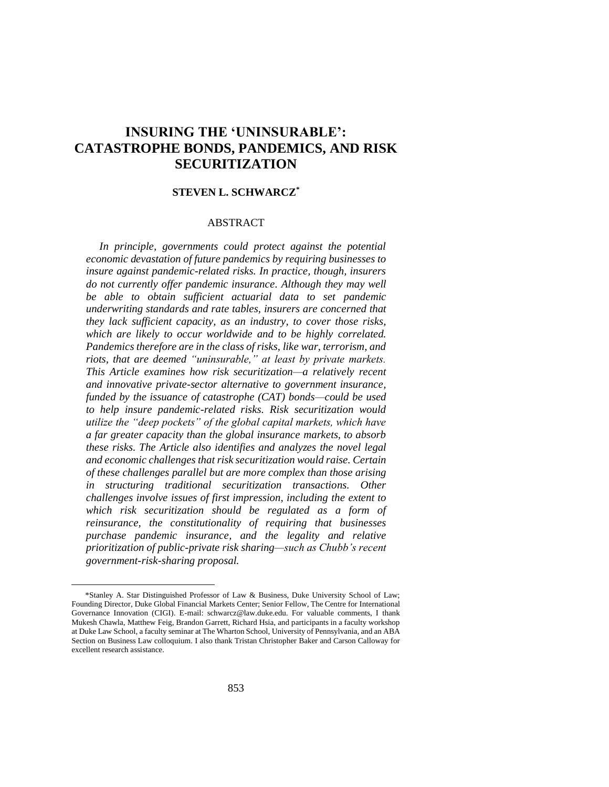# **INSURING THE 'UNINSURABLE': CATASTROPHE BONDS, PANDEMICS, AND RISK SECURITIZATION**

# **STEVEN L. SCHWARCZ\***

# ABSTRACT

*In principle, governments could protect against the potential economic devastation of future pandemics by requiring businesses to insure against pandemic-related risks. In practice, though, insurers do not currently offer pandemic insurance. Although they may well be able to obtain sufficient actuarial data to set pandemic underwriting standards and rate tables, insurers are concerned that they lack sufficient capacity, as an industry, to cover those risks, which are likely to occur worldwide and to be highly correlated. Pandemics therefore are in the class of risks, like war, terrorism, and riots, that are deemed "uninsurable," at least by private markets. This Article examines how risk securitization—a relatively recent and innovative private-sector alternative to government insurance, funded by the issuance of catastrophe (CAT) bonds—could be used to help insure pandemic-related risks. Risk securitization would utilize the "deep pockets" of the global capital markets, which have a far greater capacity than the global insurance markets, to absorb these risks. The Article also identifies and analyzes the novel legal and economic challenges that risk securitization would raise. Certain of these challenges parallel but are more complex than those arising in structuring traditional securitization transactions. Other challenges involve issues of first impression, including the extent to which risk securitization should be regulated as a form of reinsurance, the constitutionality of requiring that businesses purchase pandemic insurance, and the legality and relative prioritization of public-private risk sharing—such as Chubb's recent government-risk-sharing proposal.*

<sup>\*</sup>Stanley A. Star Distinguished Professor of Law & Business, Duke University School of Law; Founding Director, Duke Global Financial Markets Center; Senior Fellow, The Centre for International Governance Innovation (CIGI). E-mail: schwarcz@law.duke.edu. For valuable comments, I thank Mukesh Chawla, Matthew Feig, Brandon Garrett, Richard Hsia, and participants in a faculty workshop at Duke Law School, a faculty seminar at The Wharton School, University of Pennsylvania, and an ABA Section on Business Law colloquium. I also thank Tristan Christopher Baker and Carson Calloway for excellent research assistance.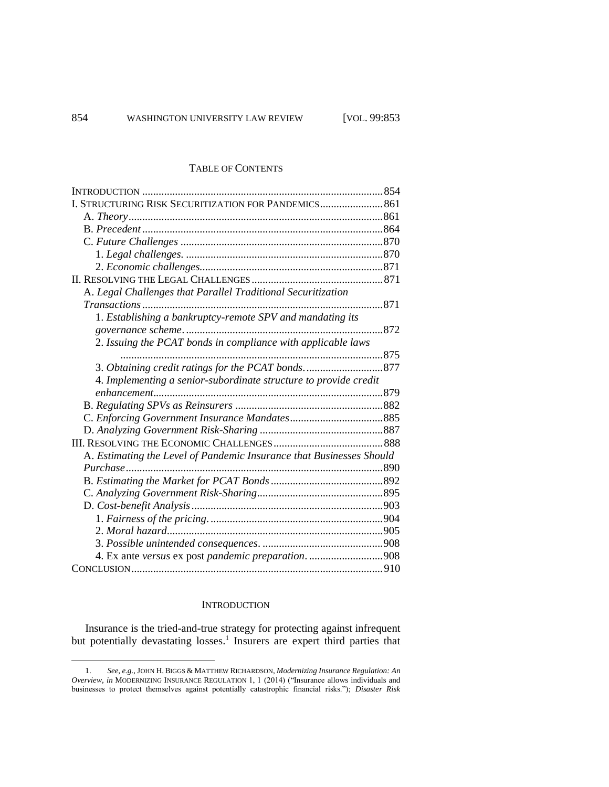### TABLE OF CONTENTS

| I. STRUCTURING RISK SECURITIZATION FOR PANDEMICS 861                 |     |
|----------------------------------------------------------------------|-----|
|                                                                      |     |
|                                                                      |     |
|                                                                      |     |
|                                                                      |     |
|                                                                      |     |
|                                                                      |     |
| A. Legal Challenges that Parallel Traditional Securitization         |     |
|                                                                      | 871 |
| 1. Establishing a bankruptcy-remote SPV and mandating its            |     |
|                                                                      |     |
| 2. Issuing the PCAT bonds in compliance with applicable laws         |     |
|                                                                      |     |
|                                                                      |     |
| 4. Implementing a senior-subordinate structure to provide credit     |     |
|                                                                      |     |
|                                                                      |     |
|                                                                      |     |
|                                                                      |     |
|                                                                      |     |
| A. Estimating the Level of Pandemic Insurance that Businesses Should |     |
|                                                                      |     |
|                                                                      |     |
|                                                                      |     |
|                                                                      |     |
|                                                                      |     |
|                                                                      |     |
|                                                                      |     |
| 4. Ex ante versus ex post pandemic preparation. 908                  |     |
|                                                                      |     |

# **INTRODUCTION**

Insurance is the tried-and-true strategy for protecting against infrequent but potentially devastating losses.<sup>1</sup> Insurers are expert third parties that

<sup>1.</sup> *See, e.g.*, JOHN H.BIGGS & MATTHEW RICHARDSON, *Modernizing Insurance Regulation: An Overview*, *in* MODERNIZING INSURANCE REGULATION 1, 1 (2014) ("Insurance allows individuals and businesses to protect themselves against potentially catastrophic financial risks."); *Disaster Risk*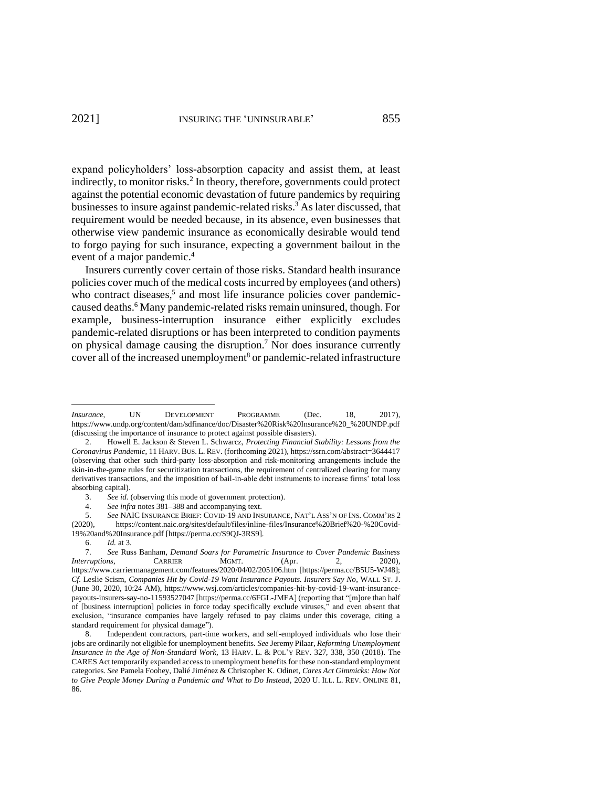<span id="page-2-2"></span><span id="page-2-1"></span>expand policyholders' loss-absorption capacity and assist them, at least indirectly, to monitor risks.<sup>2</sup> In theory, therefore, governments could protect against the potential economic devastation of future pandemics by requiring businesses to insure against pandemic-related risks. <sup>3</sup> As later discussed, that requirement would be needed because, in its absence, even businesses that otherwise view pandemic insurance as economically desirable would tend to forgo paying for such insurance, expecting a government bailout in the event of a major pandemic.<sup>4</sup>

Insurers currently cover certain of those risks. Standard health insurance policies cover much of the medical costs incurred by employees (and others) who contract diseases,<sup>5</sup> and most life insurance policies cover pandemiccaused deaths.<sup>6</sup> Many pandemic-related risks remain uninsured, though. For example, business-interruption insurance either explicitly excludes pandemic-related disruptions or has been interpreted to condition payments on physical damage causing the disruption.<sup>7</sup> Nor does insurance currently cover all of the increased unemployment<sup>8</sup> or pandemic-related infrastructure

<span id="page-2-0"></span>*Insurance*, UN DEVELOPMENT PROGRAMME (Dec. 18, 2017), https://www.undp.org/content/dam/sdfinance/doc/Disaster%20Risk%20Insurance%20\_%20UNDP.pdf (discussing the importance of insurance to protect against possible disasters).

<sup>2.</sup> Howell E. Jackson & Steven L. Schwarcz, *Protecting Financial Stability: Lessons from the Coronavirus Pandemic*, 11 HARV. BUS. L. REV. (forthcoming 2021), https://ssrn.com/abstract=3644417 (observing that other such third-party loss-absorption and risk-monitoring arrangements include the skin-in-the-game rules for securitization transactions, the requirement of centralized clearing for many derivatives transactions, and the imposition of bail-in-able debt instruments to increase firms' total loss absorbing capital).

<sup>3.</sup> *See id.* (observing this mode of government protection).

<sup>4.</sup> *See infra* note[s 381–](#page-52-0)[388](#page-53-0) and accompanying text.

<sup>5.</sup> *See* NAIC INSURANCE BRIEF: COVID-19 AND INSURANCE, NAT'L ASS'N OF INS. COMM'RS 2 (2020), [https://content.naic.org/sites/default/files/inline-files/Insurance%20Brief%20-%20Covid-](https://content.naic.org/sites/default/files/inline-files/Insurance%20Brief%20-%20Covid-19%20and%20Insurance.pdf)[19%20and%20Insurance.pdf](https://content.naic.org/sites/default/files/inline-files/Insurance%20Brief%20-%20Covid-19%20and%20Insurance.pdf) [https://perma.cc/S9QJ-3RS9].

<sup>6.</sup> *Id.* at 3.

<sup>7.</sup> *See* Russ Banham, *Demand Soars for Parametric Insurance to Cover Pandemic Business Interruptions*, **CARRIER MGMT.** (Apr. 2, https://www.carriermanagement.com/features/2020/04/02/205106.htm [https://perma.cc/B5U5-WJ48]; *Cf.* Leslie Scism, *Companies Hit by Covid-19 Want Insurance Payouts. Insurers Say No*, WALL ST. J. (June 30, 2020, 10:24 AM), https://www.wsj.com/articles/companies-hit-by-covid-19-want-insurancepayouts-insurers-say-no-11593527047 [https://perma.cc/6FGL-JMFA] (reporting that "[m]ore than half of [business interruption] policies in force today specifically exclude viruses," and even absent that exclusion, "insurance companies have largely refused to pay claims under this coverage, citing a standard requirement for physical damage").

Independent contractors, part-time workers, and self-employed individuals who lose their jobs are ordinarily not eligible for unemployment benefits. *See* Jeremy Pilaar, *Reforming Unemployment Insurance in the Age of Non-Standard Work*, 13 HARV. L. & POL'Y REV. 327, 338, 350 (2018). The CARES Act temporarily expanded access to unemployment benefits for these non-standard employment categories. *See* Pamela Foohey, Dalié Jiménez & Christopher K. Odinet, *Cares Act Gimmicks: How Not to Give People Money During a Pandemic and What to Do Instead*, 2020 U. ILL. L. REV. ONLINE 81, 86.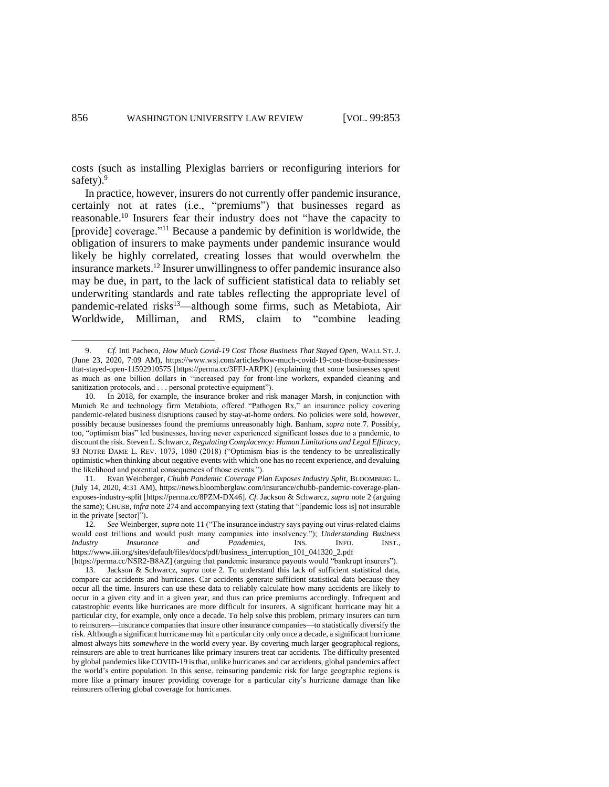<span id="page-3-4"></span>costs (such as installing Plexiglas barriers or reconfiguring interiors for safety). $9$ 

<span id="page-3-2"></span><span id="page-3-1"></span><span id="page-3-0"></span>In practice, however, insurers do not currently offer pandemic insurance, certainly not at rates (i.e., "premiums") that businesses regard as reasonable. <sup>10</sup> Insurers fear their industry does not "have the capacity to [provide] coverage."<sup>11</sup> Because a pandemic by definition is worldwide, the obligation of insurers to make payments under pandemic insurance would likely be highly correlated, creating losses that would overwhelm the insurance markets. <sup>12</sup> Insurer unwillingness to offer pandemic insurance also may be due, in part, to the lack of sufficient statistical data to reliably set underwriting standards and rate tables reflecting the appropriate level of pandemic-related risks<sup>13</sup>—although some firms, such as Metabiota, Air Worldwide, Milliman, and RMS, claim to "combine leading

<span id="page-3-3"></span><sup>9.</sup> *Cf.* Inti Pacheco, *How Much Covid-19 Cost Those Business That Stayed Open*, WALL ST. J. (June 23, 2020, 7:09 AM), [https://www.wsj.com/articles/how-much-covid-19-cost-those-businesses](https://www.wsj.com/articles/how-much-covid-19-cost-those-businesses-that-stayed-open-11592910575)[that-stayed-open-11592910575](https://www.wsj.com/articles/how-much-covid-19-cost-those-businesses-that-stayed-open-11592910575) [https://perma.cc/3FFJ-ARPK] (explaining that some businesses spent as much as one billion dollars in "increased pay for front-line workers, expanded cleaning and sanitization protocols, and . . . personal protective equipment").

<sup>10.</sup> In 2018, for example, the insurance broker and risk manager Marsh, in conjunction with Munich Re and technology firm Metabiota, offered "Pathogen Rx," an insurance policy covering pandemic-related business disruptions caused by stay-at-home orders. No policies were sold, however, possibly because businesses found the premiums unreasonably high. Banham, *supra* note [7.](#page-2-0) Possibly, too, "optimism bias" led businesses, having never experienced significant losses due to a pandemic, to discount the risk. Steven L. Schwarcz*, Regulating Complacency: Human Limitations and Legal Efficacy,* 93 NOTRE DAME L. REV. 1073, 1080 (2018) ("Optimism bias is the tendency to be unrealistically optimistic when thinking about negative events with which one has no recent experience, and devaluing the likelihood and potential consequences of those events.").

<sup>11.</sup> Evan Weinberger, *Chubb Pandemic Coverage Plan Exposes Industry Split*, BLOOMBERG L. (July 14, 2020, 4:31 AM), https://news.bloomberglaw.com/insurance/chubb-pandemic-coverage-planexposes-industry-split [https://perma.cc/8PZM-DX46]. *Cf.* Jackson & Schwarcz, *supra* not[e 2](#page-2-1) (arguing the same); CHUBB, *infra* note 274 and accompanying text (stating that "[pandemic loss is] not insurable in the private [sector]").

<sup>12.</sup> *See* Weinberger, *supra* note [11](#page-3-0) ("The insurance industry says paying out virus-related claims would cost trillions and would push many companies into insolvency."); *Understanding Business Industry Insurance and Pandemics*, INS. INFO. INST., https://www.iii.org/sites/default/files/docs/pdf/business\_interruption\_101\_041320\_2.pdf

<sup>[</sup>https://perma.cc/NSR2-B8AZ] (arguing that pandemic insurance payouts would "bankrupt insurers"). 13. Jackson & Schwarcz, *supra* note [2.](#page-2-1) To understand this lack of sufficient statistical data, compare car accidents and hurricanes. Car accidents generate sufficient statistical data because they occur all the time. Insurers can use these data to reliably calculate how many accidents are likely to occur in a given city and in a given year, and thus can price premiums accordingly. Infrequent and catastrophic events like hurricanes are more difficult for insurers. A significant hurricane may hit a particular city, for example, only once a decade. To help solve this problem, primary insurers can turn to reinsurers—insurance companies that insure other insurance companies—to statistically diversify the risk. Although a significant hurricane may hit a particular city only once a decade, a significant hurricane almost always hits *somewhere* in the world every year. By covering much larger geographical regions, reinsurers are able to treat hurricanes like primary insurers treat car accidents. The difficulty presented by global pandemics like COVID-19 is that, unlike hurricanes and car accidents, global pandemics affect the world's entire population. In this sense, reinsuring pandemic risk for large geographic regions is more like a primary insurer providing coverage for a particular city's hurricane damage than like reinsurers offering global coverage for hurricanes.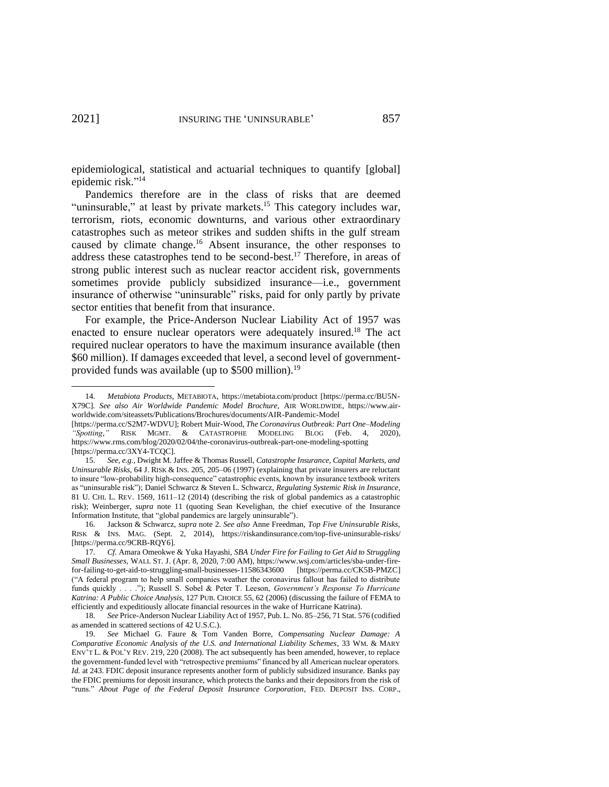<span id="page-4-1"></span>epidemiological, statistical and actuarial techniques to quantify [global] epidemic risk." 14

<span id="page-4-0"></span>Pandemics therefore are in the class of risks that are deemed "uninsurable," at least by private markets.<sup>15</sup> This category includes war, terrorism, riots, economic downturns, and various other extraordinary catastrophes such as meteor strikes and sudden shifts in the gulf stream caused by climate change.<sup>16</sup> Absent insurance, the other responses to address these catastrophes tend to be second-best.<sup>17</sup> Therefore, in areas of strong public interest such as nuclear reactor accident risk, governments sometimes provide publicly subsidized insurance—i.e., government insurance of otherwise "uninsurable" risks, paid for only partly by private sector entities that benefit from that insurance.

<span id="page-4-2"></span>For example, the Price-Anderson Nuclear Liability Act of 1957 was enacted to ensure nuclear operators were adequately insured.<sup>18</sup> The act required nuclear operators to have the maximum insurance available (then \$60 million). If damages exceeded that level, a second level of governmentprovided funds was available (up to \$500 million).<sup>19</sup>

<span id="page-4-3"></span><sup>14.</sup> *Metabiota Products*, METABIOTA, https://metabiota.com/product [https://perma.cc/BU5N-X79C]. *See also Air Worldwide Pandemic Model Brochure*, AIR WORLDWIDE, https://www.airworldwide.com/siteassets/Publications/Brochures/documents/AIR-Pandemic-Model

<sup>[</sup>https://perma.cc/S2M7-WDVU]; Robert Muir-Wood, *The Coronavirus Outbreak: Part One–Modeling "Spotting*,*"* RISK MGMT. & CATASTROPHE MODELING BLOG (Feb. 4, 2020), https://www.rms.com/blog/2020/02/04/the-coronavirus-outbreak-part-one-modeling-spotting [https://perma.cc/3XY4-TCQC].

<sup>15.</sup> *See, e.g.*, Dwight M. Jaffee & Thomas Russell, *Catastrophe Insurance, Capital Markets, and Uninsurable Risks*, 64 J. RISK & INS. 205, 205–06 (1997) (explaining that private insurers are reluctant to insure "low-probability high-consequence" catastrophic events, known by insurance textbook writers as "uninsurable risk"); Daniel Schwarcz & Steven L. Schwarcz, *Regulating Systemic Risk in Insurance*, 81 U. CHI. L. REV. 1569, 1611–12 (2014) (describing the risk of global pandemics as a catastrophic risk); Weinberger, *supra* note 11 (quoting Sean Kevelighan, the chief executive of the Insurance Information Institute, that "global pandemics are largely uninsurable").

<sup>16.</sup> Jackson & Schwarcz, *supra* note [2.](#page-2-1) *See also* Anne Freedman, *Top Five Uninsurable Risks*, RISK & INS. MAG. (Sept. 2, 2014), https://riskandinsurance.com/top-five-uninsurable-risks/ [https://perma.cc/9CRB-RQY6].

<sup>17.</sup> *Cf.* Amara Omeokwe & Yuka Hayashi, *SBA Under Fire for Failing to Get Aid to Struggling Small Businesses*, WALL ST. J. (Apr. 8, 2020, 7:00 AM), [https://www.wsj.com/articles/sba-under-fire](https://www.wsj.com/articles/sba-under-fire-for-failing-to-get-aid-to-struggling-small-businesses-11586343600)[for-failing-to-get-aid-to-struggling-small-businesses-11586343600](https://www.wsj.com/articles/sba-under-fire-for-failing-to-get-aid-to-struggling-small-businesses-11586343600) [https://perma.cc/CK5B-PMZC] ("A federal program to help small companies weather the coronavirus fallout has failed to distribute funds quickly . . . ."); Russell S. Sobel & Peter T. Leeson, *Government's Response To Hurricane Katrina: A Public Choice Analysis*, 127 PUB. CHOICE 55, 62 (2006) (discussing the failure of FEMA to efficiently and expeditiously allocate financial resources in the wake of Hurricane Katrina).

<sup>18.</sup> *See* Price-Anderson Nuclear Liability Act of 1957, Pub. L. No. 85–256, 71 Stat. 576 (codified as amended in scattered sections of 42 U.S.C.).

<sup>19.</sup> *See* Michael G. Faure & Tom Vanden Borre, *Compensating Nuclear Damage: A Comparative Economic Analysis of the U.S. and International Liability Schemes*, 33 WM. & MARY ENV'T L. & POL'Y REV. 219, 220 (2008). The act subsequently has been amended, however, to replace the government-funded level with "retrospective premiums" financed by all American nuclear operators. *Id.* at 243. FDIC deposit insurance represents another form of publicly subsidized insurance. Banks pay the FDIC premiums for deposit insurance, which protects the banks and their depositors from the risk of "runs." *About Page of the Federal Deposit Insurance Corporation*, FED. DEPOSIT INS. CORP.,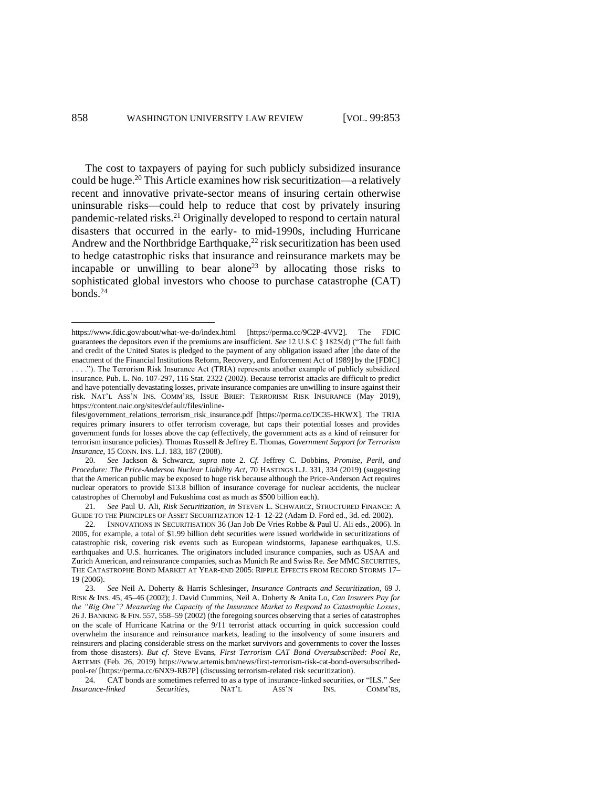<span id="page-5-3"></span><span id="page-5-2"></span>The cost to taxpayers of paying for such publicly subsidized insurance could be huge.<sup>20</sup> This Article examines how risk securitization—a relatively recent and innovative private-sector means of insuring certain otherwise uninsurable risks—could help to reduce that cost by privately insuring pandemic-related risks.<sup>21</sup> Originally developed to respond to certain natural disasters that occurred in the early- to mid-1990s, including Hurricane Andrew and the Northbridge Earthquake, $^{22}$  risk securitization has been used to hedge catastrophic risks that insurance and reinsurance markets may be incapable or unwilling to bear alone<sup>23</sup> by allocating those risks to sophisticated global investors who choose to purchase catastrophe (CAT) bonds. 24

<span id="page-5-1"></span><span id="page-5-0"></span>https://www.fdic.gov/about/what-we-do/index.html [https://perma.cc/9C2P-4VV2]. The FDIC guarantees the depositors even if the premiums are insufficient. *See* 12 U.S.C § 1825(d) ("The full faith and credit of the United States is pledged to the payment of any obligation issued after [the date of the enactment of the Financial Institutions Reform, Recovery, and Enforcement Act of 1989] by the [FDIC] . . . ."). The Terrorism Risk Insurance Act (TRIA) represents another example of publicly subsidized insurance. Pub. L. No. 107-297, 116 Stat. 2322 (2002). Because terrorist attacks are difficult to predict and have potentially devastating losses, private insurance companies are unwilling to insure against their risk. NAT'L ASS'N INS. COMM'RS, ISSUE BRIEF: TERRORISM RISK INSURANCE (May 2019), https://content.naic.org/sites/default/files/inline-

files/government\_relations\_terrorism\_risk\_insurance.pdf [https://perma.cc/DC35-HKWX]. The TRIA requires primary insurers to offer terrorism coverage, but caps their potential losses and provides government funds for losses above the cap (effectively, the government acts as a kind of reinsurer for terrorism insurance policies). Thomas Russell & Jeffrey E. Thomas, *Government Support for Terrorism Insurance*, 15 CONN. INS. L.J. 183, 187 (2008).

<sup>20.</sup> *See* Jackson & Schwarcz, *supra* note [2.](#page-2-1) *Cf.* Jeffrey C. Dobbins, *Promise, Peril, and Procedure: The Price-Anderson Nuclear Liability Act*, 70 HASTINGS L.J. 331, 334 (2019) (suggesting that the American public may be exposed to huge risk because although the Price-Anderson Act requires nuclear operators to provide \$13.8 billion of insurance coverage for nuclear accidents, the nuclear catastrophes of Chernobyl and Fukushima cost as much as \$500 billion each).

<sup>21.</sup> *See* Paul U. Ali, *Risk Securitization*, *in* STEVEN L. SCHWARCZ, STRUCTURED FINANCE: A GUIDE TO THE PRINCIPLES OF ASSET SECURITIZATION 12-1–12-22 (Adam D. Ford ed., 3d. ed. 2002).

<sup>22.</sup> INNOVATIONS IN SECURITISATION 36 (Jan Job De Vries Robbe & Paul U. Ali eds., 2006). In 2005, for example, a total of \$1.99 billion debt securities were issued worldwide in securitizations of catastrophic risk, covering risk events such as European windstorms, Japanese earthquakes, U.S. earthquakes and U.S. hurricanes. The originators included insurance companies, such as USAA and Zurich American, and reinsurance companies, such as Munich Re and Swiss Re. *See* MMC SECURITIES, THE CATASTROPHE BOND MARKET AT YEAR-END 2005: RIPPLE EFFECTS FROM RECORD STORMS 17– 19 (2006).

<sup>23.</sup> *See* Neil A. Doherty & Harris Schlesinger, *Insurance Contracts and Securitization*, 69 J. RISK & INS. 45, 45–46 (2002); J. David Cummins, Neil A. Doherty & Anita Lo, *Can Insurers Pay for the "Big One"? Measuring the Capacity of the Insurance Market to Respond to Catastrophic Losses*, 26 J. BANKING & FIN. 557, 558–59 (2002) (the foregoing sources observing that a series of catastrophes on the scale of Hurricane Katrina or the 9/11 terrorist attack occurring in quick succession could overwhelm the insurance and reinsurance markets, leading to the insolvency of some insurers and reinsurers and placing considerable stress on the market survivors and governments to cover the losses from those disasters). *But cf.* Steve Evans, *First Terrorism CAT Bond Oversubscribed: Pool Re*, ARTEMIS (Feb. 26, 2019) https://www.artemis.bm/news/first-terrorism-risk-cat-bond-oversubscribedpool-re/ [https://perma.cc/6NX9-RB7P] (discussing terrorism-related risk securitization).

<sup>24.</sup> CAT bonds are sometimes referred to as a type of insurance-linked securities, or "ILS." *See Insurance-linked Securities*, NAT'L ASS'N INS. COMM'RS,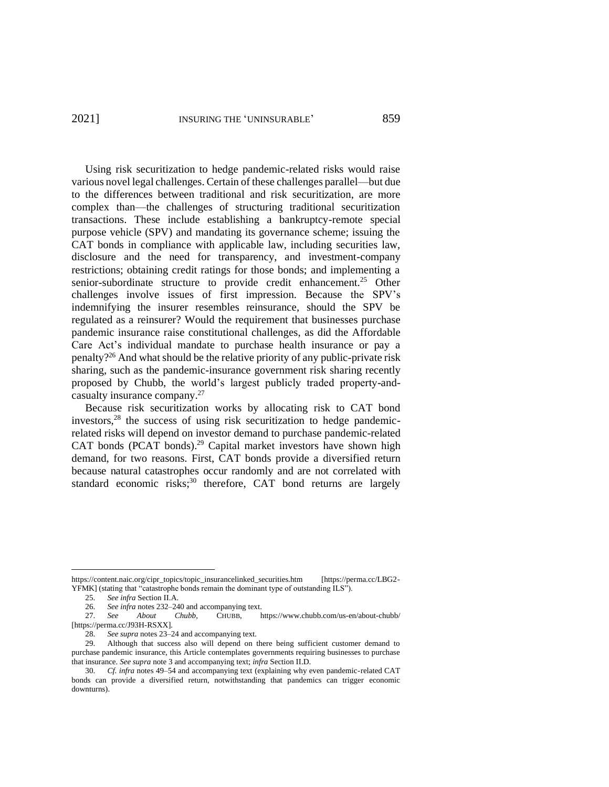Using risk securitization to hedge pandemic-related risks would raise various novel legal challenges. Certain of these challenges parallel—but due to the differences between traditional and risk securitization, are more complex than—the challenges of structuring traditional securitization transactions. These include establishing a bankruptcy-remote special purpose vehicle (SPV) and mandating its governance scheme; issuing the CAT bonds in compliance with applicable law, including securities law, disclosure and the need for transparency, and investment-company restrictions; obtaining credit ratings for those bonds; and implementing a senior-subordinate structure to provide credit enhancement.<sup>25</sup> Other challenges involve issues of first impression. Because the SPV's indemnifying the insurer resembles reinsurance, should the SPV be regulated as a reinsurer? Would the requirement that businesses purchase pandemic insurance raise constitutional challenges, as did the Affordable Care Act's individual mandate to purchase health insurance or pay a penalty? <sup>26</sup> And what should be the relative priority of any public-private risk sharing, such as the pandemic-insurance government risk sharing recently proposed by Chubb, the world's largest publicly traded property-andcasualty insurance company.<sup>27</sup>

<span id="page-6-1"></span><span id="page-6-0"></span>Because risk securitization works by allocating risk to CAT bond investors, <sup>28</sup> the success of using risk securitization to hedge pandemicrelated risks will depend on investor demand to purchase pandemic-related CAT bonds (PCAT bonds). <sup>29</sup> Capital market investors have shown high demand, for two reasons. First, CAT bonds provide a diversified return because natural catastrophes occur randomly and are not correlated with standard economic risks; <sup>30</sup> therefore, CAT bond returns are largely

https://content.naic.org/cipr\_topics/topic\_insurancelinked\_securities.htm [https://perma.cc/LBG2- YFMK] (stating that "catastrophe bonds remain the dominant type of outstanding ILS").

<sup>25.</sup> *See infra* Section II.A.

<sup>26.</sup> *See infra* note[s 232–](#page-32-0)[240](#page-33-0) and accompanying text.<br>27. *See About Chubb*, CHUBB, b

<sup>27.</sup> *See About Chubb*, CHUBB, https://www.chubb.com/us-en/about-chubb/ [https://perma.cc/J93H-RSXX].

<sup>28.</sup> *See supra* note[s 23](#page-5-0)[–24](#page-5-1) and accompanying text.

<sup>29.</sup> Although that success also will depend on there being sufficient customer demand to purchase pandemic insurance, this Article contemplates governments requiring businesses to purchase that insurance. *See supra* note [3](#page-2-2) and accompanying text; *infra* Section II.D.

<sup>30.</sup> *Cf. infra* notes [49–](#page-10-0)[54](#page-11-0) and accompanying text (explaining why even pandemic-related CAT bonds can provide a diversified return, notwithstanding that pandemics can trigger economic downturns).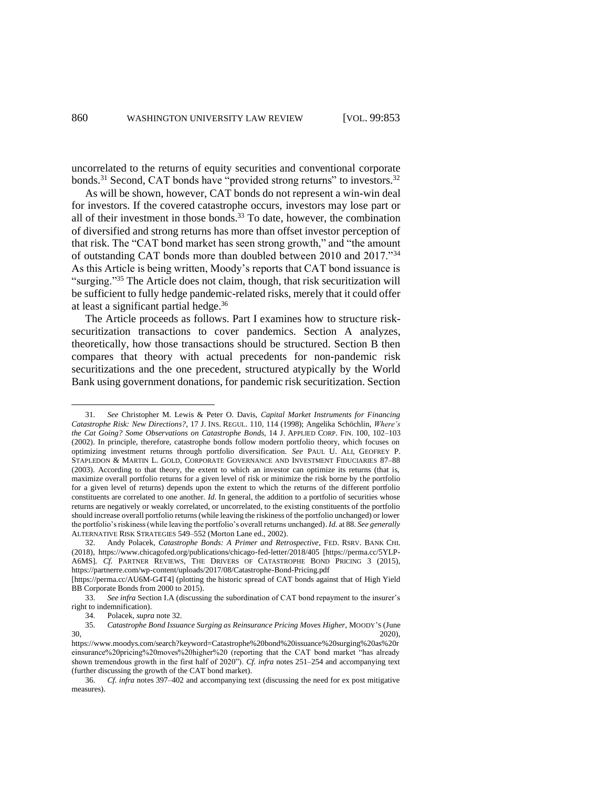<span id="page-7-1"></span><span id="page-7-0"></span>uncorrelated to the returns of equity securities and conventional corporate bonds.<sup>31</sup> Second, CAT bonds have "provided strong returns" to investors.<sup>32</sup>

As will be shown, however, CAT bonds do not represent a win-win deal for investors. If the covered catastrophe occurs, investors may lose part or all of their investment in those bonds. $33$  To date, however, the combination of diversified and strong returns has more than offset investor perception of that risk. The "CAT bond market has seen strong growth," and "the amount of outstanding CAT bonds more than doubled between 2010 and 2017."<sup>34</sup> As this Article is being written, Moody's reports that CAT bond issuance is "surging."<sup>35</sup> The Article does not claim, though, that risk securitization will be sufficient to fully hedge pandemic-related risks, merely that it could offer at least a significant partial hedge. 36

<span id="page-7-2"></span>The Article proceeds as follows. Part I examines how to structure risksecuritization transactions to cover pandemics. Section A analyzes, theoretically, how those transactions should be structured. Section B then compares that theory with actual precedents for non-pandemic risk securitizations and the one precedent, structured atypically by the World Bank using government donations, for pandemic risk securitization. Section

<sup>31.</sup> *See* Christopher M. Lewis & Peter O. Davis, *Capital Market Instruments for Financing Catastrophe Risk: New Directions?*, 17 J. INS. REGUL. 110, 114 (1998); Angelika Schöchlin, *Where's the Cat Going? Some Observations on Catastrophe Bonds*, 14 J. APPLIED CORP. FIN. 100, 102–103 (2002). In principle, therefore, catastrophe bonds follow modern portfolio theory, which focuses on optimizing investment returns through portfolio diversification. *See* PAUL U. ALI, GEOFREY P. STAPLEDON & MARTIN L. GOLD, CORPORATE GOVERNANCE AND INVESTMENT FIDUCIARIES 87–88 (2003). According to that theory, the extent to which an investor can optimize its returns (that is, maximize overall portfolio returns for a given level of risk or minimize the risk borne by the portfolio for a given level of returns) depends upon the extent to which the returns of the different portfolio constituents are correlated to one another. *Id.* In general, the addition to a portfolio of securities whose returns are negatively or weakly correlated, or uncorrelated, to the existing constituents of the portfolio should increase overall portfolio returns (while leaving the riskiness of the portfolio unchanged) or lower the portfolio's riskiness (while leaving the portfolio's overall returns unchanged). *Id.* at 88. *See generally* ALTERNATIVE RISK STRATEGIES 549–552 (Morton Lane ed., 2002).

<sup>32.</sup> Andy Polacek, *Catastrophe Bonds: A Primer and Retrospective*, FED. RSRV. BANK CHI. (2018), https://www.chicagofed.org/publications/chicago-fed-letter/2018/405 [https://perma.cc/5YLP-A6MS]. *Cf.* PARTNER REVIEWS, THE DRIVERS OF CATASTROPHE BOND PRICING 3 (2015), <https://partnerre.com/wp-content/uploads/2017/08/Catastrophe-Bond-Pricing.pdf>

<sup>[</sup>https://perma.cc/AU6M-G4T4] (plotting the historic spread of CAT bonds against that of High Yield BB Corporate Bonds from 2000 to 2015).

<sup>33.</sup> *See infra* Section I.A (discussing the subordination of CAT bond repayment to the insurer's right to indemnification).

<sup>34.</sup> Polacek, *supra* not[e 32.](#page-7-0)

<sup>35.</sup> *Catastrophe Bond Issuance Surging as Reinsurance Pricing Moves Higher*, MOODY'S (June  $30,$  2020), 2020, 2020, 2020, 2020, 2020, 2020, 2020, 2020, 2020, 2020, 2020, 2020, 2020, 2020, 2020, 2020, 2020, 2020, 2020, 2020, 2020, 2020, 2020, 2020, 2020, 2020, 2020, 2020, 2020, 2020, 2020, 2020, 2020, 2020, 2020

https://www.moodys.com/search?keyword=Catastrophe%20bond%20issuance%20surging%20as%20r einsurance%20pricing%20moves%20higher%20 (reporting that the CAT bond market "has already shown tremendous growth in the first half of 2020"). *Cf. infra* notes [251](#page-35-0)[–254](#page-35-1) and accompanying text (further discussing the growth of the CAT bond market).

<sup>36.</sup> *Cf. infra* notes [397–](#page-55-0)[402](#page-56-0) and accompanying text (discussing the need for ex post mitigative measures).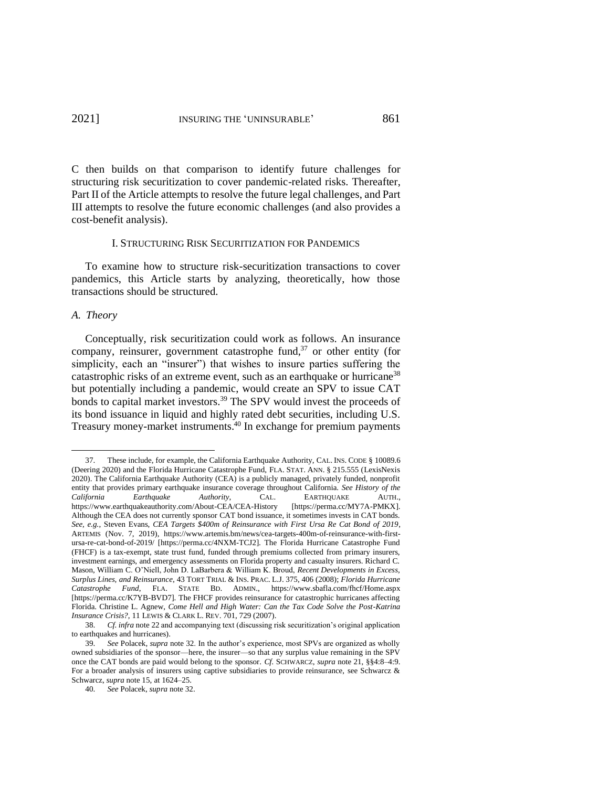C then builds on that comparison to identify future challenges for structuring risk securitization to cover pandemic-related risks. Thereafter, Part II of the Article attempts to resolve the future legal challenges, and Part III attempts to resolve the future economic challenges (and also provides a cost-benefit analysis).

### I. STRUCTURING RISK SECURITIZATION FOR PANDEMICS

To examine how to structure risk-securitization transactions to cover pandemics, this Article starts by analyzing, theoretically, how those transactions should be structured.

### *A. Theory*

Conceptually, risk securitization could work as follows. An insurance company, reinsurer, government catastrophe fund, $37$  or other entity (for simplicity, each an "insurer") that wishes to insure parties suffering the catastrophic risks of an extreme event, such as an earthquake or hurricane<sup>38</sup> but potentially including a pandemic, would create an SPV to issue CAT bonds to capital market investors.<sup>39</sup> The SPV would invest the proceeds of its bond issuance in liquid and highly rated debt securities, including U.S. Treasury money-market instruments. <sup>40</sup> In exchange for premium payments

<span id="page-8-0"></span><sup>37.</sup> These include, for example, the California Earthquake Authority, CAL. INS. CODE § 10089.6 (Deering 2020) and the Florida Hurricane Catastrophe Fund, FLA. STAT. ANN. § 215.555 (LexisNexis 2020). The California Earthquake Authority (CEA) is a publicly managed, privately funded, nonprofit entity that provides primary earthquake insurance coverage throughout California. *See History of the California Earthquake Authority*, CAL. EARTHQUAKE AUTH., https://www.earthquakeauthority.com/About-CEA/CEA-History [https://perma.cc/MY7A-PMKX]. Although the CEA does not currently sponsor CAT bond issuance, it sometimes invests in CAT bonds. *See, e.g.*, Steven Evans, *CEA Targets \$400m of Reinsurance with First Ursa Re Cat Bond of 2019*, ARTEMIS (Nov. 7, 2019), [https://www.artemis.bm/news/cea-targets-400m-of-reinsurance-with-first](https://www.artemis.bm/news/cea-targets-400m-of-reinsurance-with-first-ursa-re-cat-bond-of-2019/)[ursa-re-cat-bond-of-2019/](https://www.artemis.bm/news/cea-targets-400m-of-reinsurance-with-first-ursa-re-cat-bond-of-2019/) [https://perma.cc/4NXM-TCJ2]. The Florida Hurricane Catastrophe Fund (FHCF) is a tax-exempt, state trust fund, funded through premiums collected from primary insurers, investment earnings, and emergency assessments on Florida property and casualty insurers. Richard C. Mason, William C. O'Niell, John D. LaBarbera & William K. Broud, *Recent Developments in Excess, Surplus Lines, and Reinsurance*, 43 TORT TRIAL & INS. PRAC. L.J. 375, 406 (2008); *Florida Hurricane Catastrophe Fund*, FLA. STATE BD. ADMIN., https://www.sbafla.com/fhcf/Home.aspx [https://perma.cc/K7YB-BVD7]. The FHCF provides reinsurance for catastrophic hurricanes affecting Florida. Christine L. Agnew, *Come Hell and High Water: Can the Tax Code Solve the Post-Katrina Insurance Crisis?*, 11 LEWIS & CLARK L. REV. 701, 729 (2007).<br>38. Cf. infra note 22 and accompanying text (discussing r

<sup>38.</sup> *Cf. infra* not[e 22](#page-5-2) and accompanying text (discussing risk securitization's original application to earthquakes and hurricanes).

<sup>39.</sup> *See* Polacek, *supra* note [32.](#page-7-1) In the author's experience, most SPVs are organized as wholly owned subsidiaries of the sponsor—here, the insurer—so that any surplus value remaining in the SPV once the CAT bonds are paid would belong to the sponsor. *Cf.* SCHWARCZ, *supra* not[e 21,](#page-5-3) §§4:8–4:9. For a broader analysis of insurers using captive subsidiaries to provide reinsurance, see Schwarcz & Schwarcz, *supra* note [15,](#page-4-0) at 1624–25.

<sup>40.</sup> *See* Polacek, *supra* not[e 32.](#page-7-1)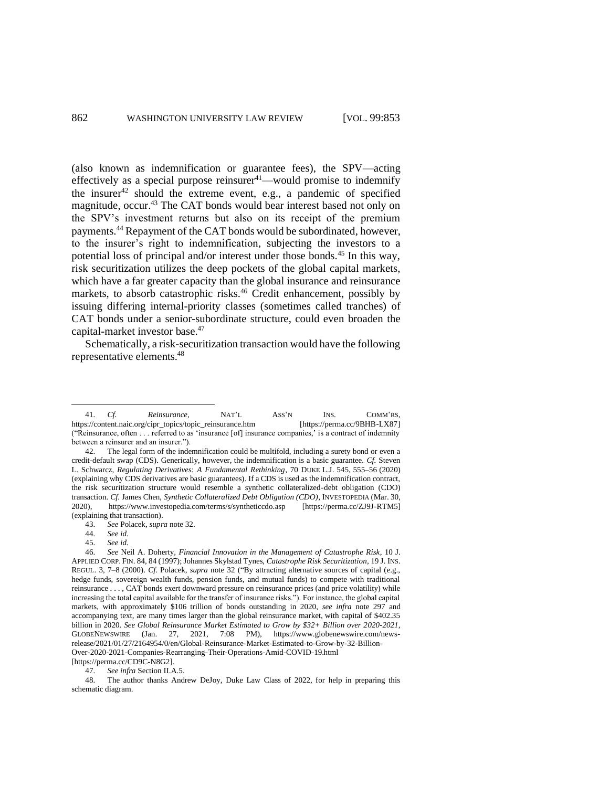<span id="page-9-6"></span><span id="page-9-5"></span><span id="page-9-4"></span><span id="page-9-3"></span><span id="page-9-2"></span><span id="page-9-0"></span>(also known as indemnification or guarantee fees), the SPV—acting effectively as a special purpose reinsurer $41$ —would promise to indemnify the insurer<sup>42</sup> should the extreme event, e.g., a pandemic of specified magnitude, occur.<sup>43</sup> The CAT bonds would bear interest based not only on the SPV's investment returns but also on its receipt of the premium payments.<sup>44</sup> Repayment of the CAT bonds would be subordinated, however, to the insurer's right to indemnification, subjecting the investors to a potential loss of principal and/or interest under those bonds.<sup>45</sup> In this way, risk securitization utilizes the deep pockets of the global capital markets, which have a far greater capacity than the global insurance and reinsurance markets, to absorb catastrophic risks.<sup>46</sup> Credit enhancement, possibly by issuing differing internal-priority classes (sometimes called tranches) of CAT bonds under a senior-subordinate structure, could even broaden the capital-market investor base.<sup>47</sup>

<span id="page-9-1"></span>Schematically, a risk-securitization transaction would have the following representative elements.<sup>48</sup>

<sup>41.</sup> *Cf. Reinsurance*, **NAT'L** ASS'N INS. COMM'RS, S://content.naic.org/cipr\_topics/topic\_reinsurance.htm [https://perma.cc/9BHB-LX87] https://content.naic.org/cipr\_topics/topic\_reinsurance.htm ("Reinsurance, often . . . referred to as 'insurance [of] insurance companies,' is a contract of indemnity between a reinsurer and an insurer.").

<sup>42.</sup> The legal form of the indemnification could be multifold, including a surety bond or even a credit-default swap (CDS). Generically, however, the indemnification is a basic guarantee. *Cf.* Steven L. Schwarcz, *Regulating Derivatives: A Fundamental Rethinking*, 70 DUKE L.J. 545, 555–56 (2020) (explaining why CDS derivatives are basic guarantees). If a CDS is used as the indemnification contract, the risk securitization structure would resemble a synthetic collateralized-debt obligation (CDO) transaction. *Cf.* James Chen, *Synthetic Collateralized Debt Obligation (CDO)*, INVESTOPEDIA (Mar. 30, 2020), https://www.investopedia.com/terms/s/syntheticcdo.asp [https://perma.cc/ZJ9J-RTM5] (explaining that transaction).<br>43. See Polacek, supra

<sup>43.</sup> *See* Polacek, *supra* not[e 32.](#page-7-1)

<sup>44.</sup> *See id.*

<sup>45.</sup> *See id.*

<sup>46.</sup> *See* Neil A. Doherty, *Financial Innovation in the Management of Catastrophe Risk*, 10 J. APPLIED CORP. FIN. 84, 84 (1997); Johannes Skylstad Tynes, *Catastrophe Risk Securitization*, 19 J. INS. REGUL. 3, 7–8 (2000). *Cf.* Polacek, *supra* note [32](#page-7-1) ("By attracting alternative sources of capital (e.g., hedge funds, sovereign wealth funds, pension funds, and mutual funds) to compete with traditional reinsurance . . . , CAT bonds exert downward pressure on reinsurance prices (and price volatility) while increasing the total capital available for the transfer of insurance risks."). For instance, the global capital markets, with approximately \$106 trillion of bonds outstanding in 2020, *see infra* note [297](#page-41-0) and accompanying text, are many times larger than the global reinsurance market, with capital of \$402.35 billion in 2020. *See Global Reinsurance Market Estimated to Grow by \$32+ Billion over 2020-2021*, GLOBENEWSWIRE (Jan. 27, 2021, 7:08 PM), https://www.globenewswire.com/newsrelease/2021/01/27/2164954/0/en/Global-Reinsurance-Market-Estimated-to-Grow-by-32-Billion-Over-2020-2021-Companies-Rearranging-Their-Operations-Amid-COVID-19.html

<sup>[</sup>https://perma.cc/CD9C-N8G2].<br>47. See infra Section II.A

<sup>47.</sup> *See infra* Section II.A.5. 48. The author thanks Andrew DeJoy, Duke Law Class of 2022, for help in preparing this schematic diagram.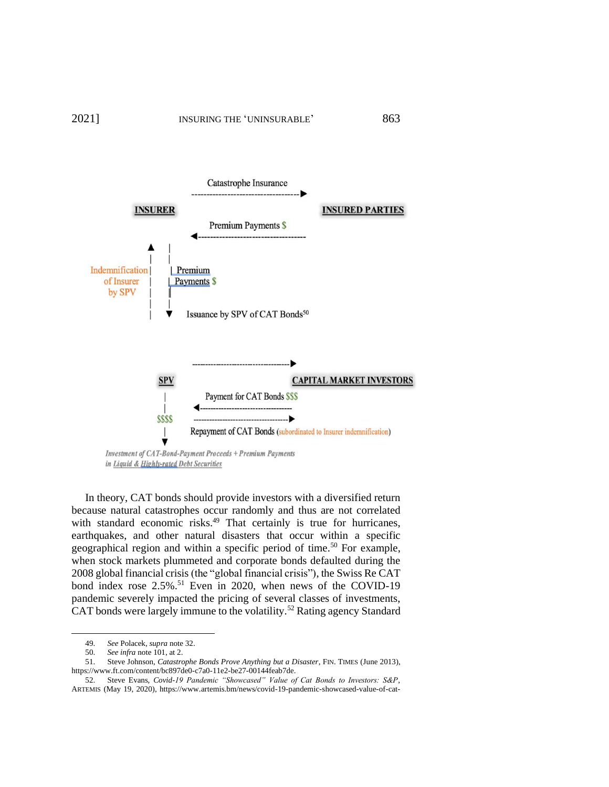

<span id="page-10-1"></span><span id="page-10-0"></span>In theory, CAT bonds should provide investors with a diversified return because natural catastrophes occur randomly and thus are not correlated with standard economic risks.<sup>49</sup> That certainly is true for hurricanes, earthquakes, and other natural disasters that occur within a specific geographical region and within a specific period of time.<sup>50</sup> For example, when stock markets plummeted and corporate bonds defaulted during the 2008 global financial crisis (the "global financial crisis"), the Swiss Re CAT bond index rose  $2.5\%$ .<sup>51</sup> Even in 2020, when news of the COVID-19 pandemic severely impacted the pricing of several classes of investments, CAT bonds were largely immune to the volatility.<sup>52</sup> Rating agency Standard

<span id="page-10-2"></span><sup>49.</sup> *See* Polacek, *supra* not[e 32.](#page-7-1)

<sup>50.</sup> *See infra* not[e 101,](#page-16-0) at 2.

<sup>51.</sup> Steve Johnson, *Catastrophe Bonds Prove Anything but a Disaster*, FIN. TIMES (June 2013), [https://www.ft.com/content/bc897de0-c7a0-11e2-be27-00144feab7de.](https://www.ft.com/content/bc897de0-c7a0-11e2-be27-00144feab7de) 

<sup>52.</sup> Steve Evans, *Covid-19 Pandemic "Showcased" Value of Cat Bonds to Investors: S&P*, ARTEMIS (May 19, 2020), https://www.artemis.bm/news/covid-19-pandemic-showcased-value-of-cat-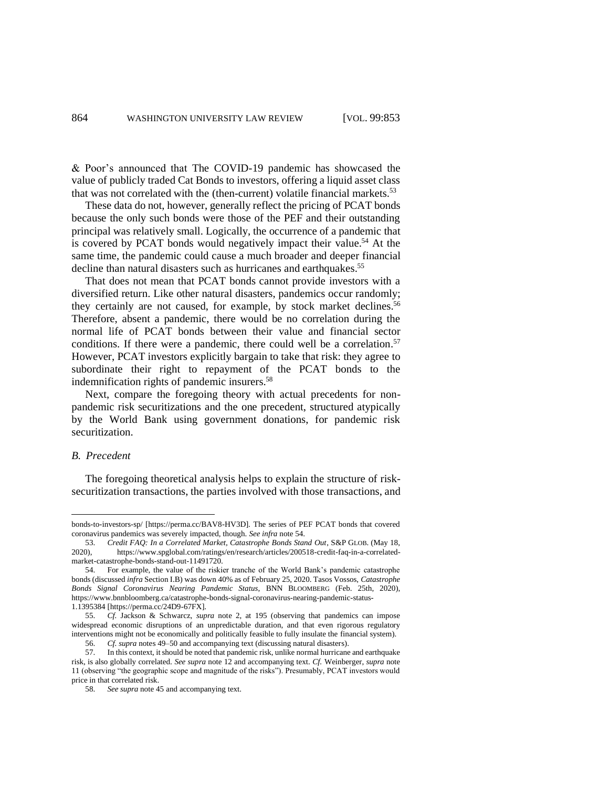& Poor's announced that The COVID-19 pandemic has showcased the value of publicly traded Cat Bonds to investors, offering a liquid asset class that was not correlated with the (then-current) volatile financial markets. $53$ 

<span id="page-11-0"></span>These data do not, however, generally reflect the pricing of PCAT bonds because the only such bonds were those of the PEF and their outstanding principal was relatively small. Logically, the occurrence of a pandemic that is covered by PCAT bonds would negatively impact their value.<sup>54</sup> At the same time, the pandemic could cause a much broader and deeper financial decline than natural disasters such as hurricanes and earthquakes.<sup>55</sup>

<span id="page-11-1"></span>That does not mean that PCAT bonds cannot provide investors with a diversified return. Like other natural disasters, pandemics occur randomly; they certainly are not caused, for example, by stock market declines.<sup>56</sup> Therefore, absent a pandemic, there would be no correlation during the normal life of PCAT bonds between their value and financial sector conditions. If there were a pandemic, there could well be a correlation. 57 However, PCAT investors explicitly bargain to take that risk: they agree to subordinate their right to repayment of the PCAT bonds to the indemnification rights of pandemic insurers.<sup>58</sup>

<span id="page-11-2"></span>Next, compare the foregoing theory with actual precedents for nonpandemic risk securitizations and the one precedent, structured atypically by the World Bank using government donations, for pandemic risk securitization.

# *B. Precedent*

The foregoing theoretical analysis helps to explain the structure of risksecuritization transactions, the parties involved with those transactions, and

bonds-to-investors-sp/ [https://perma.cc/BAV8-HV3D]. The series of PEF PCAT bonds that covered coronavirus pandemics was severely impacted, though. *See infra* note [54.](#page-11-0)

<sup>53.</sup> *Credit FAQ: In a Correlated Market, Catastrophe Bonds Stand Out*, S&P GLOB. (May 18, 2020), [https://www.spglobal.com/ratings/en/research/articles/200518-credit-faq-in-a-correlated](https://www.spglobal.com/ratings/en/research/articles/200518-credit-faq-in-a-correlated-market-catastrophe-bonds-stand-out-11491720)[market-catastrophe-bonds-stand-out-11491720.](https://www.spglobal.com/ratings/en/research/articles/200518-credit-faq-in-a-correlated-market-catastrophe-bonds-stand-out-11491720)

<sup>54.</sup> For example, the value of the riskier tranche of the World Bank's pandemic catastrophe bonds (discussed *infra* Section I.B) was down 40% as of February 25, 2020. Tasos Vossos, *Catastrophe Bonds Signal Coronavirus Nearing Pandemic Status*, BNN BLOOMBERG (Feb. 25th, 2020), https://www.bnnbloomberg.ca/catastrophe-bonds-signal-coronavirus-nearing-pandemic-status-1.1395384 [https://perma.cc/24D9-67FX].

<sup>55.</sup> *Cf.* Jackson & Schwarcz, *supra* note [2,](#page-2-1) at 195 (observing that pandemics can impose widespread economic disruptions of an unpredictable duration, and that even rigorous regulatory interventions might not be economically and politically feasible to fully insulate the financial system).

<sup>56.</sup> *Cf. supra* note[s 49](#page-10-0)[–50](#page-10-1) and accompanying text (discussing natural disasters).

<sup>57.</sup> In this context, it should be noted that pandemic risk, unlike normal hurricane and earthquake risk, is also globally correlated. *See supra* not[e 12](#page-3-1) and accompanying text. *Cf.* Weinberger, *supra* note [11](#page-3-0) (observing "the geographic scope and magnitude of the risks"). Presumably, PCAT investors would price in that correlated risk.

<sup>58.</sup> *See supra* note [45](#page-9-0) and accompanying text.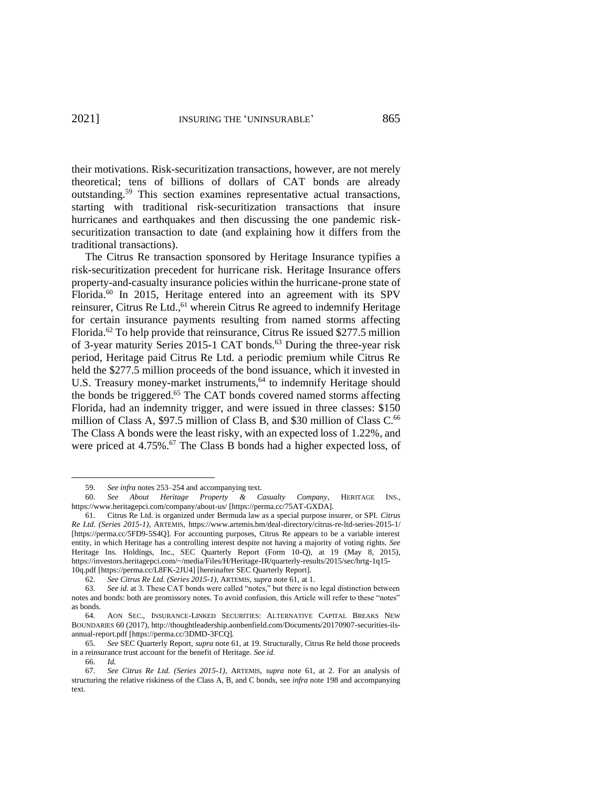<span id="page-12-1"></span>their motivations. Risk-securitization transactions, however, are not merely theoretical; tens of billions of dollars of CAT bonds are already outstanding.<sup>59</sup> This section examines representative actual transactions, starting with traditional risk-securitization transactions that insure hurricanes and earthquakes and then discussing the one pandemic risksecuritization transaction to date (and explaining how it differs from the traditional transactions).

<span id="page-12-2"></span><span id="page-12-0"></span>The Citrus Re transaction sponsored by Heritage Insurance typifies a risk-securitization precedent for hurricane risk. Heritage Insurance offers property-and-casualty insurance policies within the hurricane-prone state of Florida.<sup>60</sup> In 2015, Heritage entered into an agreement with its SPV reinsurer, Citrus Re Ltd.,<sup>61</sup> wherein Citrus Re agreed to indemnify Heritage for certain insurance payments resulting from named storms affecting Florida.<sup>62</sup> To help provide that reinsurance, Citrus Re issued \$277.5 million of 3-year maturity Series 2015-1 CAT bonds. <sup>63</sup> During the three-year risk period, Heritage paid Citrus Re Ltd. a periodic premium while Citrus Re held the \$277.5 million proceeds of the bond issuance, which it invested in U.S. Treasury money-market instruments, <sup>64</sup> to indemnify Heritage should the bonds be triggered.<sup>65</sup> The CAT bonds covered named storms affecting Florida, had an indemnity trigger, and were issued in three classes: \$150 million of Class A, \$97.5 million of Class B, and \$30 million of Class C.<sup>66</sup> The Class A bonds were the least risky, with an expected loss of 1.22%, and were priced at 4.75%.<sup>67</sup> The Class B bonds had a higher expected loss, of

<sup>59.</sup> *See infra* note[s 253–](#page-35-2)[254](#page-35-1) and accompanying text.

<sup>60.</sup> *See About Heritage Property & Casualty Company*, HERITAGE INS., <https://www.heritagepci.com/company/about-us/> [https://perma.cc/75AT-GXDA].

<sup>61.</sup> Citrus Re Ltd. is organized under Bermuda law as a special purpose insurer, or SPI. *Citrus Re Ltd. (Series 2015-1)*, ARTEMIS, <https://www.artemis.bm/deal-directory/citrus-re-ltd-series-2015-1/> [https://perma.cc/5FD9-5S4Q]. For accounting purposes, Citrus Re appears to be a variable interest entity, in which Heritage has a controlling interest despite not having a majority of voting rights. *See* Heritage Ins. Holdings, Inc., SEC Quarterly Report (Form 10-Q), at 19 (May 8, 2015), [https://investors.heritagepci.com/~/media/Files/H/Heritage-IR/quarterly-results/2015/sec/hrtg-1q15-](https://investors.heritagepci.com/~/media/Files/H/Heritage-IR/quarterly-results/2015/sec/hrtg-1q15-10q.pdf) [10q.pdf](https://investors.heritagepci.com/~/media/Files/H/Heritage-IR/quarterly-results/2015/sec/hrtg-1q15-10q.pdf) [https://perma.cc/L8FK-2JU4] [hereinafter SEC Quarterly Report].

<sup>62.</sup> *See Citrus Re Ltd. (Series 2015-1)*, ARTEMIS, *supra* not[e 61,](#page-12-0) at 1.

<sup>63.</sup> *See id.* at 3. These CAT bonds were called "notes," but there is no legal distinction between notes and bonds: both are promissory notes. To avoid confusion, this Article will refer to these "notes" as bonds.

<sup>64.</sup> AON SEC., INSURANCE-LINKED SECURITIES: ALTERNATIVE CAPITAL BREAKS NEW BOUNDARIES 60 (2017), http://thoughtleadership.aonbenfield.com/Documents/20170907-securities-ilsannual-report.pdf [https://perma.cc/3DMD-3FCQ].

<sup>65.</sup> *See* SEC Quarterly Report, *supra* not[e 61,](#page-12-0) at 19. Structurally, Citrus Re held those proceeds in a reinsurance trust account for the benefit of Heritage. *See id.*

<sup>66.</sup> *Id.*

<sup>67.</sup> *See Citrus Re Ltd. (Series 2015-1)*, ARTEMIS, *supra* note [61,](#page-12-0) at 2. For an analysis of structuring the relative riskiness of the Class A, B, and C bonds, see *infra* note [198](#page-27-0) and accompanying text.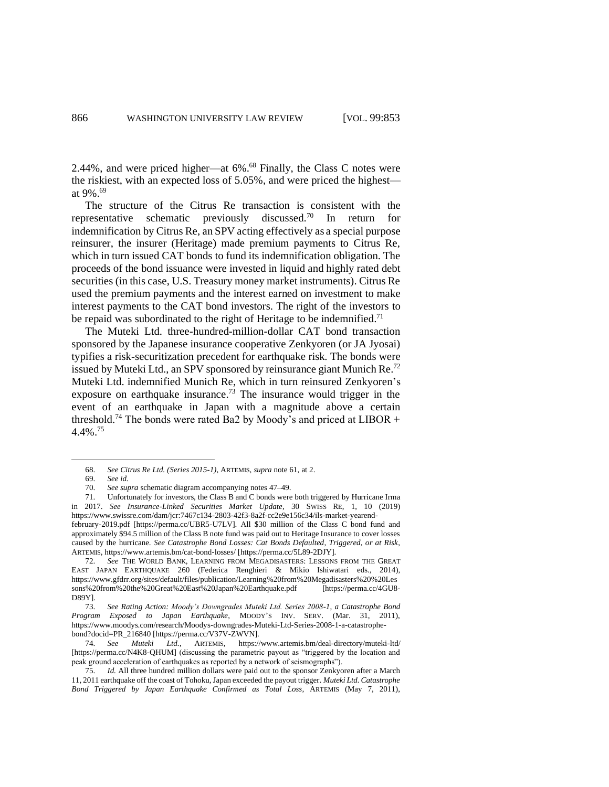2.44%, and were priced higher—at 6%.<sup>68</sup> Finally, the Class C notes were the riskiest, with an expected loss of 5.05%, and were priced the highest at 9%. 69

<span id="page-13-0"></span>The structure of the Citrus Re transaction is consistent with the representative schematic previously discussed.<sup>70</sup> In return for indemnification by Citrus Re, an SPV acting effectively as a special purpose reinsurer, the insurer (Heritage) made premium payments to Citrus Re, which in turn issued CAT bonds to fund its indemnification obligation. The proceeds of the bond issuance were invested in liquid and highly rated debt securities (in this case, U.S. Treasury money market instruments). Citrus Re used the premium payments and the interest earned on investment to make interest payments to the CAT bond investors. The right of the investors to be repaid was subordinated to the right of Heritage to be indemnified.<sup>71</sup>

<span id="page-13-2"></span>The Muteki Ltd. three-hundred-million-dollar CAT bond transaction sponsored by the Japanese insurance cooperative Zenkyoren (or JA Jyosai) typifies a risk-securitization precedent for earthquake risk. The bonds were issued by Muteki Ltd., an SPV sponsored by reinsurance giant Munich Re.<sup>72</sup> Muteki Ltd. indemnified Munich Re, which in turn reinsured Zenkyoren's exposure on earthquake insurance.<sup>73</sup> The insurance would trigger in the event of an earthquake in Japan with a magnitude above a certain threshold.<sup>74</sup> The bonds were rated Ba2 by Moody's and priced at LIBOR + 4.4%. 75

<span id="page-13-1"></span><sup>68.</sup> *See Citrus Re Ltd. (Series 2015-1)*, ARTEMIS, *supra* not[e 61,](#page-12-0) at 2.

<sup>69.</sup> *See id.*

<sup>70.</sup> *See supra* schematic diagram accompanying notes [47–](#page-9-1)[49.](#page-10-0) 

<sup>71.</sup> Unfortunately for investors, the Class B and C bonds were both triggered by Hurricane Irma in 2017. *See Insurance-Linked Securities Market Update*, 30 SWISS RE, 1, 10 (2019) [https://www.swissre.com/dam/jcr:7467c134-2803-42f3-8a2f-cc2e9e156c34/ils-market-yearend](https://www.swissre.com/dam/jcr:7467c134-2803-42f3-8a2f-cc2e9e156c34/ils-market-yearend-february-2019.pdf)[february-2019.pdf](https://www.swissre.com/dam/jcr:7467c134-2803-42f3-8a2f-cc2e9e156c34/ils-market-yearend-february-2019.pdf) [https://perma.cc/UBR5-U7LV]. All \$30 million of the Class C bond fund and

approximately \$94.5 million of the Class B note fund was paid out to Heritage Insurance to cover losses caused by the hurricane. *See Catastrophe Bond Losses: Cat Bonds Defaulted, Triggered, or at Risk*, ARTEMIS[, https://www.artemis.bm/cat-bond-losses/](https://www.artemis.bm/cat-bond-losses/) [https://perma.cc/5L89-2DJY].

<sup>72.</sup> *See* THE WORLD BANK, LEARNING FROM MEGADISASTERS: LESSONS FROM THE GREAT EAST JAPAN EARTHQUAKE 260 (Federica Renghieri & Mikio Ishiwatari eds., 2014), [https://www.gfdrr.org/sites/default/files/publication/Learning%20from%20Megadisasters%20%20Les](https://www.gfdrr.org/sites/default/files/publication/Learning%20from%20Megadisasters%20%20Lessons%20from%20the%20Great%20East%20Japan%20Earthquake.pdf) [sons%20from%20the%20Great%20East%20Japan%20Earthquake.pdf](https://www.gfdrr.org/sites/default/files/publication/Learning%20from%20Megadisasters%20%20Lessons%20from%20the%20Great%20East%20Japan%20Earthquake.pdf) [https://perma.cc/4GU8- D89Y].

<sup>73.</sup> *See Rating Action: Moody's Downgrades Muteki Ltd. Series 2008-1, a Catastrophe Bond Program Exposed to Japan Earthquake*, MOODY'S INV. SERV. (Mar. 31, 2011), https://www.moodys.com/research/Moodys-downgrades-Muteki-Ltd-Series-2008-1-a-catastrophebond?docid=PR\_216840 [https://perma.cc/V37V-ZWVN].

<sup>74.</sup> *See Muteki Ltd.*, ARTEMIS, <https://www.artemis.bm/deal-directory/muteki-ltd/> [https://perma.cc/N4K8-QHUM] (discussing the parametric payout as "triggered by the location and peak ground acceleration of earthquakes as reported by a network of seismographs").

<sup>75.</sup> *Id.* All three hundred million dollars were paid out to the sponsor Zenkyoren after a March 11, 2011 earthquake off the coast of Tohoku, Japan exceeded the payout trigger. *Muteki Ltd. Catastrophe Bond Triggered by Japan Earthquake Confirmed as Total Loss*, ARTEMIS (May 7, 2011),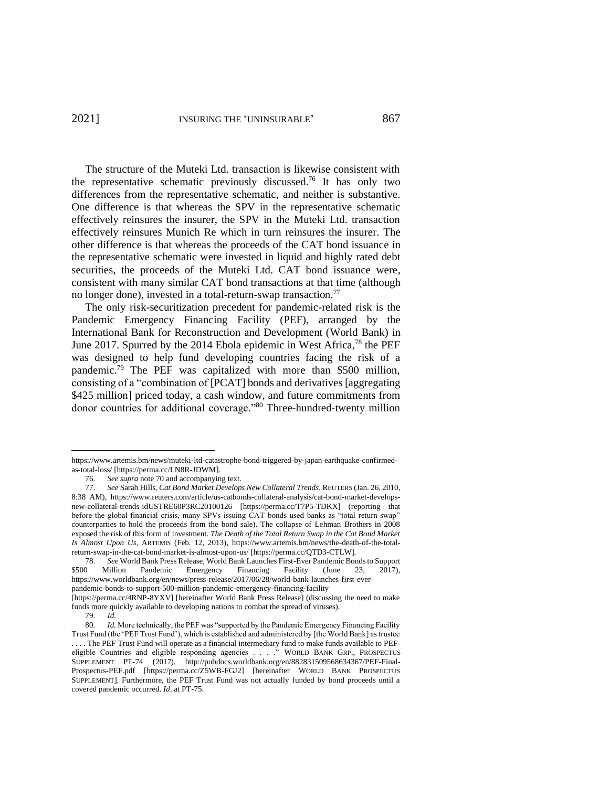The structure of the Muteki Ltd. transaction is likewise consistent with the representative schematic previously discussed.<sup>76</sup> It has only two differences from the representative schematic, and neither is substantive. One difference is that whereas the SPV in the representative schematic effectively reinsures the insurer, the SPV in the Muteki Ltd. transaction effectively reinsures Munich Re which in turn reinsures the insurer. The other difference is that whereas the proceeds of the CAT bond issuance in the representative schematic were invested in liquid and highly rated debt securities, the proceeds of the Muteki Ltd. CAT bond issuance were, consistent with many similar CAT bond transactions at that time (although no longer done), invested in a total-return-swap transaction.<sup>77</sup>

<span id="page-14-1"></span>The only risk-securitization precedent for pandemic-related risk is the Pandemic Emergency Financing Facility (PEF), arranged by the International Bank for Reconstruction and Development (World Bank) in June 2017. Spurred by the 2014 Ebola epidemic in West Africa,<sup>78</sup> the PEF was designed to help fund developing countries facing the risk of a pandemic.<sup>79</sup> The PEF was capitalized with more than \$500 million, consisting of a "combination of [PCAT] bonds and derivatives [aggregating \$425 million] priced today, a cash window, and future commitments from donor countries for additional coverage."<sup>80</sup> Three-hundred-twenty million

[https://www.artemis.bm/news/muteki-ltd-catastrophe-bond-triggered-by-japan-earthquake-confirmed](https://www.artemis.bm/news/muteki-ltd-catastrophe-bond-triggered-by-japan-earthquake-confirmed-as-total-loss/)[as-total-loss/](https://www.artemis.bm/news/muteki-ltd-catastrophe-bond-triggered-by-japan-earthquake-confirmed-as-total-loss/) [https://perma.cc/LN8R-JDWM].

<span id="page-14-0"></span><sup>76.</sup> *See supra* note [70](#page-13-0) and accompanying text.

<sup>77.</sup> *See* Sarah Hills, *Cat Bond Market Develops New Collateral Trends*, REUTERS (Jan. 26, 2010, 8:38 AM), [https://www.reuters.com/article/us-catbonds-collateral-analysis/cat-bond-market-develops](https://www.reuters.com/article/us-catbonds-collateral-analysis/cat-bond-market-develops-new-collateral-trends-idUSTRE60P3RC20100126)[new-collateral-trends-idUSTRE60P3RC20100126](https://www.reuters.com/article/us-catbonds-collateral-analysis/cat-bond-market-develops-new-collateral-trends-idUSTRE60P3RC20100126) [https://perma.cc/T7P5-TDKX] (reporting that before the global financial crisis, many SPVs issuing CAT bonds used banks as "total return swap" counterparties to hold the proceeds from the bond sale). The collapse of Lehman Brothers in 2008 exposed the risk of this form of investment. *The Death of the Total Return Swap in the Cat Bond Market Is Almost Upon Us*, ARTEMIS (Feb. 12, 2013), https://www.artemis.bm/news/the-death-of-the-totalreturn-swap-in-the-cat-bond-market-is-almost-upon-us/ [https://perma.cc/QTD3-CTLW].

<sup>78.</sup> *See* World Bank Press Release, World Bank Launches First-Ever Pandemic Bonds to Support \$500 Million Pandemic Emergency Financing Facility (June 23, 2017), https://www.worldbank.org/en/news/press-release/2017/06/28/world-bank-launches-first-everpandemic-bonds-to-support-500-million-pandemic-emergency-financing-facility

<sup>[</sup>https://perma.cc/4RNP-8YXV] [hereinafter World Bank Press Release] (discussing the need to make funds more quickly available to developing nations to combat the spread of viruses).<br>
79. Id.

<sup>79.</sup> *Id. Id.* More technically, the PEF was "supported by the Pandemic Emergency Financing Facility Trust Fund (the 'PEF Trust Fund'), which is established and administered by [the World Bank] as trustee . . . . The PEF Trust Fund will operate as a financial intermediary fund to make funds available to PEFeligible Countries and eligible responding agencies . . . ." WORLD BANK GRP., PROSPECTUS SUPPLEMENT PT-74 (2017), [http://pubdocs.worldbank.org/en/882831509568634367/PEF-Final-](http://pubdocs.worldbank.org/en/882831509568634367/PEF-Final-Prospectus-PEF.pdf)[Prospectus-PEF.pdf](http://pubdocs.worldbank.org/en/882831509568634367/PEF-Final-Prospectus-PEF.pdf) [https://perma.cc/Z5WB-FGJ2] [hereinafter WORLD BANK PROSPECTUS SUPPLEMENT]. Furthermore, the PEF Trust Fund was not actually funded by bond proceeds until a covered pandemic occurred. *Id*. at PT-75.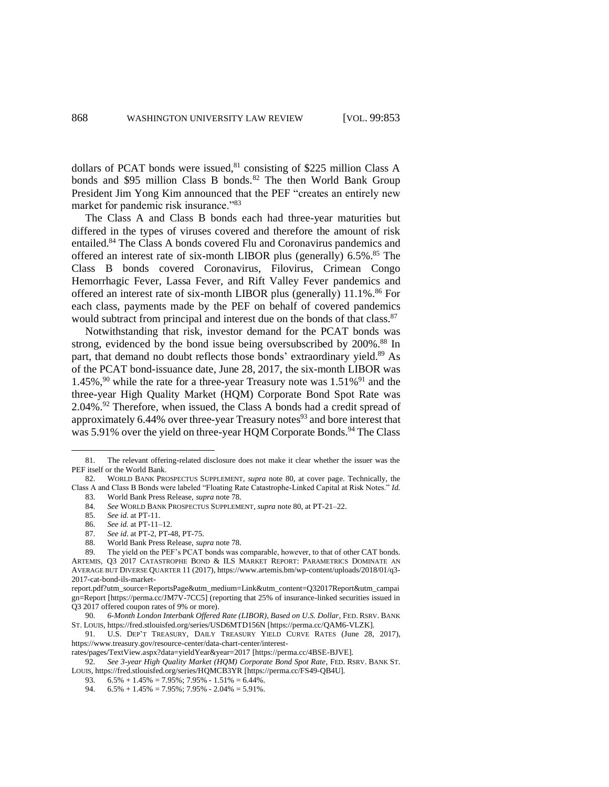<span id="page-15-2"></span>dollars of PCAT bonds were issued,<sup>81</sup> consisting of \$225 million Class A bonds and \$95 million Class B bonds.<sup>82</sup> The then World Bank Group President Jim Yong Kim announced that the PEF "creates an entirely new market for pandemic risk insurance."<sup>83</sup>

<span id="page-15-0"></span>The Class A and Class B bonds each had three-year maturities but differed in the types of viruses covered and therefore the amount of risk entailed.<sup>84</sup> The Class A bonds covered Flu and Coronavirus pandemics and offered an interest rate of six-month LIBOR plus (generally)  $6.5\%$ .<sup>85</sup> The Class B bonds covered Coronavirus, Filovirus, Crimean Congo Hemorrhagic Fever, Lassa Fever, and Rift Valley Fever pandemics and offered an interest rate of six-month LIBOR plus (generally) 11.1%. <sup>86</sup> For each class, payments made by the PEF on behalf of covered pandemics would subtract from principal and interest due on the bonds of that class. $87$ 

<span id="page-15-1"></span>Notwithstanding that risk, investor demand for the PCAT bonds was strong, evidenced by the bond issue being oversubscribed by 200%.<sup>88</sup> In part, that demand no doubt reflects those bonds' extraordinary yield.<sup>89</sup> As of the PCAT bond-issuance date, June 28, 2017, the six-month LIBOR was 1.45%,<sup>90</sup> while the rate for a three-year Treasury note was  $1.51\%$ <sup>91</sup> and the three-year High Quality Market (HQM) Corporate Bond Spot Rate was  $2.04\%$ <sup>92</sup> Therefore, when issued, the Class A bonds had a credit spread of approximately 6.44% over three-year Treasury notes<sup>93</sup> and bore interest that was 5.91% over the yield on three-year HQM Corporate Bonds.<sup>94</sup> The Class

88. World Bank Press Release, *supra* note [78.](#page-14-1)

<sup>81.</sup> The relevant offering-related disclosure does not make it clear whether the issuer was the PEF itself or the World Bank.

<sup>82.</sup> WORLD BANK PROSPECTUS SUPPLEMENT, *supra* note [80,](#page-14-0) at cover page. Technically, the Class A and Class B Bonds were labeled "Floating Rate Catastrophe-Linked Capital at Risk Notes." *Id.* 83. World Bank Press Release, *supra* note [78.](#page-14-1)

<sup>84.</sup> *See* WORLD BANK PROSPECTUS SUPPLEMENT, *supra* not[e 80,](#page-14-0) at PT-21–22.

<sup>85.</sup> *See id.* at PT-11.

<sup>86.</sup> *See id.* at PT-11–12.

<sup>87.</sup> *See id*. at PT-2, PT-48, PT-75.

<sup>89.</sup> The yield on the PEF's PCAT bonds was comparable, however, to that of other CAT bonds. ARTEMIS, Q3 2017 CATASTROPHE BOND & ILS MARKET REPORT: PARAMETRICS DOMINATE AN AVERAGE BUT DIVERSE QUARTER 11 (2017)[, https://www.artemis.bm/wp-content/uploads/2018/01/q3-](https://www.artemis.bm/wp-content/uploads/2018/01/q3-2017-cat-bond-ils-market-report.pdf?utm_source=ReportsPage&utm_medium=Link&utm_content=Q32017Report&utm_campaign=Report) [2017-cat-bond-ils-market-](https://www.artemis.bm/wp-content/uploads/2018/01/q3-2017-cat-bond-ils-market-report.pdf?utm_source=ReportsPage&utm_medium=Link&utm_content=Q32017Report&utm_campaign=Report)

[report.pdf?utm\\_source=ReportsPage&utm\\_medium=Link&utm\\_content=Q32017Report&utm\\_campai](https://www.artemis.bm/wp-content/uploads/2018/01/q3-2017-cat-bond-ils-market-report.pdf?utm_source=ReportsPage&utm_medium=Link&utm_content=Q32017Report&utm_campaign=Report) [gn=Report](https://www.artemis.bm/wp-content/uploads/2018/01/q3-2017-cat-bond-ils-market-report.pdf?utm_source=ReportsPage&utm_medium=Link&utm_content=Q32017Report&utm_campaign=Report) [https://perma.cc/JM7V-7CC5] (reporting that 25% of insurance-linked securities issued in Q3 2017 offered coupon rates of 9% or more).

<sup>90.</sup> *6-Month London Interbank Offered Rate (LIBOR), Based on U.S. Dollar*, FED. RSRV. BANK ST. LOUIS, <https://fred.stlouisfed.org/series/USD6MTD156N> [https://perma.cc/QAM6-VLZK].

<sup>91.</sup> U.S. DEP'T TREASURY, DAILY TREASURY YIELD CURVE RATES (June 28, 2017), https://www.treasury.gov/resource-center/data-chart-center/interest-

rates/pages/TextView.aspx?data=yieldYear&year=2017 [https://perma.cc/4BSE-BJVE].

<sup>92.</sup> *See 3-year High Quality Market (HQM) Corporate Bond Spot Rate*, FED. RSRV. BANK ST. LOUIS, <https://fred.stlouisfed.org/series/HQMCB3YR> [https://perma.cc/FS49-QB4U].

<sup>93.</sup>  $6.5\% + 1.45\% = 7.95\%$ ; 7.95\% - 1.51\% = 6.44\%.

<sup>94.</sup>  $6.5\% + 1.45\% = 7.95\%; 7.95\% - 2.04\% = 5.91\%$ .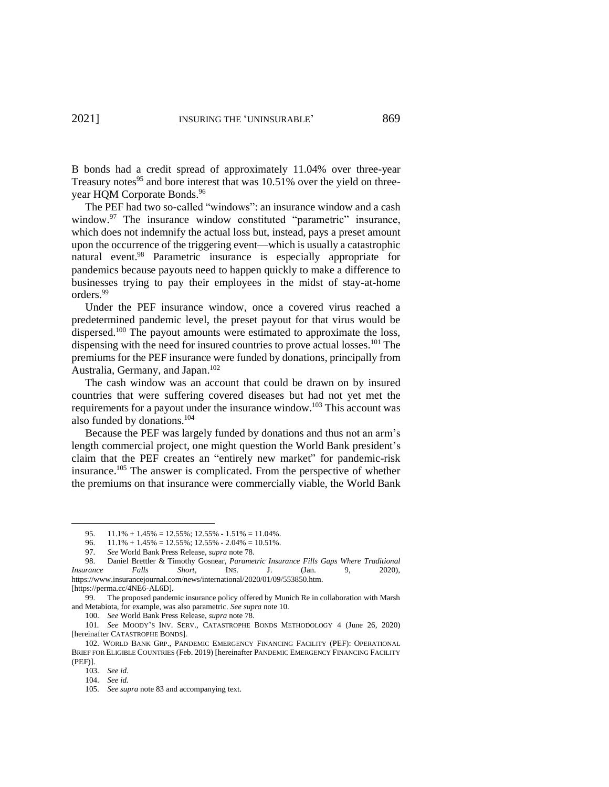B bonds had a credit spread of approximately 11.04% over three-year Treasury notes<sup>95</sup> and bore interest that was 10.51% over the yield on threeyear HQM Corporate Bonds. 96

<span id="page-16-3"></span><span id="page-16-2"></span>The PEF had two so-called "windows": an insurance window and a cash window.<sup>97</sup> The insurance window constituted "parametric" insurance, which does not indemnify the actual loss but, instead, pays a preset amount upon the occurrence of the triggering event—which is usually a catastrophic natural event.<sup>98</sup> Parametric insurance is especially appropriate for pandemics because payouts need to happen quickly to make a difference to businesses trying to pay their employees in the midst of stay-at-home orders.<sup>99</sup>

<span id="page-16-4"></span><span id="page-16-0"></span>Under the PEF insurance window, once a covered virus reached a predetermined pandemic level, the preset payout for that virus would be dispersed.<sup>100</sup> The payout amounts were estimated to approximate the loss, dispensing with the need for insured countries to prove actual losses.<sup>101</sup> The premiums for the PEF insurance were funded by donations, principally from Australia, Germany, and Japan.<sup>102</sup>

<span id="page-16-1"></span>The cash window was an account that could be drawn on by insured countries that were suffering covered diseases but had not yet met the requirements for a payout under the insurance window.<sup>103</sup> This account was also funded by donations.<sup>104</sup>

Because the PEF was largely funded by donations and thus not an arm's length commercial project, one might question the World Bank president's claim that the PEF creates an "entirely new market" for pandemic-risk insurance.<sup>105</sup> The answer is complicated. From the perspective of whether the premiums on that insurance were commercially viable, the World Bank

<sup>95.</sup>  $11.1\% + 1.45\% = 12.55\%; 12.55\% - 1.51\% = 11.04\%$ .

<sup>96.</sup>  $11.1\% + 1.45\% = 12.55\%$ ; 12.55% - 2.04% = 10.51%.<br>97. See World Bank Press Release. *supra* note 78.

<sup>97.</sup> *See* World Bank Press Release, *supra* not[e 78.](#page-14-1)

<sup>98.</sup> Daniel Brettler & Timothy Gosnear, *Parametric Insurance Fills Gaps Where Traditional Insurance Falls Short*, INS. J. (Jan. 9, 2020), https://www.insurancejournal.com/news/international/2020/01/09/553850.htm. [https://perma.cc/4NE6-AL6D].

<sup>99.</sup> The proposed pandemic insurance policy offered by Munich Re in collaboration with Marsh and Metabiota, for example, was also parametric. *See supra* note [10.](#page-3-2)

<sup>100.</sup> *See* World Bank Press Release, *supra* not[e 78.](#page-14-1)

<sup>101</sup>*. See* MOODY'S INV. SERV., CATASTROPHE BONDS METHODOLOGY 4 (June 26, 2020) [hereinafter CATASTROPHE BONDS].

<sup>102.</sup> WORLD BANK GRP., PANDEMIC EMERGENCY FINANCING FACILITY (PEF): OPERATIONAL BRIEF FOR ELIGIBLE COUNTRIES (Feb. 2019) [hereinafter PANDEMIC EMERGENCY FINANCING FACILITY (PEF)].

<sup>103.</sup> *See id.*

<sup>104.</sup> *See id.* 

<sup>105.</sup> *See supra* note [83](#page-15-0) and accompanying text.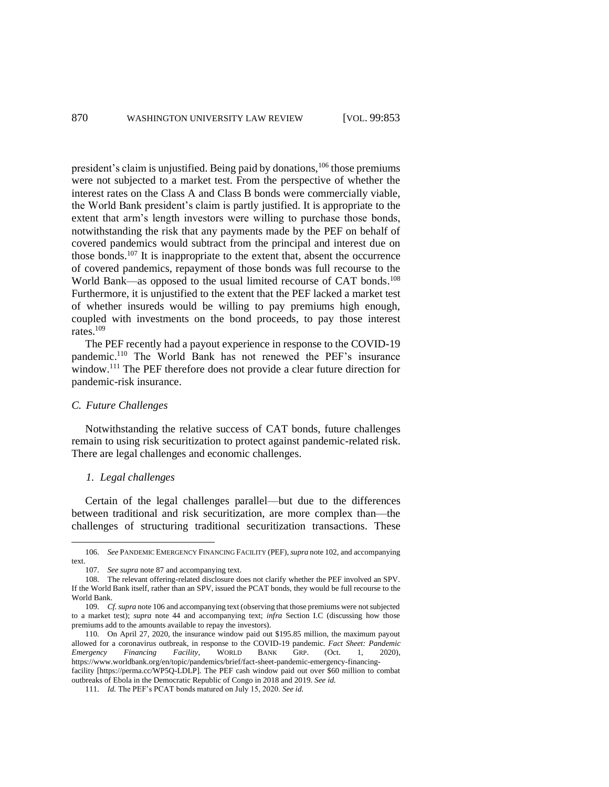<span id="page-17-0"></span>president's claim is unjustified. Being paid by donations,<sup>106</sup> those premiums were not subjected to a market test. From the perspective of whether the interest rates on the Class A and Class B bonds were commercially viable, the World Bank president's claim is partly justified. It is appropriate to the extent that arm's length investors were willing to purchase those bonds, notwithstanding the risk that any payments made by the PEF on behalf of covered pandemics would subtract from the principal and interest due on those bonds.<sup>107</sup> It is inappropriate to the extent that, absent the occurrence of covered pandemics, repayment of those bonds was full recourse to the World Bank—as opposed to the usual limited recourse of CAT bonds.<sup>108</sup> Furthermore, it is unjustified to the extent that the PEF lacked a market test of whether insureds would be willing to pay premiums high enough, coupled with investments on the bond proceeds, to pay those interest rates $109$ 

The PEF recently had a payout experience in response to the COVID-19 pandemic.<sup>110</sup> The World Bank has not renewed the PEF's insurance window. <sup>111</sup> The PEF therefore does not provide a clear future direction for pandemic-risk insurance.

# *C. Future Challenges*

Notwithstanding the relative success of CAT bonds, future challenges remain to using risk securitization to protect against pandemic-related risk. There are legal challenges and economic challenges.

# *1. Legal challenges*

Certain of the legal challenges parallel—but due to the differences between traditional and risk securitization, are more complex than—the challenges of structuring traditional securitization transactions. These

<sup>106.</sup> *See* PANDEMIC EMERGENCY FINANCING FACILITY (PEF),*supra* not[e 102,](#page-16-1) and accompanying text.

<sup>107.</sup> *See supra* note [87](#page-15-1) and accompanying text.

<sup>108.</sup> The relevant offering-related disclosure does not clarify whether the PEF involved an SPV. If the World Bank itself, rather than an SPV, issued the PCAT bonds, they would be full recourse to the World Bank.

<sup>109.</sup> *Cf. supra* not[e 106](#page-17-0) and accompanying text (observing that those premiums were not subjected to a market test); *supra* note [44](#page-9-2) and accompanying text; *infra* Section I.C (discussing how those premiums add to the amounts available to repay the investors).

<sup>110.</sup> On April 27, 2020, the insurance window paid out \$195.85 million, the maximum payout allowed for a coronavirus outbreak, in response to the COVID-19 pandemic. *Fact Sheet: Pandemic Emergency Financing Facility*, WORLD BANK GRP. (Oct. 1, 2020), https://www.worldbank.org/en/topic/pandemics/brief/fact-sheet-pandemic-emergency-financing-

facility [https://perma.cc/WP5Q-LDLP]. The PEF cash window paid out over \$60 million to combat outbreaks of Ebola in the Democratic Republic of Congo in 2018 and 2019. *See id.*

<sup>111.</sup> *Id.* The PEF's PCAT bonds matured on July 15, 2020. *See id.*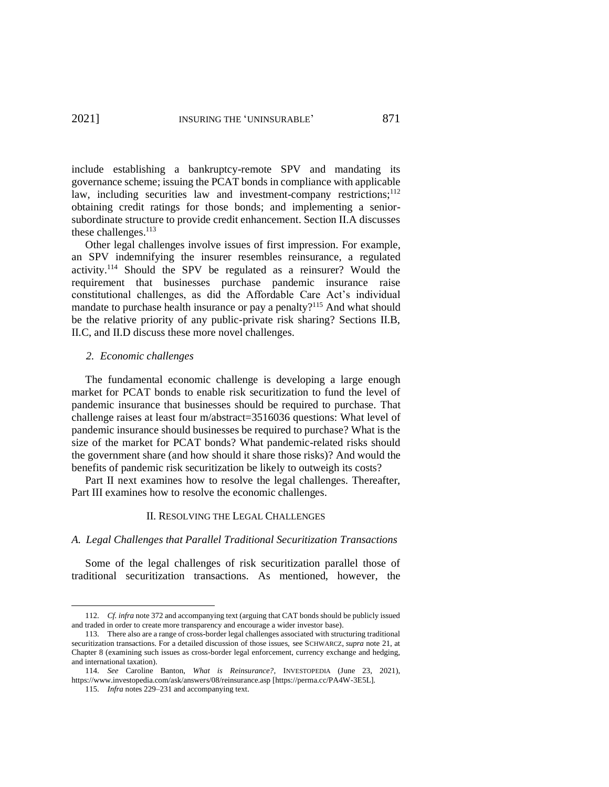include establishing a bankruptcy-remote SPV and mandating its governance scheme; issuing the PCAT bonds in compliance with applicable law, including securities law and investment-company restrictions;<sup>112</sup> obtaining credit ratings for those bonds; and implementing a seniorsubordinate structure to provide credit enhancement. Section II.A discusses these challenges.<sup>113</sup>

Other legal challenges involve issues of first impression. For example, an SPV indemnifying the insurer resembles reinsurance, a regulated activity.<sup>114</sup> Should the SPV be regulated as a reinsurer? Would the requirement that businesses purchase pandemic insurance raise constitutional challenges, as did the Affordable Care Act's individual mandate to purchase health insurance or pay a penalty?<sup>115</sup> And what should be the relative priority of any public-private risk sharing? Sections II.B, II.C, and II.D discuss these more novel challenges.

### *2. Economic challenges*

The fundamental economic challenge is developing a large enough market for PCAT bonds to enable risk securitization to fund the level of pandemic insurance that businesses should be required to purchase. That challenge raises at least four m/abstract=3516036 questions: What level of pandemic insurance should businesses be required to purchase? What is the size of the market for PCAT bonds? What pandemic-related risks should the government share (and how should it share those risks)? And would the benefits of pandemic risk securitization be likely to outweigh its costs?

Part II next examines how to resolve the legal challenges. Thereafter, Part III examines how to resolve the economic challenges.

### II. RESOLVING THE LEGAL CHALLENGES

# *A. Legal Challenges that Parallel Traditional Securitization Transactions*

Some of the legal challenges of risk securitization parallel those of traditional securitization transactions. As mentioned, however, the

<sup>112.</sup> *Cf. infra* not[e 372](#page-51-0) and accompanying text (arguing that CAT bonds should be publicly issued and traded in order to create more transparency and encourage a wider investor base).

<sup>113.</sup> There also are a range of cross-border legal challenges associated with structuring traditional securitization transactions. For a detailed discussion of those issues, see SCHWARCZ, *supra* note [21,](#page-5-3) at Chapter 8 (examining such issues as cross-border legal enforcement, currency exchange and hedging, and international taxation).

<sup>114.</sup> *See* Caroline Banton, *What is Reinsurance?*, INVESTOPEDIA (June 23, 2021), https://www.investopedia.com/ask/answers/08/reinsurance.asp [https://perma.cc/PA4W-3E5L].

<sup>115.</sup> *Infra* notes 229–231 and accompanying text.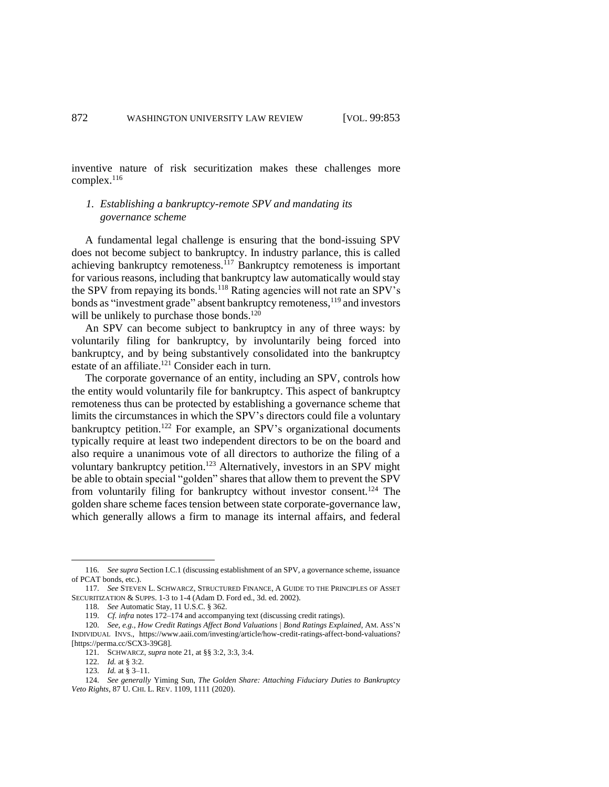inventive nature of risk securitization makes these challenges more complex. 116

# *1. Establishing a bankruptcy-remote SPV and mandating its governance scheme*

A fundamental legal challenge is ensuring that the bond-issuing SPV does not become subject to bankruptcy. In industry parlance, this is called achieving bankruptcy remoteness.<sup>117</sup> Bankruptcy remoteness is important for various reasons, including that bankruptcy law automatically would stay the SPV from repaying its bonds.<sup>118</sup> Rating agencies will not rate an SPV's bonds as "investment grade" absent bankruptcy remoteness, <sup>119</sup> and investors will be unlikely to purchase those bonds.<sup>120</sup>

An SPV can become subject to bankruptcy in any of three ways: by voluntarily filing for bankruptcy, by involuntarily being forced into bankruptcy, and by being substantively consolidated into the bankruptcy estate of an affiliate.<sup>121</sup> Consider each in turn.

<span id="page-19-0"></span>The corporate governance of an entity, including an SPV, controls how the entity would voluntarily file for bankruptcy. This aspect of bankruptcy remoteness thus can be protected by establishing a governance scheme that limits the circumstances in which the SPV's directors could file a voluntary bankruptcy petition.<sup>122</sup> For example, an SPV's organizational documents typically require at least two independent directors to be on the board and also require a unanimous vote of all directors to authorize the filing of a voluntary bankruptcy petition.<sup>123</sup> Alternatively, investors in an SPV might be able to obtain special "golden" shares that allow them to prevent the SPV from voluntarily filing for bankruptcy without investor consent.<sup>124</sup> The golden share scheme faces tension between state corporate-governance law, which generally allows a firm to manage its internal affairs, and federal

<sup>116.</sup> *See supra* Section I.C.1 (discussing establishment of an SPV, a governance scheme, issuance of PCAT bonds, etc.).

<sup>117.</sup> *See* STEVEN L. SCHWARCZ, STRUCTURED FINANCE, A GUIDE TO THE PRINCIPLES OF ASSET SECURITIZATION & SUPPS. 1-3 to 1-4 (Adam D. Ford ed., 3d. ed. 2002).

<sup>118.</sup> *See* Automatic Stay, 11 U.S.C. § 362.

<sup>119.</sup> *Cf. infra* notes [172–](#page-24-0)[174](#page-25-0) and accompanying text (discussing credit ratings).

<sup>120.</sup> *See, e.g.*, *How Credit Ratings Affect Bond Valuations | Bond Ratings Explained*, AM. ASS'N INDIVIDUAL INVS., https://www.aaii.com/investing/article/how-credit-ratings-affect-bond-valuations? [https://perma.cc/SCX3-39G8].

<sup>121.</sup> SCHWARCZ, *supra* note [21,](#page-5-3) at §§ 3:2, 3:3, 3:4.

<sup>122.</sup> *Id.* at § 3:2.

<sup>123.</sup> *Id.* at § 3–11.

<sup>124.</sup> *See generally* Yiming Sun, *The Golden Share: Attaching Fiduciary Duties to Bankruptcy Veto Rights*, 87 U. CHI. L. REV. 1109, 1111 (2020).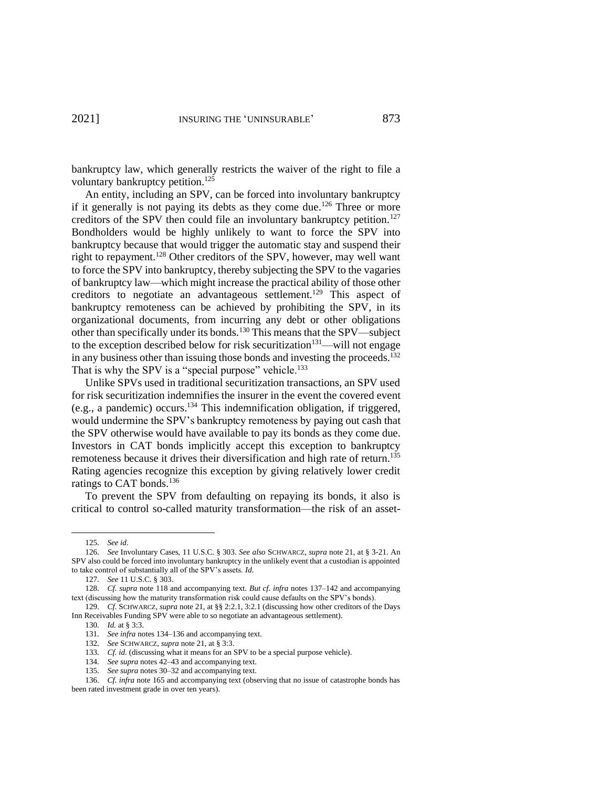bankruptcy law, which generally restricts the waiver of the right to file a voluntary bankruptcy petition.<sup>125</sup>

An entity, including an SPV, can be forced into involuntary bankruptcy if it generally is not paying its debts as they come due.<sup>126</sup> Three or more creditors of the SPV then could file an involuntary bankruptcy petition.<sup>127</sup> Bondholders would be highly unlikely to want to force the SPV into bankruptcy because that would trigger the automatic stay and suspend their right to repayment.<sup>128</sup> Other creditors of the SPV, however, may well want to force the SPV into bankruptcy, thereby subjecting the SPV to the vagaries of bankruptcy law—which might increase the practical ability of those other creditors to negotiate an advantageous settlement.<sup>129</sup> This aspect of bankruptcy remoteness can be achieved by prohibiting the SPV, in its organizational documents, from incurring any debt or other obligations other than specifically under its bonds.<sup>130</sup> This means that the SPV—subject to the exception described below for risk securitization<sup>131</sup>—will not engage in any business other than issuing those bonds and investing the proceeds. $^{132}$ That is why the SPV is a "special purpose" vehicle.<sup>133</sup>

<span id="page-20-0"></span>Unlike SPVs used in traditional securitization transactions, an SPV used for risk securitization indemnifies the insurer in the event the covered event  $(e.g., a pandemic) occurs.<sup>134</sup> This indentation obligation, if triggered,$ would undermine the SPV's bankruptcy remoteness by paying out cash that the SPV otherwise would have available to pay its bonds as they come due. Investors in CAT bonds implicitly accept this exception to bankruptcy remoteness because it drives their diversification and high rate of return.<sup>135</sup> Rating agencies recognize this exception by giving relatively lower credit ratings to CAT bonds.<sup>136</sup>

<span id="page-20-1"></span>To prevent the SPV from defaulting on repaying its bonds, it also is critical to control so-called maturity transformation—the risk of an asset-

<sup>125.</sup> *See id.*

<sup>126.</sup> *See* Involuntary Cases, 11 U.S.C. § 303. *See also* SCHWARCZ, *supra* note [21,](#page-5-3) at § 3-21. An SPV also could be forced into involuntary bankruptcy in the unlikely event that a custodian is appointed to take control of substantially all of the SPV's assets. *Id*.

<sup>127.</sup> *See* 11 U.S.C. § 303.

<sup>128.</sup> *Cf. supra* note 118 and accompanying text. *But cf. infra* note[s 137](#page-21-0)[–142](#page-21-1) and accompanying text (discussing how the maturity transformation risk could cause defaults on the SPV's bonds).

<sup>129.</sup> *Cf.* SCHWARCZ, *supra* not[e 21,](#page-5-3) at §§ 2:2.1, 3:2.1 (discussing how other creditors of the Days Inn Receivables Funding SPV were able to so negotiate an advantageous settlement).

<sup>130.</sup> *Id.* at § 3:3.

<sup>131.</sup> *See infra* note[s 134–](#page-20-0)[136](#page-20-1) and accompanying text.

<sup>132.</sup> *See* SCHWARCZ, *supra* note [21,](#page-5-3) at § 3:3.

<sup>133.</sup> *Cf. id.* (discussing what it means for an SPV to be a special purpose vehicle).

<sup>134.</sup> *See supra* note[s 42](#page-9-3)[–43](#page-9-4) and accompanying text.

<sup>135.</sup> *See supra* note[s 30](#page-6-0)[–32](#page-7-0) and accompanying text.

<sup>136.</sup> *Cf. infra* not[e 165](#page-24-1) and accompanying text (observing that no issue of catastrophe bonds has been rated investment grade in over ten years).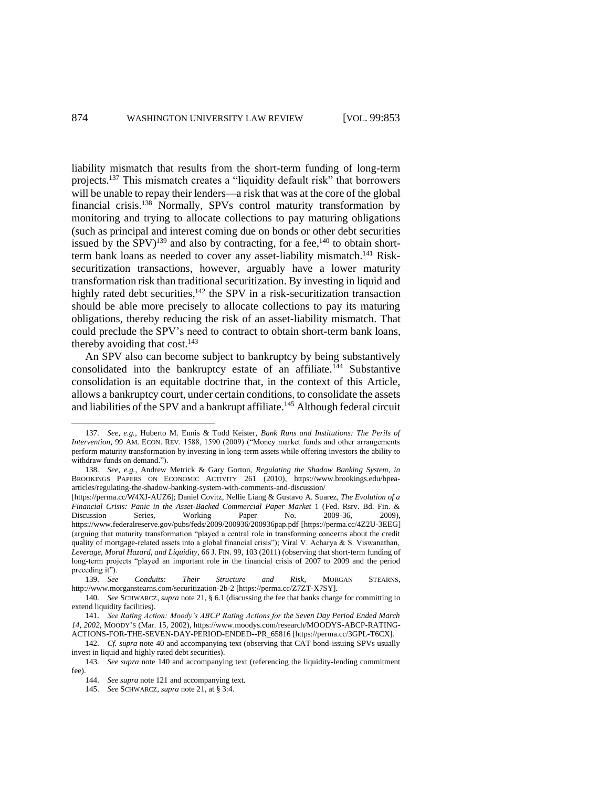<span id="page-21-2"></span><span id="page-21-0"></span>liability mismatch that results from the short-term funding of long-term projects.<sup>137</sup> This mismatch creates a "liquidity default risk" that borrowers will be unable to repay their lenders—a risk that was at the core of the global financial crisis.<sup>138</sup> Normally, SPVs control maturity transformation by monitoring and trying to allocate collections to pay maturing obligations (such as principal and interest coming due on bonds or other debt securities issued by the SPV)<sup>139</sup> and also by contracting, for a fee,<sup>140</sup> to obtain shortterm bank loans as needed to cover any asset-liability mismatch.<sup>141</sup> Risksecuritization transactions, however, arguably have a lower maturity transformation risk than traditional securitization. By investing in liquid and highly rated debt securities,<sup>142</sup> the SPV in a risk-securitization transaction should be able more precisely to allocate collections to pay its maturing obligations, thereby reducing the risk of an asset-liability mismatch. That could preclude the SPV's need to contract to obtain short-term bank loans, thereby avoiding that  $cost.^{143}$ 

<span id="page-21-1"></span>An SPV also can become subject to bankruptcy by being substantively consolidated into the bankruptcy estate of an affiliate.<sup>144</sup> Substantive consolidation is an equitable doctrine that, in the context of this Article, allows a bankruptcy court, under certain conditions, to consolidate the assets and liabilities of the SPV and a bankrupt affiliate.<sup>145</sup> Although federal circuit

<sup>137.</sup> *See, e.g.*, Huberto M. Ennis & Todd Keister, *Bank Runs and Institutions: The Perils of Intervention*, 99 AM. ECON. REV. 1588, 1590 (2009) ("Money market funds and other arrangements perform maturity transformation by investing in long-term assets while offering investors the ability to withdraw funds on demand.").

<sup>138.</sup> *See, e.g.*, Andrew Metrick & Gary Gorton, *Regulating the Shadow Banking System*, *in*  BROOKINGS PAPERS ON ECONOMIC ACTIVITY 261 (2010), https://www.brookings.edu/bpeaarticles/regulating-the-shadow-banking-system-with-comments-and-discussion/

<sup>[</sup>https://perma.cc/W4XJ-AUZ6]; Daniel Covitz, Nellie Liang & Gustavo A. Suarez, *The Evolution of a Financial Crisis: Panic in the Asset-Backed Commercial Paper Market* 1 (Fed. Rsrv. Bd. Fin. & Discussion Series, Working Paper No. 2009-36, 2009), https://www.federalreserve.gov/pubs/feds/2009/200936/200936pap.pdf [https://perma.cc/4Z2U-3EEG] (arguing that maturity transformation "played a central role in transforming concerns about the credit quality of mortgage-related assets into a global financial crisis"); Viral V. Acharya & S. Viswanathan, *Leverage, Moral Hazard, and Liquidity*, 66 J. FIN. 99, 103 (2011) (observing that short-term funding of long-term projects "played an important role in the financial crisis of 2007 to 2009 and the period preceding it").

<sup>139.</sup> *See Conduits: Their Structure and Risk*, MORGAN STEARNS, http://www.morganstearns.com/securitization-2b-2 [https://perma.cc/Z7ZT-X7SY].

<sup>140.</sup> *See* SCHWARCZ, *supra* not[e 21,](#page-5-3) § 6.1 (discussing the fee that banks charge for committing to extend liquidity facilities).

<sup>141.</sup> *See Rating Action: Moody's ABCP Rating Actions for the Seven Day Period Ended March 14, 2002*, MOODY'S (Mar. 15, 2002), https://www.moodys.com/research/MOODYS-ABCP-RATING-ACTIONS-FOR-THE-SEVEN-DAY-PERIOD-ENDED--PR\_65816 [https://perma.cc/3GPL-T6CX].

<sup>142.</sup> *Cf. supra* note [40](#page-8-0) and accompanying text (observing that CAT bond-issuing SPVs usually invest in liquid and highly rated debt securities).

<sup>143.</sup> *See supra* note [140](#page-21-2) and accompanying text (referencing the liquidity-lending commitment fee).

<sup>144.</sup> *See supra* note [121](#page-19-0) and accompanying text.

<sup>145.</sup> *See* SCHWARCZ, *supra* note [21,](#page-5-3) at § 3:4.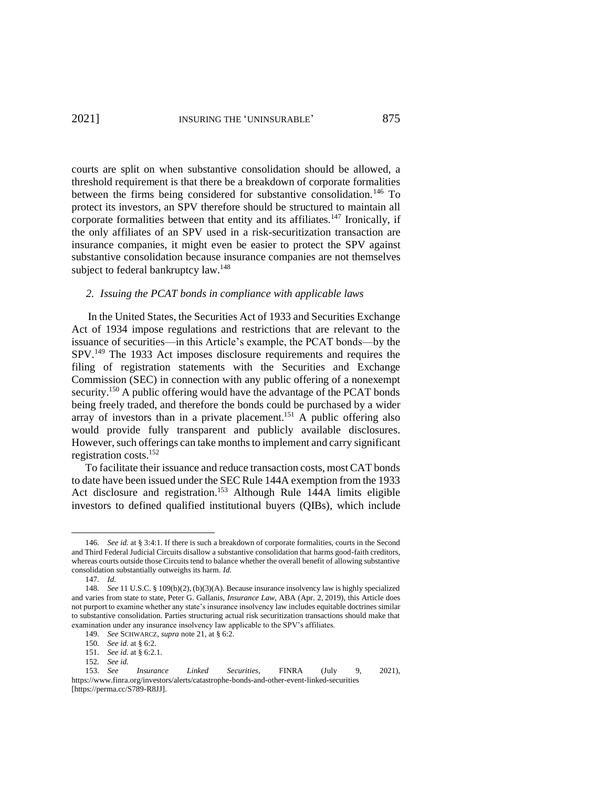courts are split on when substantive consolidation should be allowed, a threshold requirement is that there be a breakdown of corporate formalities between the firms being considered for substantive consolidation.<sup>146</sup> To protect its investors, an SPV therefore should be structured to maintain all corporate formalities between that entity and its affiliates.<sup>147</sup> Ironically, if the only affiliates of an SPV used in a risk-securitization transaction are insurance companies, it might even be easier to protect the SPV against substantive consolidation because insurance companies are not themselves subject to federal bankruptcy law.<sup>148</sup>

#### *2. Issuing the PCAT bonds in compliance with applicable laws*

In the United States, the Securities Act of 1933 and Securities Exchange Act of 1934 impose regulations and restrictions that are relevant to the issuance of securities—in this Article's example, the PCAT bonds—by the SPV.<sup>149</sup> The 1933 Act imposes disclosure requirements and requires the filing of registration statements with the Securities and Exchange Commission (SEC) in connection with any public offering of a nonexempt security.<sup>150</sup> A public offering would have the advantage of the PCAT bonds being freely traded, and therefore the bonds could be purchased by a wider array of investors than in a private placement.<sup>151</sup> A public offering also would provide fully transparent and publicly available disclosures. However, such offerings can take months to implement and carry significant registration costs.<sup>152</sup>

<span id="page-22-0"></span>To facilitate their issuance and reduce transaction costs, most CAT bonds to date have been issued under the SEC Rule 144A exemption from the 1933 Act disclosure and registration. <sup>153</sup> Although Rule 144A limits eligible investors to defined qualified institutional buyers (QIBs), which include

<sup>146.</sup> *See id.* at § 3:4:1. If there is such a breakdown of corporate formalities, courts in the Second and Third Federal Judicial Circuits disallow a substantive consolidation that harms good-faith creditors, whereas courts outside those Circuits tend to balance whether the overall benefit of allowing substantive consolidation substantially outweighs its harm. *Id.*

<sup>147.</sup> *Id.*

<sup>148.</sup> *See* 11 U.S.C. § 109(b)(2), (b)(3)(A). Because insurance insolvency law is highly specialized and varies from state to state, Peter G. Gallanis, *Insurance Law*, ABA (Apr. 2, 2019), this Article does not purport to examine whether any state's insurance insolvency law includes equitable doctrines similar to substantive consolidation. Parties structuring actual risk securitization transactions should make that examination under any insurance insolvency law applicable to the SPV's affiliates.

<sup>149.</sup> *See* SCHWARCZ, *supra* note [21,](#page-5-3) at § 6:2.

<sup>150.</sup> *See id.* at § 6:2.

<sup>151.</sup> *See id.* at § 6:2.1.

<sup>152.</sup> *See id.*

<sup>153.</sup> *See Insurance Linked Securities*, FINRA (July 9, 2021), https://www.finra.org/investors/alerts/catastrophe-bonds-and-other-event-linked-securities [https://perma.cc/S789-R8JJ].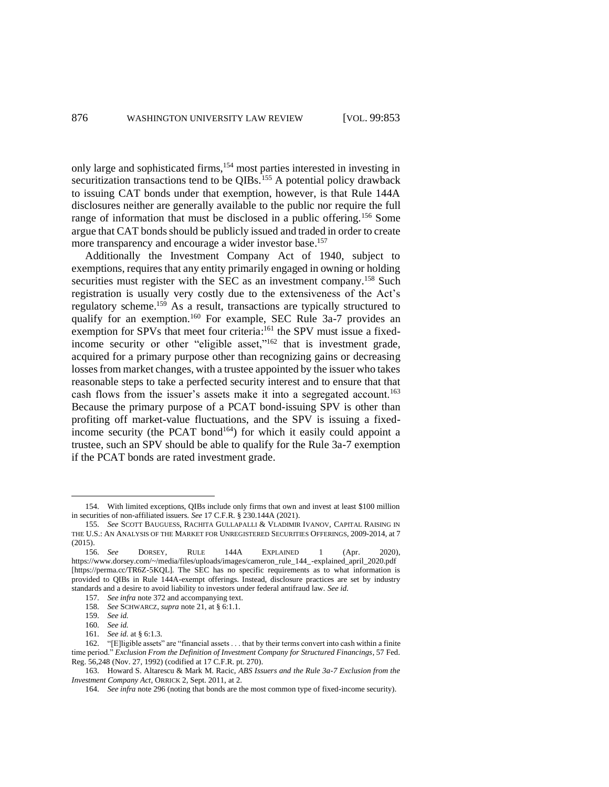<span id="page-23-0"></span>only large and sophisticated firms,<sup>154</sup> most parties interested in investing in securitization transactions tend to be QIBs.<sup>155</sup> A potential policy drawback to issuing CAT bonds under that exemption, however, is that Rule 144A disclosures neither are generally available to the public nor require the full range of information that must be disclosed in a public offering.<sup>156</sup> Some argue that CAT bonds should be publicly issued and traded in order to create more transparency and encourage a wider investor base.<sup>157</sup>

Additionally the Investment Company Act of 1940, subject to exemptions, requires that any entity primarily engaged in owning or holding securities must register with the SEC as an investment company.<sup>158</sup> Such registration is usually very costly due to the extensiveness of the Act's regulatory scheme.<sup>159</sup> As a result, transactions are typically structured to qualify for an exemption.<sup>160</sup> For example, SEC Rule 3a-7 provides an exemption for SPVs that meet four criteria:<sup>161</sup> the SPV must issue a fixedincome security or other "eligible asset,"<sup>162</sup> that is investment grade, acquired for a primary purpose other than recognizing gains or decreasing losses from market changes, with a trustee appointed by the issuer who takes reasonable steps to take a perfected security interest and to ensure that that cash flows from the issuer's assets make it into a segregated account.<sup>163</sup> Because the primary purpose of a PCAT bond-issuing SPV is other than profiting off market-value fluctuations, and the SPV is issuing a fixedincome security (the PCAT bond<sup>164</sup>) for which it easily could appoint a trustee, such an SPV should be able to qualify for the Rule 3a-7 exemption if the PCAT bonds are rated investment grade.

<sup>154.</sup> With limited exceptions, QIBs include only firms that own and invest at least \$100 million in securities of non-affiliated issuers. *See* 17 C.F.R. § 230.144A (2021).

<sup>155.</sup> *See* SCOTT BAUGUESS, RACHITA GULLAPALLI & VLADIMIR IVANOV, CAPITAL RAISING IN THE U.S.: AN ANALYSIS OF THE MARKET FOR UNREGISTERED SECURITIES OFFERINGS, 2009-2014, at 7 (2015).

<sup>156.</sup> *See* DORSEY, RULE 144A EXPLAINED 1 (Apr. 2020), https://www.dorsey.com/~/media/files/uploads/images/cameron\_rule\_144\_-explained\_april\_2020.pdf [https://perma.cc/TR6Z-5KQL]. The SEC has no specific requirements as to what information is provided to QIBs in Rule 144A-exempt offerings. Instead, disclosure practices are set by industry standards and a desire to avoid liability to investors under federal antifraud law. *See id.*

<sup>157.</sup> *See infra* not[e 372](#page-51-0) and accompanying text.

<sup>158.</sup> *See* SCHWARCZ, *supra* note [21,](#page-5-3) at § 6:1.1.

<sup>159.</sup> *See id.*

<sup>160.</sup> *See id.*

<sup>161.</sup> *See id.* at § 6:1.3.

<sup>162.</sup> "[E]ligible assets" are "financial assets . . . that by their terms convert into cash within a finite time period." *Exclusion From the Definition of Investment Company for Structured Financings*, 57 Fed. Reg. 56,248 (Nov. 27, 1992) (codified at 17 C.F.R. pt. 270).

<sup>163.</sup> Howard S. Altarescu & Mark M. Racic, *ABS Issuers and the Rule 3a-7 Exclusion from the Investment Company Act*, ORRICK 2, Sept. 2011, at 2.

<sup>164.</sup> *See infra* not[e 296](#page-41-1) (noting that bonds are the most common type of fixed-income security).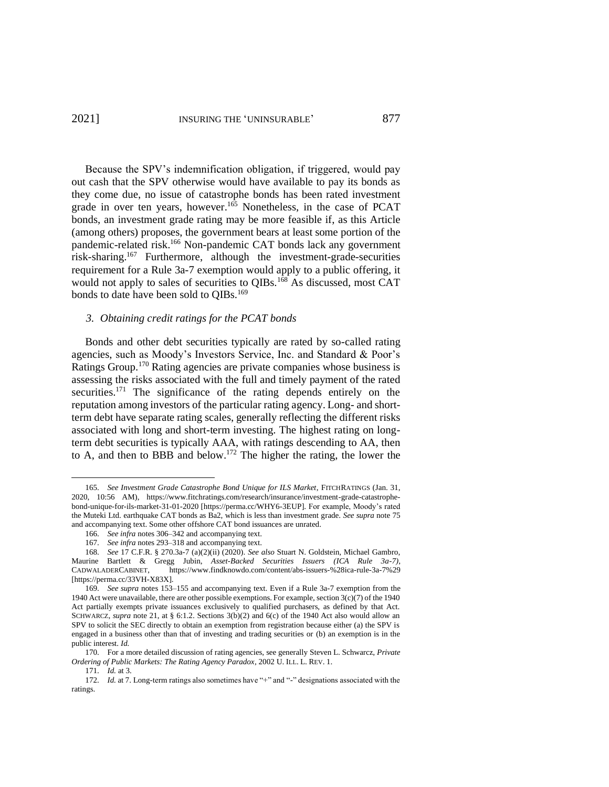# 2021] INSURING THE 'UNINSURABLE' 877

<span id="page-24-1"></span>Because the SPV's indemnification obligation, if triggered, would pay out cash that the SPV otherwise would have available to pay its bonds as they come due, no issue of catastrophe bonds has been rated investment grade in over ten years, however.<sup>165</sup> Nonetheless, in the case of PCAT bonds, an investment grade rating may be more feasible if, as this Article (among others) proposes, the government bears at least some portion of the pandemic-related risk.<sup>166</sup> Non-pandemic CAT bonds lack any government risk-sharing.<sup>167</sup> Furthermore, although the investment-grade-securities requirement for a Rule 3a-7 exemption would apply to a public offering, it would not apply to sales of securities to QIBs.<sup>168</sup> As discussed, most CAT bonds to date have been sold to QIBs.<sup>169</sup>

# *3. Obtaining credit ratings for the PCAT bonds*

<span id="page-24-2"></span>Bonds and other debt securities typically are rated by so-called rating agencies, such as Moody's Investors Service, Inc. and Standard & Poor's Ratings Group.<sup>170</sup> Rating agencies are private companies whose business is assessing the risks associated with the full and timely payment of the rated securities.<sup>171</sup> The significance of the rating depends entirely on the reputation among investors of the particular rating agency. Long- and shortterm debt have separate rating scales, generally reflecting the different risks associated with long and short-term investing. The highest rating on longterm debt securities is typically AAA, with ratings descending to AA, then to A, and then to BBB and below.<sup>172</sup> The higher the rating, the lower the

<span id="page-24-0"></span><sup>165.</sup> *See Investment Grade Catastrophe Bond Unique for ILS Market*, FITCHRATINGS (Jan. 31, 2020, 10:56 AM), https://www.fitchratings.com/research/insurance/investment-grade-catastrophebond-unique-for-ils-market-31-01-2020 [\[https://perma.cc/WHY6-3EUP\]](https://perma.cc/WHY6-3EUP). For example, Moody's rated the Muteki Ltd. earthquake CAT bonds as Ba2, which is less than investment grade. *See supra* not[e 75](#page-13-1) and accompanying text. Some other offshore CAT bond issuances are unrated.

<sup>166.</sup> *See infra* note[s 306–](#page-42-0)[342](#page-47-0) and accompanying text.

<sup>167.</sup> *See infra* notes 293–318 and accompanying text.

<sup>168.</sup> *See* 17 C.F.R. § 270.3a-7 (a)(2)(ii) (2020). *See also* Stuart N. Goldstein, Michael Gambro, Maurine Bartlett & Gregg Jubin, *Asset-Backed Securities Issuers (ICA Rule 3a-7)*, CADWALADERCABINET, https://www.findknowdo.com/content/abs-issuers-%28ica-rule-3a-7%29 [https://perma.cc/33VH-X83X].

<sup>169.</sup> *See supra* note[s 153](#page-22-0)[–155](#page-23-0) and accompanying text. Even if a Rule 3a-7 exemption from the 1940 Act were unavailable, there are other possible exemptions. For example, section  $3(c)(7)$  of the 1940 Act partially exempts private issuances exclusively to qualified purchasers, as defined by that Act. SCHWARCZ, *supra* note [21,](#page-5-3) at § 6:1.2. Sections 3(b)(2) and 6(c) of the 1940 Act also would allow an SPV to solicit the SEC directly to obtain an exemption from registration because either (a) the SPV is engaged in a business other than that of investing and trading securities or (b) an exemption is in the public interest. *Id.*

<sup>170.</sup> For a more detailed discussion of rating agencies, see generally Steven L. Schwarcz, *Private Ordering of Public Markets: The Rating Agency Paradox*, 2002 U. ILL. L. REV. 1.

<sup>171.</sup> *Id.* at 3.

<sup>172.</sup> *Id.* at 7. Long-term ratings also sometimes have "+" and "-" designations associated with the ratings.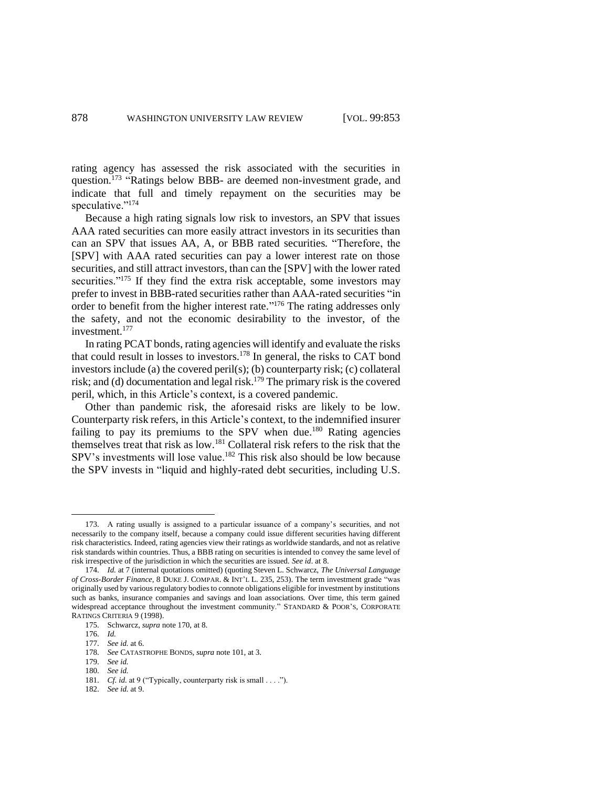<span id="page-25-0"></span>rating agency has assessed the risk associated with the securities in question.<sup>173</sup> "Ratings below BBB- are deemed non-investment grade, and indicate that full and timely repayment on the securities may be speculative."<sup>174</sup>

Because a high rating signals low risk to investors, an SPV that issues AAA rated securities can more easily attract investors in its securities than can an SPV that issues AA, A, or BBB rated securities. "Therefore, the [SPV] with AAA rated securities can pay a lower interest rate on those securities, and still attract investors, than can the [SPV] with the lower rated securities."<sup>175</sup> If they find the extra risk acceptable, some investors may prefer to invest in BBB-rated securities rather than AAA-rated securities "in order to benefit from the higher interest rate."<sup>176</sup> The rating addresses only the safety, and not the economic desirability to the investor, of the investment.<sup>177</sup>

In rating PCAT bonds, rating agencies will identify and evaluate the risks that could result in losses to investors.<sup>178</sup> In general, the risks to CAT bond investors include (a) the covered peril(s); (b) counterparty risk; (c) collateral risk; and (d) documentation and legal risk.<sup>179</sup> The primary risk is the covered peril, which, in this Article's context, is a covered pandemic.

Other than pandemic risk, the aforesaid risks are likely to be low. Counterparty risk refers, in this Article's context, to the indemnified insurer failing to pay its premiums to the SPV when due.<sup>180</sup> Rating agencies themselves treat that risk as low.<sup>181</sup> Collateral risk refers to the risk that the SPV's investments will lose value.<sup>182</sup> This risk also should be low because the SPV invests in "liquid and highly-rated debt securities, including U.S.

- 176. *Id.*
- 177. *See id.* at 6.

182. *See id.* at 9.

<sup>173.</sup> A rating usually is assigned to a particular issuance of a company's securities, and not necessarily to the company itself, because a company could issue different securities having different risk characteristics. Indeed, rating agencies view their ratings as worldwide standards, and not as relative risk standards within countries. Thus, a BBB rating on securities is intended to convey the same level of risk irrespective of the jurisdiction in which the securities are issued. *See id*. at 8.

<sup>174.</sup> *Id.* at 7 (internal quotations omitted) (quoting Steven L. Schwarcz, *The Universal Language of Cross-Border Finance*, 8 DUKE J. COMPAR. & INT'L L. 235, 253). The term investment grade "was originally used by various regulatory bodies to connote obligations eligible for investment by institutions such as banks, insurance companies and savings and loan associations. Over time, this term gained widespread acceptance throughout the investment community." STANDARD & POOR'S, CORPORATE RATINGS CRITERIA 9 (1998).

<sup>175.</sup> Schwarcz, *supra* note [170,](#page-24-2) at 8.

<sup>178.</sup> *See* CATASTROPHE BONDS, *supra* not[e 101,](#page-16-0) at 3.

<sup>179.</sup> *See id.*

<sup>180.</sup> *See id.*

<sup>181.</sup> *Cf. id.* at 9 ("Typically, counterparty risk is small . . . .").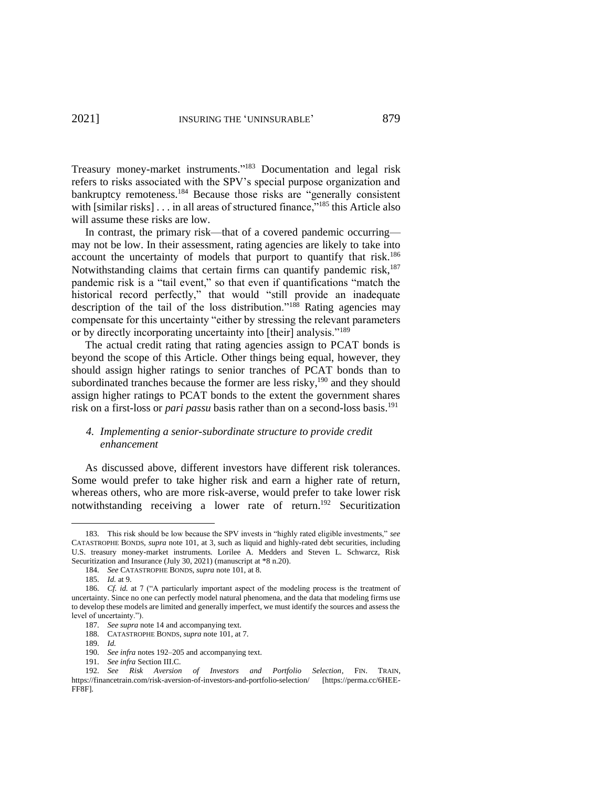Treasury money-market instruments." <sup>183</sup> Documentation and legal risk refers to risks associated with the SPV's special purpose organization and bankruptcy remoteness.<sup>184</sup> Because those risks are "generally consistent with [similar risks]  $\ldots$  in all areas of structured finance,"<sup>185</sup> this Article also will assume these risks are low.

In contrast, the primary risk—that of a covered pandemic occurring may not be low. In their assessment, rating agencies are likely to take into account the uncertainty of models that purport to quantify that risk.<sup>186</sup> Notwithstanding claims that certain firms can quantify pandemic risk,<sup>187</sup> pandemic risk is a "tail event," so that even if quantifications "match the historical record perfectly," that would "still provide an inadequate description of the tail of the loss distribution."<sup>188</sup> Rating agencies may compensate for this uncertainty "either by stressing the relevant parameters or by directly incorporating uncertainty into [their] analysis."<sup>189</sup>

The actual credit rating that rating agencies assign to PCAT bonds is beyond the scope of this Article. Other things being equal, however, they should assign higher ratings to senior tranches of PCAT bonds than to subordinated tranches because the former are less risky, $190$  and they should assign higher ratings to PCAT bonds to the extent the government shares risk on a first-loss or *pari passu* basis rather than on a second-loss basis.<sup>191</sup>

# *4. Implementing a senior-subordinate structure to provide credit enhancement*

As discussed above, different investors have different risk tolerances. Some would prefer to take higher risk and earn a higher rate of return, whereas others, who are more risk-averse, would prefer to take lower risk notwithstanding receiving a lower rate of return.<sup>192</sup> Securitization

189. *Id.*

<sup>183.</sup> This risk should be low because the SPV invests in "highly rated eligible investments," *see* CATASTROPHE BONDS, *supra* note 101, at 3, such as liquid and highly-rated debt securities, including U.S. treasury money-market instruments. Lorilee A. Medders and Steven L. Schwarcz, Risk Securitization and Insurance (July 30, 2021) (manuscript at \*8 n.20).

<span id="page-26-0"></span><sup>184.</sup> *See* CATASTROPHE BONDS, *supra* not[e 101,](#page-16-0) at 8.

<sup>185.</sup> *Id.* at 9.

<sup>186.</sup> *Cf. id.* at 7 ("A particularly important aspect of the modeling process is the treatment of uncertainty. Since no one can perfectly model natural phenomena, and the data that modeling firms use to develop these models are limited and generally imperfect, we must identify the sources and assess the level of uncertainty.").

<sup>187.</sup> *See supra* note [14](#page-4-1) and accompanying text.

<sup>188.</sup> CATASTROPHE BONDS, *supra* not[e 101,](#page-16-0) at 7.

<sup>190.</sup> *See infra* note[s 192–](#page-26-0)[205](#page-28-0) and accompanying text.

<sup>191.</sup> *See infra* Section III.C.

<sup>192.</sup> *See Risk Aversion of Investors and Portfolio Selection*, FIN. TRAIN, https://financetrain.com/risk-aversion-of-investors-and-portfolio-selection/ [https://perma.cc/6HEE-FF8F].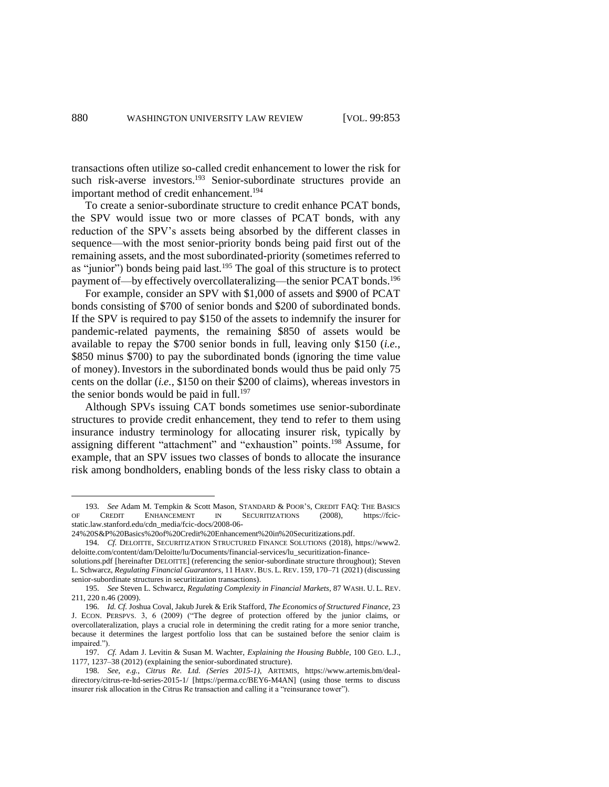transactions often utilize so-called credit enhancement to lower the risk for such risk-averse investors.<sup>193</sup> Senior-subordinate structures provide an important method of credit enhancement.<sup>194</sup>

<span id="page-27-1"></span>To create a senior-subordinate structure to credit enhance PCAT bonds, the SPV would issue two or more classes of PCAT bonds, with any reduction of the SPV's assets being absorbed by the different classes in sequence—with the most senior-priority bonds being paid first out of the remaining assets, and the most subordinated-priority (sometimes referred to as "junior") bonds being paid last.<sup>195</sup> The goal of this structure is to protect payment of—by effectively overcollateralizing—the senior PCAT bonds.<sup>196</sup>

For example, consider an SPV with \$1,000 of assets and \$900 of PCAT bonds consisting of \$700 of senior bonds and \$200 of subordinated bonds. If the SPV is required to pay \$150 of the assets to indemnify the insurer for pandemic-related payments, the remaining \$850 of assets would be available to repay the \$700 senior bonds in full, leaving only \$150 (*i.e.*, \$850 minus \$700) to pay the subordinated bonds (ignoring the time value of money).Investors in the subordinated bonds would thus be paid only 75 cents on the dollar (*i.e.*, \$150 on their \$200 of claims), whereas investors in the senior bonds would be paid in full.<sup>197</sup>

<span id="page-27-2"></span><span id="page-27-0"></span>Although SPVs issuing CAT bonds sometimes use senior-subordinate structures to provide credit enhancement, they tend to refer to them using insurance industry terminology for allocating insurer risk, typically by assigning different "attachment" and "exhaustion" points.<sup>198</sup> Assume, for example, that an SPV issues two classes of bonds to allocate the insurance risk among bondholders, enabling bonds of the less risky class to obtain a

<sup>193.</sup> *See* Adam M. Tempkin & Scott Mason, STANDARD & POOR'S, CREDIT FAQ: THE BASICS OF CREDIT ENHANCEMENT IN SECURITIZATIONS (2008), https://fcicstatic.law.stanford.edu/cdn\_media/fcic-docs/2008-06-

<sup>24%20</sup>S&P%20Basics%20of%20Credit%20Enhancement%20in%20Securitizations.pdf.

<sup>194.</sup> *Cf.* DELOITTE, SECURITIZATION STRUCTURED FINANCE SOLUTIONS (2018), https://www2. deloitte.com/content/dam/Deloitte/lu/Documents/financial-services/lu\_securitization-finance-

solutions.pdf [hereinafter DELOITTE] (referencing the senior-subordinate structure throughout); Steven L. Schwarcz, *Regulating Financial Guarantors*, 11 HARV. BUS. L. REV. 159, 170–71 (2021) (discussing senior-subordinate structures in securitization transactions).

<sup>195.</sup> *See* Steven L. Schwarcz, *Regulating Complexity in Financial Markets*, 87 WASH. U. L. REV. 211, 220 n.46 (2009).

<sup>196.</sup> *Id. Cf.* Joshua Coval, Jakub Jurek & Erik Stafford, *The Economics of Structured Finance*, 23 J. ECON. PERSPVS. 3, 6 (2009) ("The degree of protection offered by the junior claims, or overcollateralization, plays a crucial role in determining the credit rating for a more senior tranche, because it determines the largest portfolio loss that can be sustained before the senior claim is impaired.").

<sup>197.</sup> *Cf.* Adam J. Levitin & Susan M. Wachter, *Explaining the Housing Bubble*, 100 GEO. L.J., 1177, 1237–38 (2012) (explaining the senior-subordinated structure).

<sup>198.</sup> *See, e.g.*, *Citrus Re. Ltd. (Series 2015-1)*, ARTEMIS, https://www.artemis.bm/dealdirectory/citrus-re-ltd-series-2015-1/ [https://perma.cc/BEY6-M4AN] (using those terms to discuss insurer risk allocation in the Citrus Re transaction and calling it a "reinsurance tower").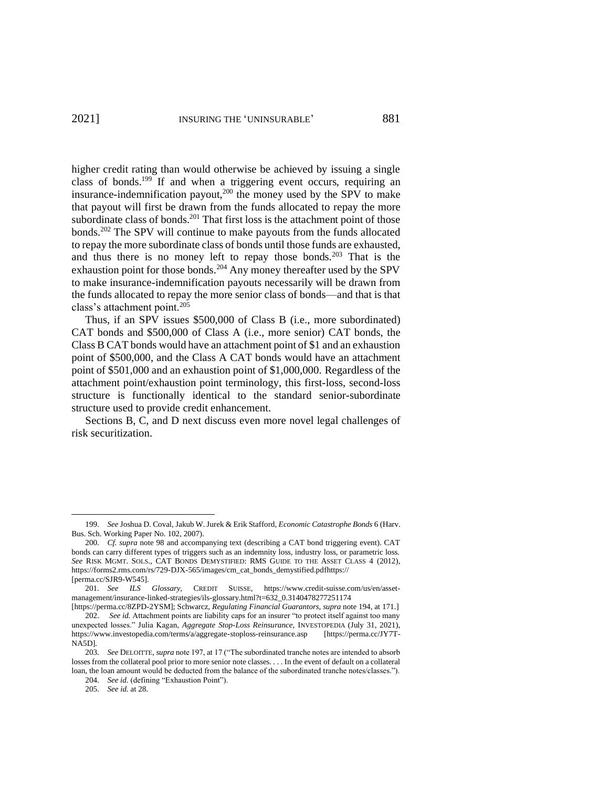higher credit rating than would otherwise be achieved by issuing a single class of bonds. <sup>199</sup> If and when a triggering event occurs, requiring an insurance-indemnification payout,<sup>200</sup> the money used by the SPV to make that payout will first be drawn from the funds allocated to repay the more subordinate class of bonds.<sup>201</sup> That first loss is the attachment point of those bonds.<sup>202</sup> The SPV will continue to make payouts from the funds allocated to repay the more subordinate class of bonds until those funds are exhausted, and thus there is no money left to repay those bonds.<sup>203</sup> That is the exhaustion point for those bonds.<sup>204</sup> Any money thereafter used by the SPV to make insurance-indemnification payouts necessarily will be drawn from the funds allocated to repay the more senior class of bonds—and that is that class's attachment point.<sup>205</sup>

<span id="page-28-0"></span>Thus, if an SPV issues \$500,000 of Class B (i.e., more subordinated) CAT bonds and \$500,000 of Class A (i.e., more senior) CAT bonds, the Class B CAT bonds would have an attachment point of \$1 and an exhaustion point of \$500,000, and the Class A CAT bonds would have an attachment point of \$501,000 and an exhaustion point of \$1,000,000. Regardless of the attachment point/exhaustion point terminology, this first-loss, second-loss structure is functionally identical to the standard senior-subordinate structure used to provide credit enhancement.

Sections B, C, and D next discuss even more novel legal challenges of risk securitization.

205. *See id.* at 28.

<sup>199.</sup> *See* Joshua D. Coval, Jakub W. Jurek & Erik Stafford, *Economic Catastrophe Bonds* 6 (Harv. Bus. Sch. Working Paper No. 102, 2007).

<sup>200.</sup> *Cf. supra* note [98](#page-16-2) and accompanying text (describing a CAT bond triggering event). CAT bonds can carry different types of triggers such as an indemnity loss, industry loss, or parametric loss. *See* RISK MGMT. SOLS., CAT BONDS DEMYSTIFIED: RMS GUIDE TO THE ASSET CLASS 4 (2012), https://forms2.rms.com/rs/729-DJX-565/images/cm\_cat\_bonds\_demystified.pdfhttps:// [perma.cc/SJR9-W545].

<sup>201.</sup> *See ILS Glossary*, CREDIT SUISSE, https://www.credit-suisse.com/us/en/assetmanagement/insurance-linked-strategies/ils-glossary.html?t=632\_0.3140478277251174

<sup>[</sup>https://perma.cc/8ZPD-2YSM]; Schwarcz, *Regulating Financial Guarantors*, *supra* note [194,](#page-27-1) at 171.] 202. *See id.* Attachment points are liability caps for an insurer "to protect itself against too many unexpected losses." Julia Kagan, *Aggregate Stop-Loss Reinsurance*, INVESTOPEDIA (July 31, 2021), https://www.investopedia.com/terms/a/aggregate-stoploss-reinsurance.asp [https://perma.cc/JY7T-NA5D].

<sup>203.</sup> *See* DELOITTE, *supra* note 197, at 17 ("The subordinated tranche notes are intended to absorb losses from the collateral pool prior to more senior note classes. . . . In the event of default on a collateral loan, the loan amount would be deducted from the balance of the subordinated tranche notes/classes.").

<sup>204.</sup> *See id.* (defining "Exhaustion Point").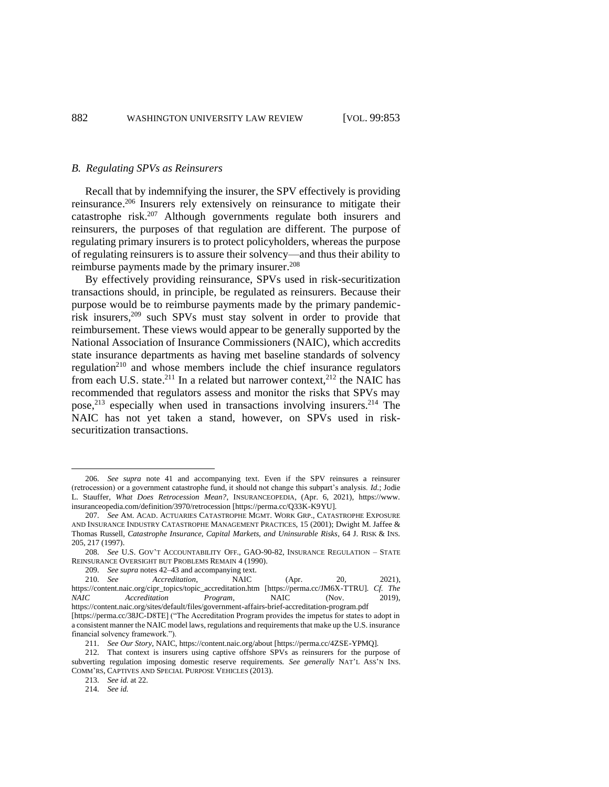#### *B. Regulating SPVs as Reinsurers*

Recall that by indemnifying the insurer, the SPV effectively is providing reinsurance.<sup>206</sup> Insurers rely extensively on reinsurance to mitigate their catastrophe risk.<sup>207</sup> Although governments regulate both insurers and reinsurers, the purposes of that regulation are different. The purpose of regulating primary insurers is to protect policyholders, whereas the purpose of regulating reinsurers is to assure their solvency—and thus their ability to reimburse payments made by the primary insurer.<sup>208</sup>

By effectively providing reinsurance, SPVs used in risk-securitization transactions should, in principle, be regulated as reinsurers. Because their purpose would be to reimburse payments made by the primary pandemicrisk insurers, <sup>209</sup> such SPVs must stay solvent in order to provide that reimbursement. These views would appear to be generally supported by the National Association of Insurance Commissioners (NAIC), which accredits state insurance departments as having met baseline standards of solvency regulation<sup>210</sup> and whose members include the chief insurance regulators from each U.S. state.<sup>211</sup> In a related but narrower context,<sup>212</sup> the NAIC has recommended that regulators assess and monitor the risks that SPVs may pose,<sup>213</sup> especially when used in transactions involving insurers.<sup>214</sup> The NAIC has not yet taken a stand, however, on SPVs used in risksecuritization transactions.

213. *See id.* at 22.

214. *See id.* 

<sup>206.</sup> *See supra* note [41](#page-9-5) and accompanying text. Even if the SPV reinsures a reinsurer (retrocession) or a government catastrophe fund, it should not change this subpart's analysis. *Id.*; Jodie L. Stauffer*, What Does Retrocession Mean?*, INSURANCEOPEDIA, (Apr. 6, 2021), https://www. insuranceopedia.com/definition/3970/retrocession [https://perma.cc/Q33K-K9YU].

<sup>207.</sup> *See* AM. ACAD. ACTUARIES CATASTROPHE MGMT. WORK GRP., CATASTROPHE EXPOSURE AND INSURANCE INDUSTRY CATASTROPHE MANAGEMENT PRACTICES, 15 (2001); Dwight M. Jaffee & Thomas Russell, *Catastrophe Insurance, Capital Markets, and Uninsurable Risks*, 64 J. RISK & INS. 205, 217 (1997).

<sup>208.</sup> *See* U.S. GOV'T ACCOUNTABILITY OFF., GAO-90-82, INSURANCE REGULATION – STATE REINSURANCE OVERSIGHT BUT PROBLEMS REMAIN 4 (1990).

<sup>209.</sup> *See supra* note[s 42](#page-9-3)[–43](#page-9-4) and accompanying text.

<sup>210.</sup> *See Accreditation*, NAIC (Apr. 20, 2021), https://content.naic.org/cipr\_topics/topic\_accreditation.htm [https://perma.cc/JM6X-TTRU]. *Cf. The NAIC Accreditation Program,* NAIC (Nov. 2019), https://content.naic.org/sites/default/files/government-affairs-brief-accreditation-program.pdf [https://perma.cc/38JC-D8TE] ("The Accreditation Program provides the impetus for states to adopt in a consistent manner the NAIC model laws, regulations and requirements that make up the U.S. insurance

financial solvency framework.").

<sup>211.</sup> *See Our Story*, NAIC, https://content.naic.org/about [https://perma.cc/4ZSE-YPMQ].

<sup>212.</sup> That context is insurers using captive offshore SPVs as reinsurers for the purpose of subverting regulation imposing domestic reserve requirements. *See generally* NAT'L ASS'N INS. COMM'RS, CAPTIVES AND SPECIAL PURPOSE VEHICLES (2013).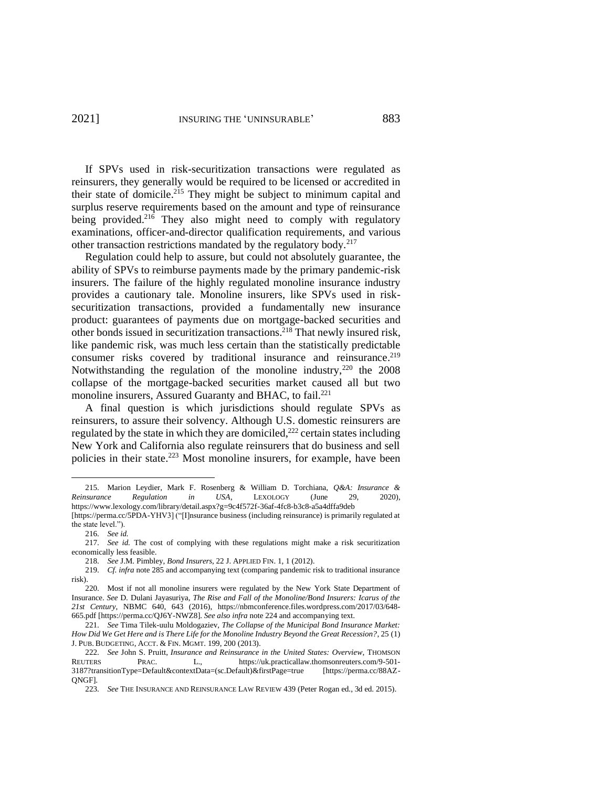If SPVs used in risk-securitization transactions were regulated as reinsurers, they generally would be required to be licensed or accredited in their state of domicile.<sup>215</sup> They might be subject to minimum capital and surplus reserve requirements based on the amount and type of reinsurance being provided.<sup>216</sup> They also might need to comply with regulatory examinations, officer-and-director qualification requirements, and various other transaction restrictions mandated by the regulatory body.<sup>217</sup>

<span id="page-30-0"></span>Regulation could help to assure, but could not absolutely guarantee, the ability of SPVs to reimburse payments made by the primary pandemic-risk insurers. The failure of the highly regulated monoline insurance industry provides a cautionary tale. Monoline insurers, like SPVs used in risksecuritization transactions, provided a fundamentally new insurance product: guarantees of payments due on mortgage-backed securities and other bonds issued in securitization transactions.<sup>218</sup> That newly insured risk, like pandemic risk, was much less certain than the statistically predictable consumer risks covered by traditional insurance and reinsurance.<sup>219</sup> Notwithstanding the regulation of the monoline industry,  $220$  the 2008 collapse of the mortgage-backed securities market caused all but two monoline insurers, Assured Guaranty and BHAC, to fail.<sup>221</sup>

A final question is which jurisdictions should regulate SPVs as reinsurers, to assure their solvency. Although U.S. domestic reinsurers are regulated by the state in which they are domiciled,<sup>222</sup> certain states including New York and California also regulate reinsurers that do business and sell policies in their state.<sup>223</sup> Most monoline insurers, for example, have been

<span id="page-30-1"></span><sup>215.</sup> Marion Leydier, Mark F. Rosenberg & William D. Torchiana, *Q&A: Insurance & Reinsurance Regulation in USA*, LEXOLOGY (June 29, 2020), https://www.lexology.com/library/detail.aspx?g=9c4f572f-36af-4fc8-b3c8-a5a4dffa9deb

<sup>[</sup>https://perma.cc/5PDA-YHV3] ("[I]nsurance business (including reinsurance) is primarily regulated at the state level.").

<sup>216.</sup> *See id.*

<sup>217.</sup> *See id.* The cost of complying with these regulations might make a risk securitization economically less feasible.

<sup>218.</sup> *See* J.M. Pimbley, *Bond Insurers*, 22 J. APPLIED FIN. 1, 1 (2012).

<sup>219.</sup> *Cf. infra* note [285](#page-40-0) and accompanying text (comparing pandemic risk to traditional insurance risk).

<sup>220.</sup> Most if not all monoline insurers were regulated by the New York State Department of Insurance. *See* D. Dulani Jayasuriya, *The Rise and Fall of the Monoline/Bond Insurers: Icarus of the 21st Century*, NBMC 640, 643 (2016), https://nbmconference.files.wordpress.com/2017/03/648- 665.pdf [https://perma.cc/QJ6Y-NWZ8]. *See also infra* note [224](#page-31-0) and accompanying text.

<sup>221.</sup> *See* Tima Tilek-uulu Moldogaziev, *The Collapse of the Municipal Bond Insurance Market: How Did We Get Here and is There Life for the Monoline Industry Beyond the Great Recession?*, 25 (1) J. PUB. BUDGETING, ACCT. & FIN. MGMT. 199, 200 (2013).

<sup>222.</sup> *See* John S. Pruitt, *Insurance and Reinsurance in the United States: Overview*, THOMSON PRAC. L., https://uk.practicallaw.thomsonreuters.com/9-501-3187?transitionType=Default&contextData=(sc.Default)&firstPage=true [https://perma.cc/88AZ-QNGF].

<sup>223.</sup> *See* THE INSURANCE AND REINSURANCE LAW REVIEW 439 (Peter Rogan ed., 3d ed. 2015).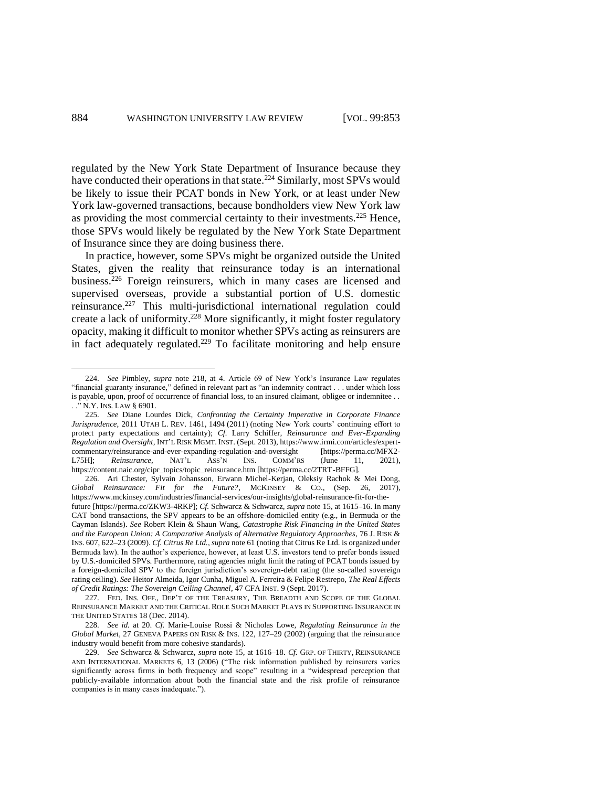<span id="page-31-0"></span>regulated by the New York State Department of Insurance because they have conducted their operations in that state.<sup>224</sup> Similarly, most SPVs would be likely to issue their PCAT bonds in New York, or at least under New York law-governed transactions, because bondholders view New York law as providing the most commercial certainty to their investments.<sup>225</sup> Hence, those SPVs would likely be regulated by the New York State Department of Insurance since they are doing business there.

In practice, however, some SPVs might be organized outside the United States, given the reality that reinsurance today is an international business.<sup>226</sup> Foreign reinsurers, which in many cases are licensed and supervised overseas, provide a substantial portion of U.S. domestic reinsurance.<sup>227</sup> This multi-jurisdictional international regulation could create a lack of uniformity.<sup>228</sup> More significantly, it might foster regulatory opacity, making it difficult to monitor whether SPVs acting as reinsurers are in fact adequately regulated.<sup>229</sup> To facilitate monitoring and help ensure

<sup>224.</sup> *See* Pimbley, *supra* note [218,](#page-30-0) at 4. Article 69 of New York's Insurance Law regulates "financial guaranty insurance," defined in relevant part as "an indemnity contract . . . under which loss is payable, upon, proof of occurrence of financial loss, to an insured claimant, obligee or indemnitee . . . ." N.Y. INS. LAW § 6901.

<sup>225.</sup> *See* Diane Lourdes Dick, *Confronting the Certainty Imperative in Corporate Finance Jurisprudence*, 2011 UTAH L. REV. 1461, 1494 (2011) (noting New York courts' continuing effort to protect party expectations and certainty); *Cf.* Larry Schiffer, *Reinsurance and Ever-Expanding Regulation and Oversight*, INT'L RISK MGMT. INST. (Sept. 2013), https://www.irmi.com/articles/expertcommentary/reinsurance-and-ever-expanding-regulation-and-oversight [https://perma.cc/MFX2- L75H]; *Reinsurance*, NAT'L ASS'N INS. COMM'RS (June 11, 2021), https://content.naic.org/cipr\_topics/topic\_reinsurance.htm [https://perma.cc/2TRT-BFFG].

<sup>226.</sup> Ari Chester, Sylvain Johansson, Erwann Michel-Kerjan, Oleksiy Rachok & Mei Dong, *Global Reinsurance: Fit for the Future?*, MCKINSEY & CO., (Sep. 26, 2017), https://www.mckinsey.com/industries/financial-services/our-insights/global-reinsurance-fit-for-thefuture [https://perma.cc/ZKW3-4RKP]; *Cf.* Schwarcz & Schwarcz, *supra* not[e 15,](#page-4-0) at 1615–16. In many CAT bond transactions, the SPV appears to be an offshore-domiciled entity (e.g., in Bermuda or the Cayman Islands). *See* Robert Klein & Shaun Wang, *Catastrophe Risk Financing in the United States and the European Union: A Comparative Analysis of Alternative Regulatory Approaches*, 76 J. RISK & INS. 607, 622–23 (2009). *Cf. Citrus Re Ltd.*, *supra* not[e 61](#page-12-0) (noting that Citrus Re Ltd. is organized under Bermuda law). In the author's experience, however, at least U.S. investors tend to prefer bonds issued by U.S.-domiciled SPVs. Furthermore, rating agencies might limit the rating of PCAT bonds issued by a foreign-domiciled SPV to the foreign jurisdiction's sovereign-debt rating (the so-called sovereign rating ceiling). *See* Heitor Almeida, Igor Cunha, Miguel A. Ferreira & Felipe Restrepo, *The Real Effects of Credit Ratings: The Sovereign Ceiling Channel*, 47 CFA INST. 9 (Sept. 2017).

<sup>227.</sup> FED. INS. OFF., DEP'T OF THE TREASURY, THE BREADTH AND SCOPE OF THE GLOBAL REINSURANCE MARKET AND THE CRITICAL ROLE SUCH MARKET PLAYS IN SUPPORTING INSURANCE IN THE UNITED STATES 18 (Dec. 2014).

<sup>228.</sup> *See id.* at 20. *Cf.* Marie-Louise Rossi & Nicholas Lowe, *Regulating Reinsurance in the Global Market*, 27 GENEVA PAPERS ON RISK & INS. 122, 127–29 (2002) (arguing that the reinsurance industry would benefit from more cohesive standards).

<sup>229.</sup> *See* Schwarcz & Schwarcz, *supra* note [15,](#page-4-0) at 1616–18. *Cf.* GRP. OF THIRTY, REINSURANCE AND INTERNATIONAL MARKETS 6, 13 (2006) ("The risk information published by reinsurers varies significantly across firms in both frequency and scope" resulting in a "widespread perception that publicly-available information about both the financial state and the risk profile of reinsurance companies is in many cases inadequate.").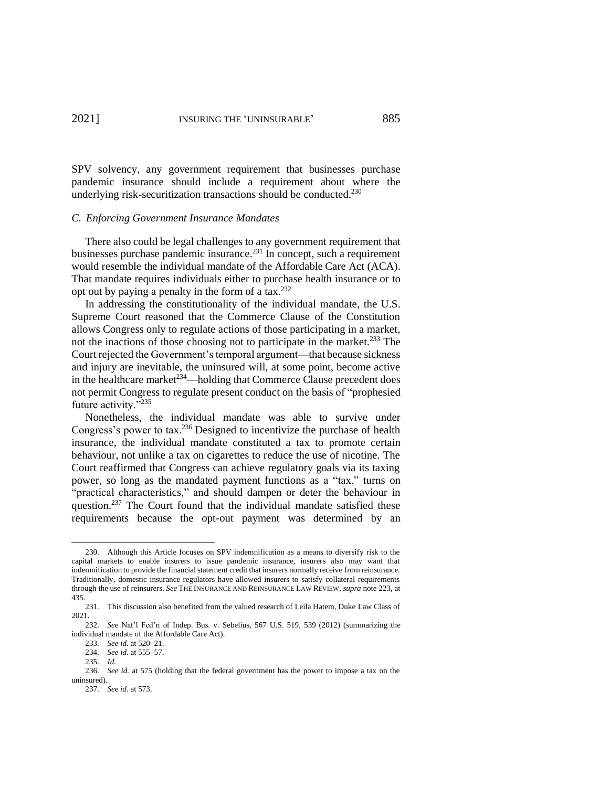SPV solvency, any government requirement that businesses purchase pandemic insurance should include a requirement about where the underlying risk-securitization transactions should be conducted.<sup>230</sup>

## *C. Enforcing Government Insurance Mandates*

There also could be legal challenges to any government requirement that businesses purchase pandemic insurance.<sup>231</sup> In concept, such a requirement would resemble the individual mandate of the Affordable Care Act (ACA). That mandate requires individuals either to purchase health insurance or to opt out by paying a penalty in the form of a tax.<sup>232</sup>

<span id="page-32-0"></span>In addressing the constitutionality of the individual mandate, the U.S. Supreme Court reasoned that the Commerce Clause of the Constitution allows Congress only to regulate actions of those participating in a market, not the inactions of those choosing not to participate in the market.<sup>233</sup> The Court rejected the Government's temporal argument—that because sickness and injury are inevitable, the uninsured will, at some point, become active in the healthcare market<sup> $234$ </sup>—holding that Commerce Clause precedent does not permit Congress to regulate present conduct on the basis of "prophesied future activity."<sup>235</sup>

<span id="page-32-1"></span>Nonetheless, the individual mandate was able to survive under Congress's power to tax.<sup>236</sup> Designed to incentivize the purchase of health insurance, the individual mandate constituted a tax to promote certain behaviour, not unlike a tax on cigarettes to reduce the use of nicotine. The Court reaffirmed that Congress can achieve regulatory goals via its taxing power, so long as the mandated payment functions as a "tax," turns on "practical characteristics," and should dampen or deter the behaviour in question.<sup>237</sup> The Court found that the individual mandate satisfied these requirements because the opt-out payment was determined by an

<sup>230.</sup> Although this Article focuses on SPV indemnification as a means to diversify risk to the capital markets to enable insurers to issue pandemic insurance, insurers also may want that indemnification to provide the financial statement credit that insurers normally receive from reinsurance. Traditionally, domestic insurance regulators have allowed insurers to satisfy collateral requirements through the use of reinsurers. *See* THE INSURANCE AND REINSURANCE LAW REVIEW, *supra* note [223,](#page-30-1) at 435.

<sup>231.</sup> This discussion also benefited from the valued research of Leila Hatem, Duke Law Class of 2021.

<sup>232.</sup> *See* Nat'l Fed'n of Indep. Bus. v. Sebelius, 567 U.S. 519, 539 (2012) (summarizing the individual mandate of the Affordable Care Act).

<sup>233.</sup> *See id.* at 520–21.

<sup>234.</sup> *See id.* at 555–57.

<sup>235.</sup> *Id.* 

<sup>236.</sup> *See id.* at 575 (holding that the federal government has the power to impose a tax on the uninsured).

<sup>237.</sup> *See id.* at 573.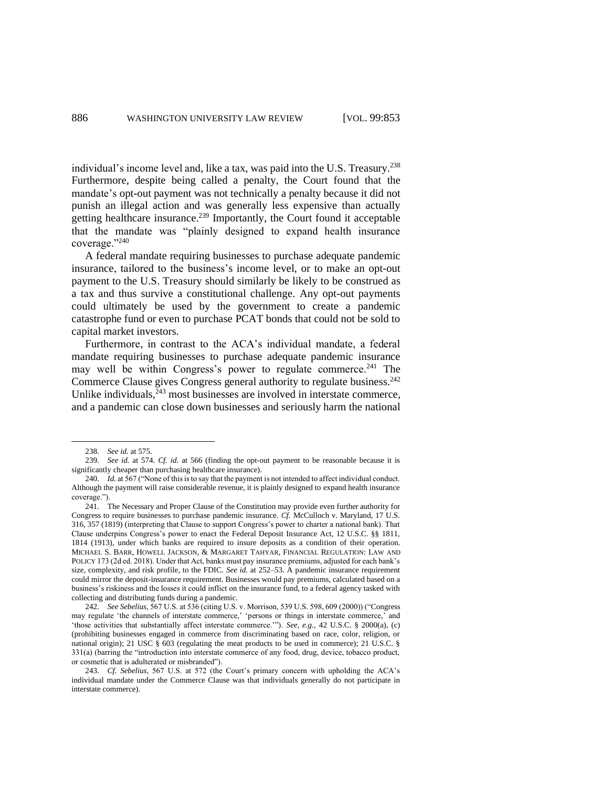individual's income level and, like a tax, was paid into the U.S. Treasury.<sup>238</sup> Furthermore, despite being called a penalty, the Court found that the mandate's opt-out payment was not technically a penalty because it did not punish an illegal action and was generally less expensive than actually getting healthcare insurance.<sup>239</sup> Importantly, the Court found it acceptable that the mandate was "plainly designed to expand health insurance coverage."<sup>240</sup>

<span id="page-33-0"></span>A federal mandate requiring businesses to purchase adequate pandemic insurance, tailored to the business's income level, or to make an opt-out payment to the U.S. Treasury should similarly be likely to be construed as a tax and thus survive a constitutional challenge. Any opt-out payments could ultimately be used by the government to create a pandemic catastrophe fund or even to purchase PCAT bonds that could not be sold to capital market investors.

Furthermore, in contrast to the ACA's individual mandate, a federal mandate requiring businesses to purchase adequate pandemic insurance may well be within Congress's power to regulate commerce.<sup>241</sup> The Commerce Clause gives Congress general authority to regulate business.<sup>242</sup> Unlike individuals, $243$  most businesses are involved in interstate commerce, and a pandemic can close down businesses and seriously harm the national

<sup>238.</sup> *See id.* at 575.

<sup>239.</sup> *See id.* at 574. *Cf. id.* at 566 (finding the opt-out payment to be reasonable because it is significantly cheaper than purchasing healthcare insurance).

<sup>240.</sup> *Id.* at 567 ("None of this is to say that the payment is not intended to affect individual conduct. Although the payment will raise considerable revenue, it is plainly designed to expand health insurance coverage.").

<sup>241.</sup> The Necessary and Proper Clause of the Constitution may provide even further authority for Congress to require businesses to purchase pandemic insurance. *Cf.* McCulloch v. Maryland, 17 U.S. 316, 357 (1819) (interpreting that Clause to support Congress's power to charter a national bank). That Clause underpins Congress's power to enact the Federal Deposit Insurance Act, 12 U.S.C. §§ 1811, 1814 (1913), under which banks are required to insure deposits as a condition of their operation. MICHAEL S. BARR, HOWELL JACKSON, & MARGARET TAHYAR, FINANCIAL REGULATION: LAW AND POLICY 173 (2d ed. 2018). Under that Act, banks must pay insurance premiums, adjusted for each bank's size, complexity, and risk profile, to the FDIC. *See id.* at 252–53. A pandemic insurance requirement could mirror the deposit-insurance requirement. Businesses would pay premiums, calculated based on a business's riskiness and the losses it could inflict on the insurance fund, to a federal agency tasked with collecting and distributing funds during a pandemic.

<sup>242.</sup> *See Sebelius*, 567 U.S. at 536 (citing U.S. v. Morrison, 539 U.S. 598, 609 (2000)) ("Congress may regulate 'the channels of interstate commerce,' 'persons or things in interstate commerce,' and 'those activities that substantially affect interstate commerce.'"). *See, e.g.*, 42 U.S.C. § 2000(a), (c) (prohibiting businesses engaged in commerce from discriminating based on race, color, religion, or national origin); 21 USC § 603 (regulating the meat products to be used in commerce); 21 U.S.C. § 331(a) (barring the "introduction into interstate commerce of any food, drug, device, tobacco product, or cosmetic that is adulterated or misbranded").

<sup>243.</sup> *Cf. Sebelius*, 567 U.S. at 572 (the Court's primary concern with upholding the ACA's individual mandate under the Commerce Clause was that individuals generally do not participate in interstate commerce).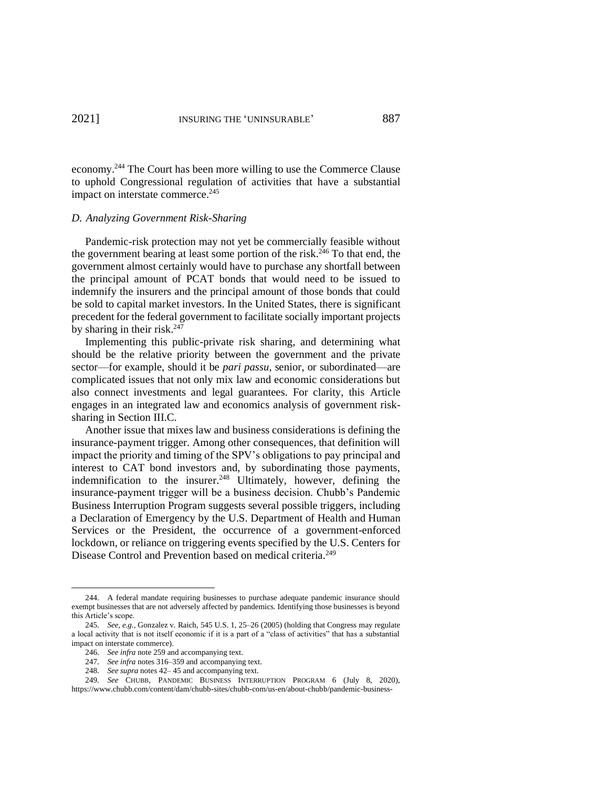economy.<sup>244</sup> The Court has been more willing to use the Commerce Clause to uphold Congressional regulation of activities that have a substantial impact on interstate commerce.<sup>245</sup>

# *D. Analyzing Government Risk-Sharing*

Pandemic-risk protection may not yet be commercially feasible without the government bearing at least some portion of the risk.<sup>246</sup> To that end, the government almost certainly would have to purchase any shortfall between the principal amount of PCAT bonds that would need to be issued to indemnify the insurers and the principal amount of those bonds that could be sold to capital market investors. In the United States, there is significant precedent for the federal government to facilitate socially important projects by sharing in their risk. 247

Implementing this public-private risk sharing, and determining what should be the relative priority between the government and the private sector—for example, should it be *pari passu*, senior, or subordinated—are complicated issues that not only mix law and economic considerations but also connect investments and legal guarantees. For clarity, this Article engages in an integrated law and economics analysis of government risksharing in Section III.C.

Another issue that mixes law and business considerations is defining the insurance-payment trigger. Among other consequences, that definition will impact the priority and timing of the SPV's obligations to pay principal and interest to CAT bond investors and, by subordinating those payments, indemnification to the insurer.<sup>248</sup> Ultimately, however, defining the insurance-payment trigger will be a business decision. Chubb's Pandemic Business Interruption Program suggests several possible triggers, including a Declaration of Emergency by the U.S. Department of Health and Human Services or the President, the occurrence of a government-enforced lockdown, or reliance on triggering events specified by the U.S. Centers for Disease Control and Prevention based on medical criteria.<sup>249</sup>

<span id="page-34-0"></span><sup>244.</sup> A federal mandate requiring businesses to purchase adequate pandemic insurance should exempt businesses that are not adversely affected by pandemics. Identifying those businesses is beyond this Article's scope.

<sup>245.</sup> *See, e.g.*, Gonzalez v. Raich, 545 U.S. 1, 25–26 (2005) (holding that Congress may regulate a local activity that is not itself economic if it is a part of a "class of activities" that has a substantial impact on interstate commerce).

<sup>246.</sup> *See infra* not[e 259](#page-35-3) and accompanying text.

<sup>247.</sup> *See infra* note[s 316–](#page-44-0)[359](#page-49-0) and accompanying text.

<sup>248.</sup> *See supra* note[s 42–](#page-9-3) [45](#page-9-6) and accompanying text.

<sup>249.</sup> *See* CHUBB, PANDEMIC BUSINESS INTERRUPTION PROGRAM 6 (July 8, 2020), https://www.chubb.com/content/dam/chubb-sites/chubb-com/us-en/about-chubb/pandemic-business-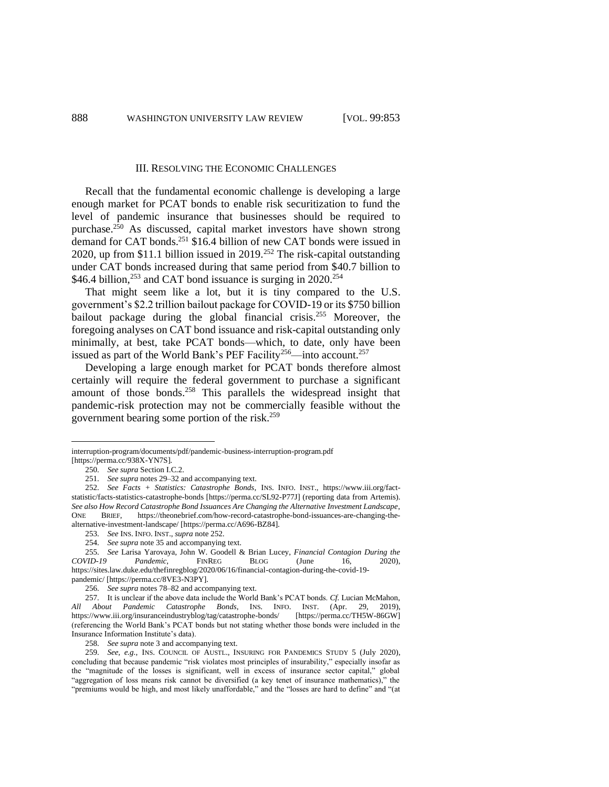#### <span id="page-35-4"></span><span id="page-35-1"></span><span id="page-35-0"></span>III. RESOLVING THE ECONOMIC CHALLENGES

Recall that the fundamental economic challenge is developing a large enough market for PCAT bonds to enable risk securitization to fund the level of pandemic insurance that businesses should be required to purchase.<sup>250</sup> As discussed, capital market investors have shown strong demand for CAT bonds.<sup>251</sup> \$16.4 billion of new CAT bonds were issued in 2020, up from \$11.1 billion issued in 2019. <sup>252</sup> The risk-capital outstanding under CAT bonds increased during that same period from \$40.7 billion to \$46.4 billion,<sup>253</sup> and CAT bond issuance is surging in 2020.<sup>254</sup>

<span id="page-35-2"></span>That might seem like a lot, but it is tiny compared to the U.S. government's \$2.2 trillion bailout package for COVID-19 or its \$750 billion bailout package during the global financial crisis.<sup>255</sup> Moreover, the foregoing analyses on CAT bond issuance and risk-capital outstanding only minimally, at best, take PCAT bonds—which, to date, only have been issued as part of the World Bank's PEF Facility<sup>256</sup>—into account.<sup>257</sup>

Developing a large enough market for PCAT bonds therefore almost certainly will require the federal government to purchase a significant amount of those bonds.<sup>258</sup> This parallels the widespread insight that pandemic-risk protection may not be commercially feasible without the government bearing some portion of the risk.<sup>259</sup>

interruption-program/documents/pdf/pandemic-business-interruption-program.pdf [https://perma.cc/938X-YN7S].

<sup>250.</sup> *See supra* Section I.C.2.

<span id="page-35-3"></span><sup>251.</sup> *See supra* note[s 29](#page-6-1)[–32](#page-7-0) and accompanying text.

<sup>252.</sup> *See Facts + Statistics: Catastrophe Bonds*, INS. INFO. INST., https://www.iii.org/factstatistic/facts-statistics-catastrophe-bonds [https://perma.cc/SL92-P77J] (reporting data from Artemis). *See also How Record Catastrophe Bond Issuances Are Changing the Alternative Investment Landscape*, ONE BRIEF, https://theonebrief.com/how-record-catastrophe-bond-issuances-are-changing-thealternative-investment-landscape/ [https://perma.cc/A696-BZ84].

<sup>253.</sup> *See* INS. INFO. INST., *supra* note [252.](#page-35-4)

<sup>254.</sup> *See supra* note [35](#page-7-2) and accompanying text.

<sup>255.</sup> *See* [Larisa Yarovaya,](https://sites.law.duke.edu/thefinregblog/author/larisa-yarovaya/) [John W. Goodell](https://sites.law.duke.edu/thefinregblog/author/john-w-goodell/) & [Brian Lucey,](https://sites.law.duke.edu/thefinregblog/author/brian-lucey/) *Financial Contagion During the COVID-19 Pandemic*, FINREG BLOG (June 16, 2020), https://sites.law.duke.edu/thefinregblog/2020/06/16/financial-contagion-during-the-covid-19 pandemic/ [https://perma.cc/8VE3-N3PY].

<sup>256.</sup> *See supra* note[s 78](#page-14-1)[–82](#page-15-2) and accompanying text.

<sup>257.</sup> It is unclear if the above data include the World Bank's PCAT bonds. *Cf.* Lucian McMahon, *All About Pandemic Catastrophe Bonds*, INS. INFO. INST. (Apr. 29, 2019), <https://www.iii.org/insuranceindustryblog/tag/catastrophe-bonds/> (referencing the World Bank's PCAT bonds but not stating whether those bonds were included in the Insurance Information Institute's data).

<sup>258.</sup> *See supra* note [3](#page-2-2) and accompanying text.

<sup>259.</sup> *See, e.g.*, INS. COUNCIL OF AUSTL., INSURING FOR PANDEMICS STUDY 5 (July 2020), concluding that because pandemic "risk violates most principles of insurability," especially insofar as the "magnitude of the losses is significant, well in excess of insurance sector capital," global "aggregation of loss means risk cannot be diversified (a key tenet of insurance mathematics)," the "premiums would be high, and most likely unaffordable," and the "losses are hard to define" and "(at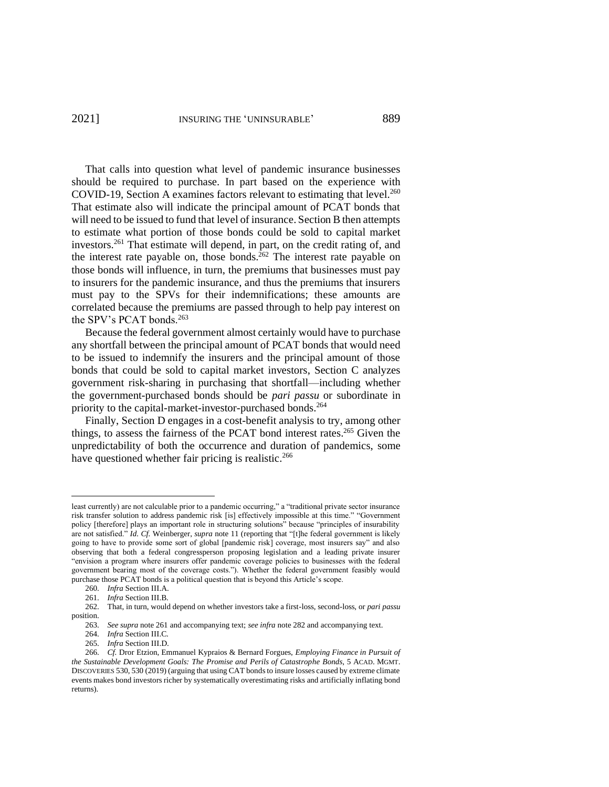That calls into question what level of pandemic insurance businesses should be required to purchase. In part based on the experience with COVID-19, Section A examines factors relevant to estimating that level. $^{260}$ That estimate also will indicate the principal amount of PCAT bonds that will need to be issued to fund that level of insurance. Section B then attempts to estimate what portion of those bonds could be sold to capital market investors. <sup>261</sup> That estimate will depend, in part, on the credit rating of, and the interest rate payable on, those bonds.<sup>262</sup> The interest rate payable on those bonds will influence, in turn, the premiums that businesses must pay to insurers for the pandemic insurance, and thus the premiums that insurers must pay to the SPVs for their indemnifications; these amounts are correlated because the premiums are passed through to help pay interest on the SPV's PCAT bonds.<sup>263</sup>

<span id="page-36-0"></span>Because the federal government almost certainly would have to purchase any shortfall between the principal amount of PCAT bonds that would need to be issued to indemnify the insurers and the principal amount of those bonds that could be sold to capital market investors, Section C analyzes government risk-sharing in purchasing that shortfall—including whether the government-purchased bonds should be *pari passu* or subordinate in priority to the capital-market-investor-purchased bonds.<sup>264</sup>

<span id="page-36-1"></span>Finally, Section D engages in a cost-benefit analysis to try, among other things, to assess the fairness of the PCAT bond interest rates.<sup>265</sup> Given the unpredictability of both the occurrence and duration of pandemics, some have questioned whether fair pricing is realistic.<sup>266</sup>

264. *Infra* Section III.C.

least currently) are not calculable prior to a pandemic occurring," a "traditional private sector insurance risk transfer solution to address pandemic risk [is] effectively impossible at this time." "Government policy [therefore] plays an important role in structuring solutions" because "principles of insurability are not satisfied." *Id. Cf.* Weinberger, *supra* note 11 (reporting that "[t]he federal government is likely going to have to provide some sort of global [pandemic risk] coverage, most insurers say" and also observing that both a federal congressperson proposing legislation and a leading private insurer "envision a program where insurers offer pandemic coverage policies to businesses with the federal government bearing most of the coverage costs."). Whether the federal government feasibly would purchase those PCAT bonds is a political question that is beyond this Article's scope.

<sup>260.</sup> *Infra* Section III.A.

<sup>261.</sup> *Infra* Section III.B.

<sup>262.</sup> That, in turn, would depend on whether investors take a first-loss, second-loss, or *pari passu* position.

<sup>263.</sup> *See supra* note 261 and accompanying text; *see infra* note 282 and accompanying text.

<sup>265.</sup> *Infra* Section III.D.

<sup>266.</sup> *Cf.* Dror Etzion, Emmanuel Kypraios & Bernard Forgues, *Employing Finance in Pursuit of the Sustainable Development Goals: The Promise and Perils of Catastrophe Bonds*, 5 ACAD. MGMT. DISCOVERIES 530, 530 (2019) (arguing that using CAT bonds to insure losses caused by extreme climate events makes bond investors richer by systematically overestimating risks and artificially inflating bond returns).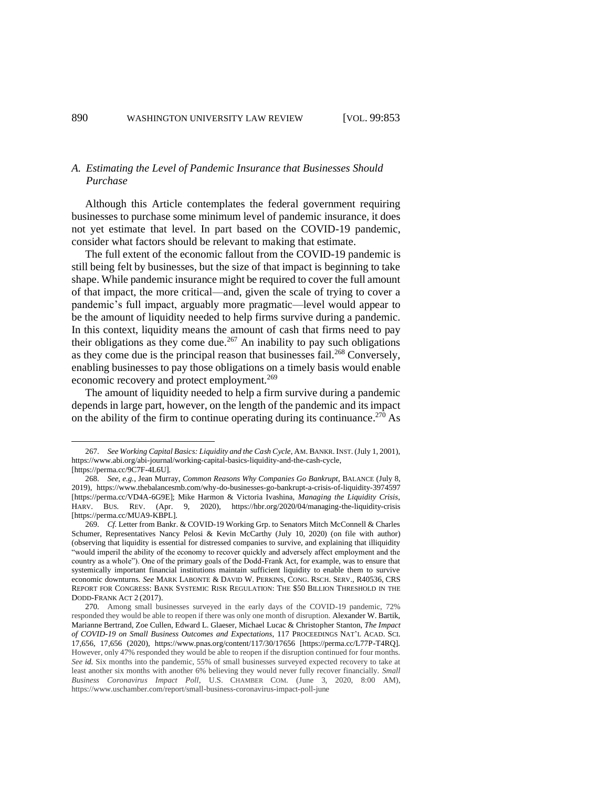# *A. Estimating the Level of Pandemic Insurance that Businesses Should Purchase*

Although this Article contemplates the federal government requiring businesses to purchase some minimum level of pandemic insurance, it does not yet estimate that level. In part based on the COVID-19 pandemic, consider what factors should be relevant to making that estimate.

The full extent of the economic fallout from the COVID-19 pandemic is still being felt by businesses, but the size of that impact is beginning to take shape. While pandemic insurance might be required to cover the full amount of that impact, the more critical—and, given the scale of trying to cover a pandemic's full impact, arguably more pragmatic—level would appear to be the amount of liquidity needed to help firms survive during a pandemic. In this context, liquidity means the amount of cash that firms need to pay their obligations as they come due.<sup>267</sup> An inability to pay such obligations as they come due is the principal reason that businesses fail.<sup>268</sup> Conversely, enabling businesses to pay those obligations on a timely basis would enable economic recovery and protect employment.<sup>269</sup>

<span id="page-37-0"></span>The amount of liquidity needed to help a firm survive during a pandemic depends in large part, however, on the length of the pandemic and its impact on the ability of the firm to continue operating during its continuance.<sup>270</sup> As

<sup>267.</sup> *See Working Capital Basics: Liquidity and the Cash Cycle*, AM. BANKR. INST. (July 1, 2001), https://www.abi.org/abi-journal/working-capital-basics-liquidity-and-the-cash-cycle, [https://perma.cc/9C7F-4L6U].

<sup>268.</sup> *See, e.g.*, Jean Murray, *Common Reasons Why Companies Go Bankrupt*, BALANCE (July 8, 2019), https://www.thebalancesmb.com/why-do-businesses-go-bankrupt-a-crisis-of-liquidity-3974597 [https://perma.cc/VD4A-6G9E]; Mike Harmon & Victoria Ivashina, *Managing the Liquidity Crisis*, HARV. BUS. REV. (Apr. 9, 2020), https://hbr.org/2020/04/managing-the-liquidity-crisis [https://perma.cc/MUA9-KBPL].

<sup>269.</sup> *Cf.* Letter from Bankr. & COVID-19 Working Grp. to Senators Mitch McConnell & Charles Schumer, Representatives Nancy Pelosi & Kevin McCarthy (July 10, 2020) (on file with author) (observing that liquidity is essential for distressed companies to survive, and explaining that illiquidity "would imperil the ability of the economy to recover quickly and adversely affect employment and the country as a whole"). One of the primary goals of the Dodd-Frank Act, for example, was to ensure that systemically important financial institutions maintain sufficient liquidity to enable them to survive economic downturns. *See* MARK LABONTE & DAVID W. PERKINS, CONG. RSCH. SERV., R40536, CRS REPORT FOR CONGRESS: BANK SYSTEMIC RISK REGULATION: THE \$50 BILLION THRESHOLD IN THE DODD-FRANK ACT 2 (2017).

<sup>270.</sup> Among small businesses surveyed in the early days of the COVID-19 pandemic, 72% responded they would be able to reopen if there was only one month of disruption. Alexander W. Bartik, Marianne Bertrand, Zoe Cullen, Edward L. Glaeser, Michael Lucac & Christopher Stanton, *The Impact of COVID-19 on Small Business Outcomes and Expectations*, 117 PROCEEDINGS NAT'L ACAD. SCI. 17,656, 17,656 (2020), https://www.pnas.org/content/117/30/17656 [https://perma.cc/L77P-T4RQ]. However, only 47% responded they would be able to reopen if the disruption continued for four months. *See id.* Six months into the pandemic, 55% of small businesses surveyed expected recovery to take at least another six months with another 6% believing they would never fully recover financially. *Small Business Coronavirus Impact Poll*, U.S. CHAMBER COM. (June 3, 2020, 8:00 AM), https://www.uschamber.com/report/small-business-coronavirus-impact-poll-june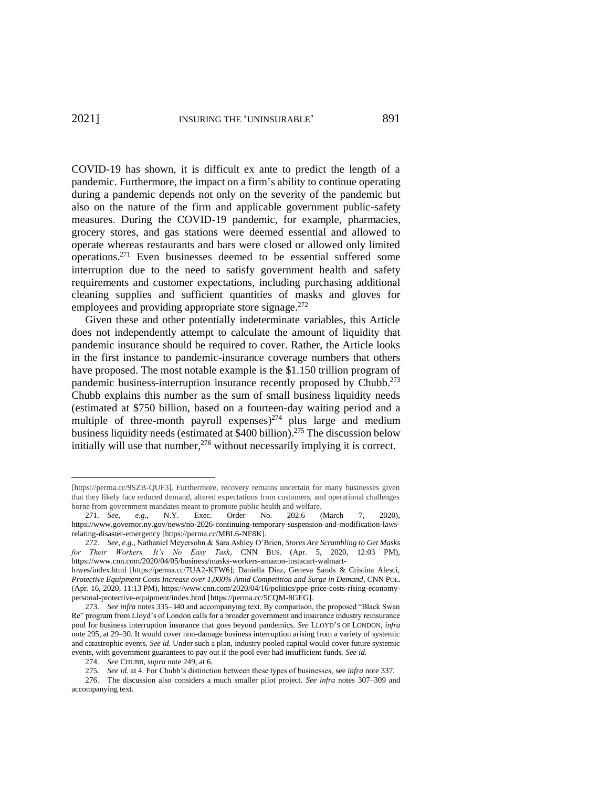COVID-19 has shown, it is difficult ex ante to predict the length of a pandemic. Furthermore, the impact on a firm's ability to continue operating during a pandemic depends not only on the severity of the pandemic but also on the nature of the firm and applicable government public-safety measures. During the COVID-19 pandemic, for example, pharmacies, grocery stores, and gas stations were deemed essential and allowed to operate whereas restaurants and bars were closed or allowed only limited operations.<sup>271</sup> Even businesses deemed to be essential suffered some interruption due to the need to satisfy government health and safety requirements and customer expectations, including purchasing additional cleaning supplies and sufficient quantities of masks and gloves for employees and providing appropriate store signage.<sup>272</sup>

<span id="page-38-1"></span><span id="page-38-0"></span>Given these and other potentially indeterminate variables, this Article does not independently attempt to calculate the amount of liquidity that pandemic insurance should be required to cover. Rather, the Article looks in the first instance to pandemic-insurance coverage numbers that others have proposed. The most notable example is the \$1.150 trillion program of pandemic business-interruption insurance recently proposed by Chubb.<sup>273</sup> Chubb explains this number as the sum of small business liquidity needs (estimated at \$750 billion, based on a fourteen-day waiting period and a multiple of three-month payroll expenses) $274$  plus large and medium business liquidity needs (estimated at \$400 billion). <sup>275</sup> The discussion below initially will use that number, <sup>276</sup> without necessarily implying it is correct.

<span id="page-38-2"></span><sup>[</sup>https://perma.cc/9SZB-QUF3]. Furthermore, recovery remains uncertain for many businesses given that they likely face reduced demand, altered expectations from customers, and operational challenges borne from government mandates meant to promote public health and welfare.

<sup>271.</sup> *See, e.g.*, N.Y. Exec. Order No. 202.6 (March 7, 2020), https://www.governor.ny.gov/news/no-2026-continuing-temporary-suspension-and-modification-lawsrelating-disaster-emergency [https://perma.cc/MBL6-NF8K].

<sup>272.</sup> *See, e.g.*, Nathaniel Meyersohn & Sara Ashley O'Brien, *Stores Are Scrambling to Get Masks for Their Workers. It's No Easy Task*, CNN BUS. (Apr. 5, 2020, 12:03 PM), https://www.cnn.com/2020/04/05/business/masks-workers-amazon-instacart-walmart-

lowes/index.html [https://perma.cc/7UA2-KFW6]; Daniella Diaz, Geneva Sands & Cristina Alesci, *Protective Equipment Costs Increase over 1,000% Amid Competition and Surge in Demand*, CNN POL. (Apr. 16, 2020, 11:13 PM), https://www.cnn.com/2020/04/16/politics/ppe-price-costs-rising-economypersonal-protective-equipment/index.html [https://perma.cc/5CQM-8GEG].

<sup>273.</sup> *See infra* note[s 335–](#page-46-0)[340](#page-46-1) and accompanying text. By comparison, the proposed "Black Swan Re" program from Lloyd's of London calls for a broader government and insurance industry reinsurance pool for business interruption insurance that goes beyond pandemics. *See* LLOYD'S OF LONDON, *infra*  note [295,](#page-41-2) at 29–30. It would cover non-damage business interruption arising from a variety of systemic and catastrophic events. *See id.* Under such a plan, industry pooled capital would cover future systemic events, with government guarantees to pay out if the pool ever had insufficient funds. *See id.* 

<sup>274.</sup> *See* CHUBB, *supra* not[e 249,](#page-34-0) at 6.

<sup>275.</sup> *See id.* at 4. For Chubb's distinction between these types of businesses, see *infra* not[e 337.](#page-46-2)

<sup>276.</sup> The discussion also considers a much smaller pilot project. *See infra* notes [307](#page-42-1)[–309](#page-43-0) and accompanying text.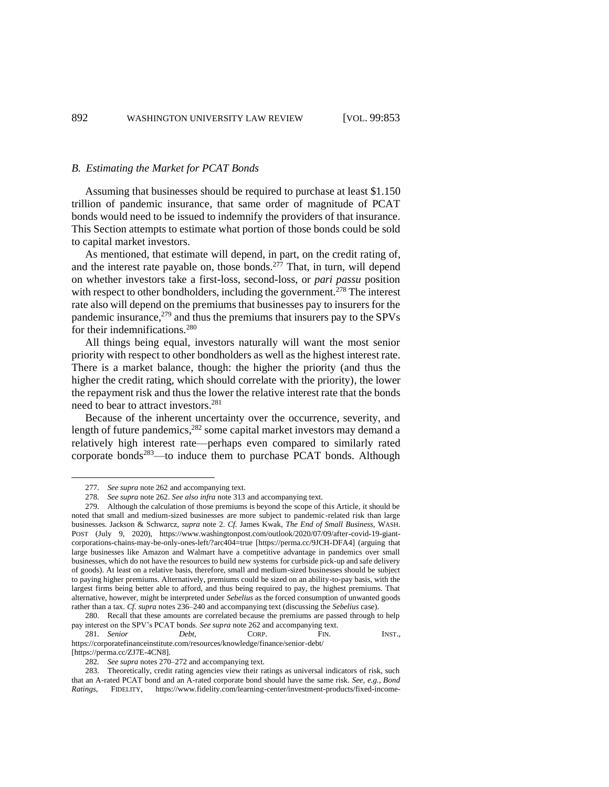#### *B. Estimating the Market for PCAT Bonds*

Assuming that businesses should be required to purchase at least \$1.150 trillion of pandemic insurance, that same order of magnitude of PCAT bonds would need to be issued to indemnify the providers of that insurance. This Section attempts to estimate what portion of those bonds could be sold to capital market investors.

<span id="page-39-0"></span>As mentioned, that estimate will depend, in part, on the credit rating of, and the interest rate payable on, those bonds.<sup>277</sup> That, in turn, will depend on whether investors take a first-loss, second-loss, or *pari passu* position with respect to other bondholders, including the government.<sup>278</sup> The interest rate also will depend on the premiums that businesses pay to insurers for the pandemic insurance, $279$  and thus the premiums that insurers pay to the SPVs for their indemnifications.<sup>280</sup>

All things being equal, investors naturally will want the most senior priority with respect to other bondholders as well as the highest interest rate. There is a market balance, though: the higher the priority (and thus the higher the credit rating, which should correlate with the priority), the lower the repayment risk and thus the lower the relative interest rate that the bonds need to bear to attract investors.<sup>281</sup>

Because of the inherent uncertainty over the occurrence, severity, and length of future pandemics,<sup>282</sup> some capital market investors may demand a relatively high interest rate—perhaps even compared to similarly rated corporate bonds<sup>283</sup>—to induce them to purchase PCAT bonds. Although

<sup>277.</sup> *See supra* note [262](#page-36-0) and accompanying text.

<sup>278.</sup> *See supra* note [262.](#page-36-0) *See also infra* note [313](#page-43-1) and accompanying text.

<sup>279.</sup> Although the calculation of those premiums is beyond the scope of this Article, it should be noted that small and medium-sized businesses are more subject to pandemic-related risk than large businesses. Jackson & Schwarcz, *supra* note [2.](#page-2-1) *Cf.* James Kwak, *The End of Small Business*, WASH. POST (July 9, 2020), https://www.washingtonpost.com/outlook/2020/07/09/after-covid-19-giantcorporations-chains-may-be-only-ones-left/?arc404=true [https://perma.cc/9JCH-DFA4] (arguing that large businesses like Amazon and Walmart have a competitive advantage in pandemics over small businesses, which do not have the resources to build new systems for curbside pick-up and safe delivery of goods). At least on a relative basis, therefore, small and medium-sized businesses should be subject to paying higher premiums. Alternatively, premiums could be sized on an ability-to-pay basis, with the largest firms being better able to afford, and thus being required to pay, the highest premiums. That alternative, however, might be interpreted under *Sebelius* as the forced consumption of unwanted goods rather than a tax. *Cf. supra* note[s 236–](#page-32-1)[240](#page-33-0) and accompanying text (discussing the *Sebelius* case).

<sup>280.</sup> Recall that these amounts are correlated because the premiums are passed through to help pay interest on the SPV's PCAT bonds. *See supra* note [262](#page-36-0) and accompanying text.

<sup>281.</sup> *Senior Debt*, **CORP.** FIN. **INST.**, https://corporatefinanceinstitute.com/resources/knowledge/finance/senior-debt/

<sup>[</sup>https://perma.cc/ZJ7E-4CN8].

<sup>282.</sup> *See supra* note[s 270](#page-37-0)[–272](#page-38-0) and accompanying text.

<sup>283.</sup> Theoretically, credit rating agencies view their ratings as universal indicators of risk, such that an A-rated PCAT bond and an A-rated corporate bond should have the same risk. *See, e.g.*, *Bond Ratings*, FIDELITY, https://www.fidelity.com/learning-center/investment-products/fixed-income-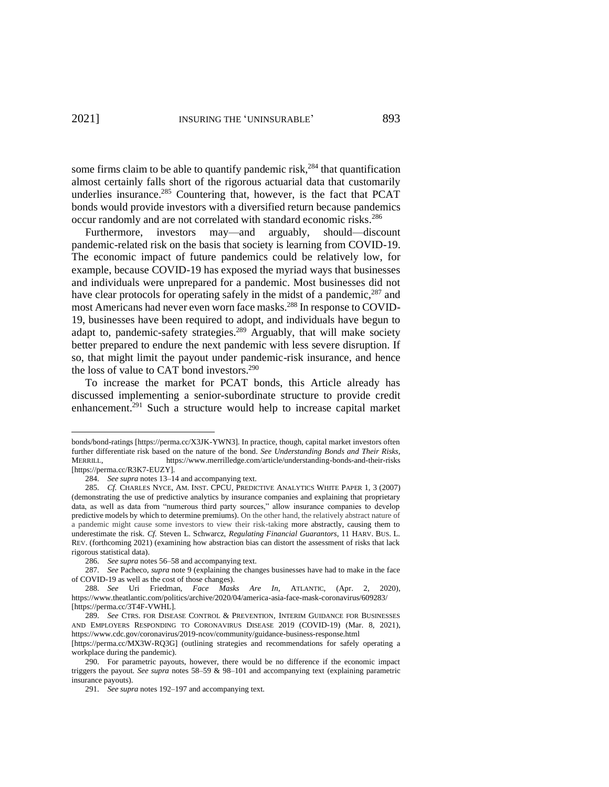<span id="page-40-0"></span>some firms claim to be able to quantify pandemic risk, $284$  that quantification almost certainly falls short of the rigorous actuarial data that customarily underlies insurance.<sup>285</sup> Countering that, however, is the fact that PCAT bonds would provide investors with a diversified return because pandemics occur randomly and are not correlated with standard economic risks.<sup>286</sup>

Furthermore, investors may—and arguably, should—discount pandemic-related risk on the basis that society is learning from COVID-19. The economic impact of future pandemics could be relatively low, for example, because COVID-19 has exposed the myriad ways that businesses and individuals were unprepared for a pandemic. Most businesses did not have clear protocols for operating safely in the midst of a pandemic,  $287$  and most Americans had never even worn face masks.<sup>288</sup> In response to COVID-19, businesses have been required to adopt, and individuals have begun to adapt to, pandemic-safety strategies.<sup>289</sup> Arguably, that will make society better prepared to endure the next pandemic with less severe disruption. If so, that might limit the payout under pandemic-risk insurance, and hence the loss of value to CAT bond investors.<sup>290</sup>

To increase the market for PCAT bonds, this Article already has discussed implementing a senior-subordinate structure to provide credit enhancement.<sup>291</sup> Such a structure would help to increase capital market

bonds/bond-ratings [https://perma.cc/X3JK-YWN3]. In practice, though, capital market investors often further differentiate risk based on the nature of the bond. *See Understanding Bonds and Their Risks*, MERRILL, https://www.merrilledge.com/article/understanding-bonds-and-their-risks [https://perma.cc/R3K7-EUZY].

<sup>284.</sup> *See supra* note[s 13](#page-3-3)[–14](#page-4-1) and accompanying text.

<sup>285.</sup> *Cf.* CHARLES NYCE, AM. INST. CPCU, PREDICTIVE ANALYTICS WHITE PAPER 1, 3 (2007) (demonstrating the use of predictive analytics by insurance companies and explaining that proprietary data, as well as data from "numerous third party sources," allow insurance companies to develop predictive models by which to determine premiums). On the other hand, the relatively abstract nature of a pandemic might cause some investors to view their risk-taking more abstractly, causing them to underestimate the risk. *Cf.* Steven L. Schwarcz, *Regulating Financial Guarantors*, 11 HARV. BUS. L. REV. (forthcoming 2021) (examining how abstraction bias can distort the assessment of risks that lack rigorous statistical data).

<sup>286.</sup> *See supra* note[s 56](#page-11-1)[–58](#page-11-2) and accompanying text.

<sup>287.</sup> *See* Pacheco, *supra* not[e 9](#page-3-4) (explaining the changes businesses have had to make in the face of COVID-19 as well as the cost of those changes).

<sup>288.</sup> *See* Uri Friedman, *Face Masks Are In*, ATLANTIC, (Apr. 2, 2020), https://www.theatlantic.com/politics/archive/2020/04/america-asia-face-mask-coronavirus/609283/ [https://perma.cc/3T4F-VWHL].

<sup>289.</sup> *See* CTRS. FOR DISEASE CONTROL & PREVENTION, INTERIM GUIDANCE FOR BUSINESSES AND EMPLOYERS RESPONDING TO CORONAVIRUS DISEASE 2019 (COVID-19) (Mar. 8, 2021), <https://www.cdc.gov/coronavirus/2019-ncov/community/guidance-business-response.html>

<sup>[</sup>https://perma.cc/MX3W-RQ3G] (outlining strategies and recommendations for safely operating a workplace during the pandemic).

<sup>290.</sup> For parametric payouts, however, there would be no difference if the economic impact triggers the payout*. See supra* notes [58–](#page-11-2)[59](#page-12-1) & [98](#page-16-2)[–101](#page-16-0) and accompanying text (explaining parametric insurance payouts).

<sup>291.</sup> *See supra* note[s 192](#page-26-0)[–197](#page-27-2) and accompanying text.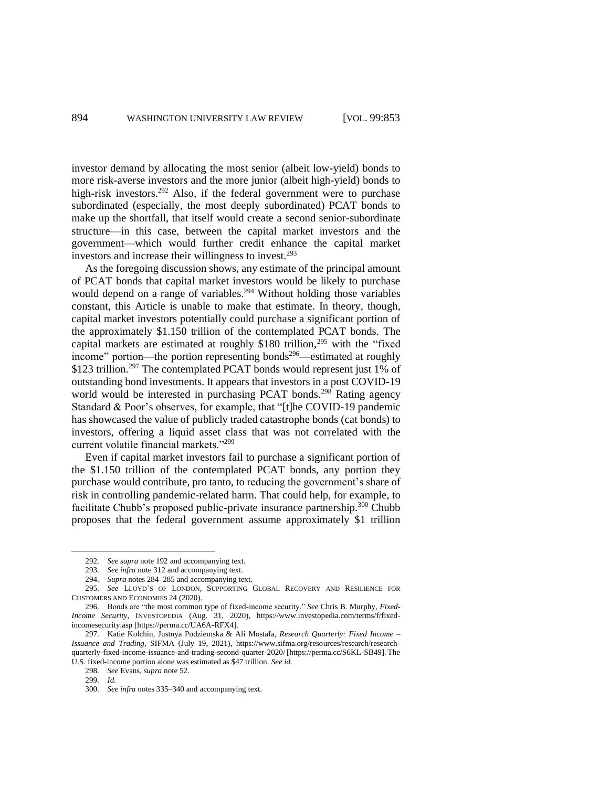investor demand by allocating the most senior (albeit low-yield) bonds to more risk-averse investors and the more junior (albeit high-yield) bonds to high-risk investors.<sup>292</sup> Also, if the federal government were to purchase subordinated (especially, the most deeply subordinated) PCAT bonds to make up the shortfall, that itself would create a second senior-subordinate structure—in this case, between the capital market investors and the government—which would further credit enhance the capital market investors and increase their willingness to invest. 293

<span id="page-41-3"></span><span id="page-41-2"></span><span id="page-41-1"></span>As the foregoing discussion shows, any estimate of the principal amount of PCAT bonds that capital market investors would be likely to purchase would depend on a range of variables.<sup>294</sup> Without holding those variables constant, this Article is unable to make that estimate. In theory, though, capital market investors potentially could purchase a significant portion of the approximately \$1.150 trillion of the contemplated PCAT bonds. The capital markets are estimated at roughly  $$180$  trillion,<sup>295</sup> with the "fixed" income" portion—the portion representing bonds<sup>296</sup>—estimated at roughly \$123 trillion.<sup>297</sup> The contemplated PCAT bonds would represent just 1% of outstanding bond investments. It appears that investors in a post COVID-19 world would be interested in purchasing PCAT bonds.<sup>298</sup> Rating agency Standard & Poor's observes, for example, that "[t]he COVID-19 pandemic has showcased the value of publicly traded catastrophe bonds (cat bonds) to investors, offering a liquid asset class that was not correlated with the current volatile financial markets."<sup>299</sup>

<span id="page-41-4"></span><span id="page-41-0"></span>Even if capital market investors fail to purchase a significant portion of the \$1.150 trillion of the contemplated PCAT bonds, any portion they purchase would contribute, pro tanto, to reducing the government's share of risk in controlling pandemic-related harm. That could help, for example, to facilitate Chubb's proposed public-private insurance partnership.<sup>300</sup> Chubb proposes that the federal government assume approximately \$1 trillion

<sup>292.</sup> *See supra* note [192](#page-26-0) and accompanying text.

<sup>293.</sup> *See infra* not[e 312](#page-43-2) and accompanying text.

<sup>294.</sup> *Supra* notes 284–285 and accompanying text.

<sup>295.</sup> *See* LLOYD'S OF LONDON, SUPPORTING GLOBAL RECOVERY AND RESILIENCE FOR CUSTOMERS AND ECONOMIES 24 (2020).

<sup>296.</sup> Bonds are "the most common type of fixed-income security." *See* Chris B. Murphy, *Fixed-Income Security*, INVESTOPEDIA (Aug. 31, 2020), https://www.investopedia.com/terms/f/fixedincomesecurity.asp [https://perma.cc/UA6A-RFX4].

<sup>297.</sup> Katie Kolchin, Justnya Podziemska & Ali Mostafa, *Research Quarterly: Fixed Income – Issuance and Trading*, SIFMA (July 19, 2021), https://www.sifma.org/resources/research/researchquarterly-fixed-income-issuance-and-trading-second-quarter-2020/ [https://perma.cc/S6KL-SB49]. The U.S. fixed-income portion alone was estimated as \$47 trillion. *See id.*

<sup>298.</sup> *See* Evans, *supra* not[e 52.](#page-10-2)

<sup>299.</sup> *Id.*

<sup>300.</sup> *See infra* note[s 335–](#page-46-0)[340](#page-46-1) and accompanying text.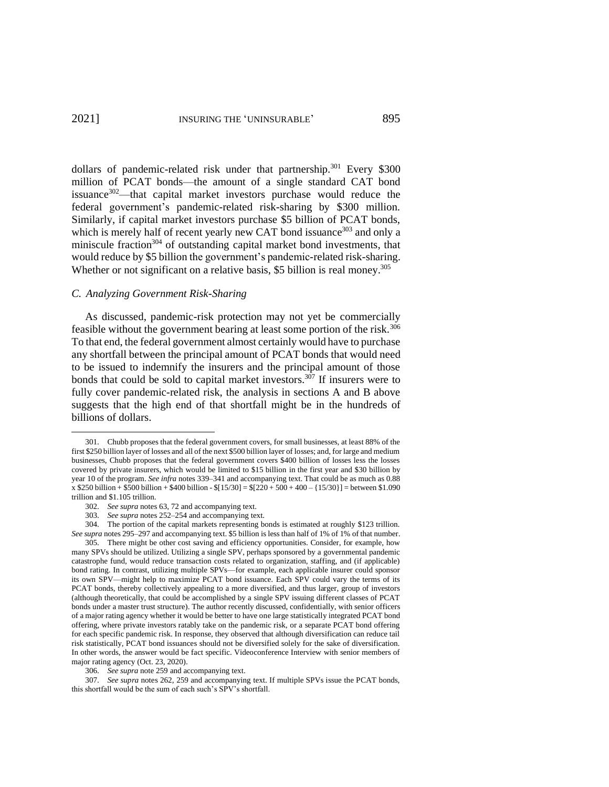<span id="page-42-4"></span><span id="page-42-2"></span>dollars of pandemic-related risk under that partnership.<sup>301</sup> Every \$300 million of PCAT bonds—the amount of a single standard CAT bond issuance $302$ —that capital market investors purchase would reduce the federal government's pandemic-related risk-sharing by \$300 million. Similarly, if capital market investors purchase \$5 billion of PCAT bonds, which is merely half of recent yearly new CAT bond issuance<sup>303</sup> and only a miniscule fraction<sup>304</sup> of outstanding capital market bond investments, that would reduce by \$5 billion the government's pandemic-related risk-sharing. Whether or not significant on a relative basis, \$5 billion is real money.<sup>305</sup>

# <span id="page-42-3"></span>*C. Analyzing Government Risk-Sharing*

<span id="page-42-1"></span><span id="page-42-0"></span>As discussed, pandemic-risk protection may not yet be commercially feasible without the government bearing at least some portion of the risk.<sup>306</sup> To that end, the federal government almost certainly would have to purchase any shortfall between the principal amount of PCAT bonds that would need to be issued to indemnify the insurers and the principal amount of those bonds that could be sold to capital market investors.<sup>307</sup> If insurers were to fully cover pandemic-related risk, the analysis in sections A and B above suggests that the high end of that shortfall might be in the hundreds of billions of dollars.

304. The portion of the capital markets representing bonds is estimated at roughly \$123 trillion. *See supra* note[s 295–](#page-41-2)[297](#page-41-0) and accompanying text. \$5 billion is less than half of 1% of 1% of that number.

<sup>301.</sup> Chubb proposes that the federal government covers, for small businesses, at least 88% of the first \$250 billion layer of losses and all of the next \$500 billion layer of losses; and, for large and medium businesses, Chubb proposes that the federal government covers \$400 billion of losses less the losses covered by private insurers, which would be limited to \$15 billion in the first year and \$30 billion by year 10 of the program. *See infra* note[s 339](#page-46-3)[–341](#page-46-4) and accompanying text. That could be as much as 0.88  $x $250$  billion + \$500 billion + \$400 billion - \$[15/30] = \$[220 + 500 + 400 – {15/30}] = between \$1.090 trillion and \$1.105 trillion.

<sup>302.</sup> *See supra* note[s 63,](#page-12-2) [72](#page-13-2) and accompanying text.

<sup>303.</sup> *See supra* note[s 252](#page-35-4)[–254](#page-35-1) and accompanying text.

<sup>305.</sup> There might be other cost saving and efficiency opportunities. Consider, for example, how many SPVs should be utilized. Utilizing a single SPV, perhaps sponsored by a governmental pandemic catastrophe fund, would reduce transaction costs related to organization, staffing, and (if applicable) bond rating. In contrast, utilizing multiple SPVs—for example, each applicable insurer could sponsor its own SPV—might help to maximize PCAT bond issuance. Each SPV could vary the terms of its PCAT bonds, thereby collectively appealing to a more diversified, and thus larger, group of investors (although theoretically, that could be accomplished by a single SPV issuing different classes of PCAT bonds under a master trust structure). The author recently discussed, confidentially, with senior officers of a major rating agency whether it would be better to have one large statistically integrated PCAT bond offering, where private investors ratably take on the pandemic risk, or a separate PCAT bond offering for each specific pandemic risk. In response, they observed that although diversification can reduce tail risk statistically, PCAT bond issuances should not be diversified solely for the sake of diversification. In other words, the answer would be fact specific. Videoconference Interview with senior members of major rating agency (Oct. 23, 2020).

<sup>306.</sup> *See supra* note [259](#page-35-3) and accompanying text.

<sup>307.</sup> *See supra* notes [262,](#page-36-0) [259](#page-35-3) and accompanying text. If multiple SPVs issue the PCAT bonds, this shortfall would be the sum of each such's SPV's shortfall.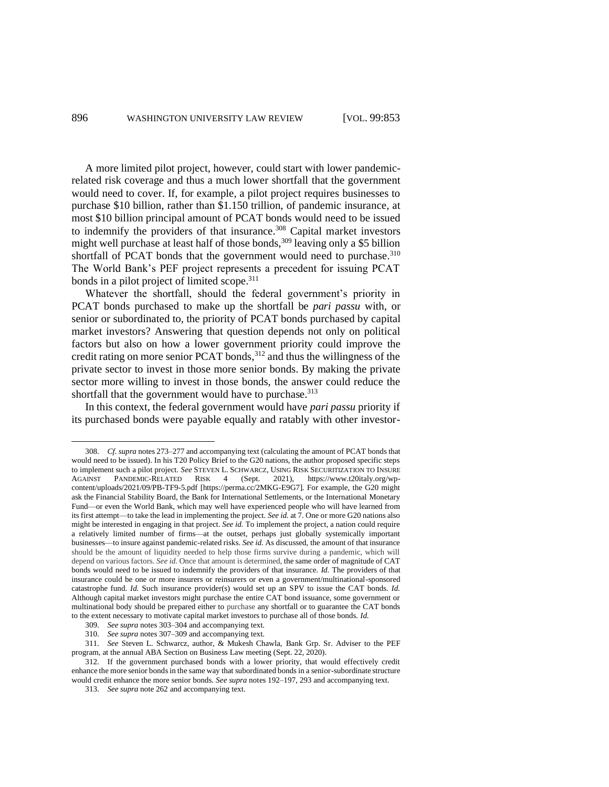<span id="page-43-4"></span>A more limited pilot project, however, could start with lower pandemicrelated risk coverage and thus a much lower shortfall that the government would need to cover. If, for example, a pilot project requires businesses to purchase \$10 billion, rather than \$1.150 trillion, of pandemic insurance, at most \$10 billion principal amount of PCAT bonds would need to be issued to indemnify the providers of that insurance*.* <sup>308</sup> Capital market investors might well purchase at least half of those bonds,  $309$  leaving only a \$5 billion shortfall of PCAT bonds that the government would need to purchase.<sup>310</sup> The World Bank's PEF project represents a precedent for issuing PCAT bonds in a pilot project of limited scope. 311

<span id="page-43-3"></span><span id="page-43-0"></span>Whatever the shortfall, should the federal government's priority in PCAT bonds purchased to make up the shortfall be *pari passu* with, or senior or subordinated to, the priority of PCAT bonds purchased by capital market investors? Answering that question depends not only on political factors but also on how a lower government priority could improve the credit rating on more senior PCAT bonds, <sup>312</sup> and thus the willingness of the private sector to invest in those more senior bonds. By making the private sector more willing to invest in those bonds, the answer could reduce the shortfall that the government would have to purchase.<sup>313</sup>

<span id="page-43-2"></span><span id="page-43-1"></span>In this context, the federal government would have *pari passu* priority if its purchased bonds were payable equally and ratably with other investor-

<sup>308.</sup> *Cf. supra* note[s 273](#page-38-1)[–277](#page-39-0) and accompanying text (calculating the amount of PCAT bonds that would need to be issued). In his T20 Policy Brief to the G20 nations, the author proposed specific steps to implement such a pilot project. *See* STEVEN L. SCHWARCZ, USING RISK SECURITIZATION TO INSURE AGAINST PANDEMIC-RELATED RISK 4 (Sept. 2021), https://www.t20italy.org/wpcontent/uploads/2021/09/PB-TF9-5.pdf [https://perma.cc/2MKG-E9G7]. For example, the G20 might ask the Financial Stability Board, the Bank for International Settlements, or the International Monetary Fund—or even the World Bank, which may well have experienced people who will have learned from its first attempt—to take the lead in implementing the project. *See id.* at 7. One or more G20 nations also might be interested in engaging in that project. *See id.* To implement the project, a nation could require a relatively limited number of firms—at the outset, perhaps just globally systemically important businesses—to insure against pandemic-related risks. *See id.* As discussed, the amount of that insurance should be the amount of liquidity needed to help those firms survive during a pandemic, which will depend on various factors. *See id.* Once that amount is determined, the same order of magnitude of CAT bonds would need to be issued to indemnify the providers of that insurance. *Id.* The providers of that insurance could be one or more insurers or reinsurers or even a government/multinational-sponsored catastrophe fund. *Id.* Such insurance provider(s) would set up an SPV to issue the CAT bonds. *Id.* Although capital market investors might purchase the entire CAT bond issuance, some government or multinational body should be prepared either to purchase any shortfall or to guarantee the CAT bonds to the extent necessary to motivate capital market investors to purchase all of those bonds. *Id.*

<sup>309.</sup> *See supra* note[s 303](#page-42-2)[–304](#page-42-3) and accompanying text.

<sup>310.</sup> *See supra* note[s 307](#page-42-1)[–309](#page-43-0) and accompanying text.

<sup>311.</sup> *See* Steven L. Schwarcz, author, & Mukesh Chawla, Bank Grp. Sr. Adviser to the PEF program, at the annual ABA Section on Business Law meeting (Sept. 22, 2020).

<sup>312.</sup> If the government purchased bonds with a lower priority, that would effectively credit enhance the more senior bonds in the same way that subordinated bonds in a senior-subordinate structure would credit enhance the more senior bonds. *See supra* note[s 192–](#page-26-0)[197,](#page-27-2) [293](#page-41-3) and accompanying text.

<sup>313.</sup> *See supra* note [262](#page-36-0) and accompanying text.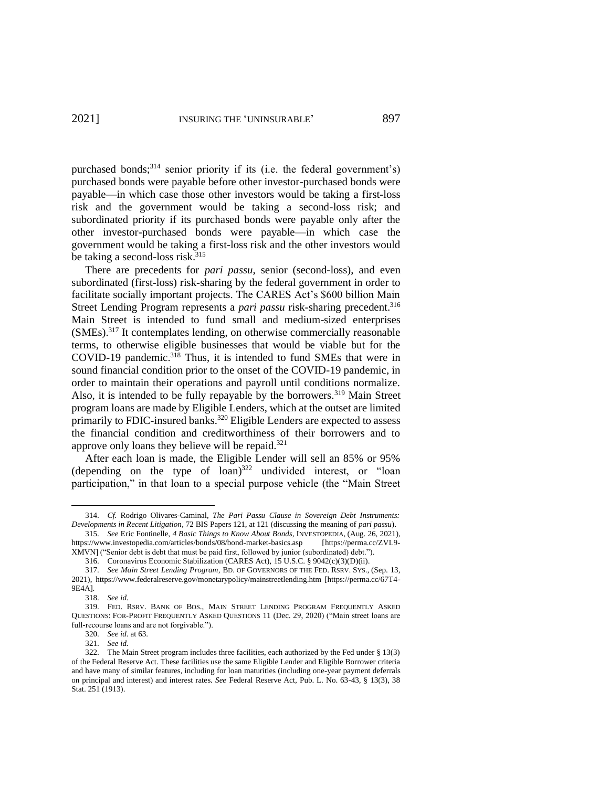<span id="page-44-2"></span>purchased bonds;<sup>314</sup> senior priority if its (i.e. the federal government's) purchased bonds were payable before other investor-purchased bonds were payable—in which case those other investors would be taking a first-loss risk and the government would be taking a second-loss risk; and subordinated priority if its purchased bonds were payable only after the other investor-purchased bonds were payable—in which case the government would be taking a first-loss risk and the other investors would be taking a second-loss risk. 315

<span id="page-44-0"></span>There are precedents for *pari passu*, senior (second-loss), and even subordinated (first-loss) risk-sharing by the federal government in order to facilitate socially important projects. The CARES Act's \$600 billion Main Street Lending Program represents a *pari passu* risk-sharing precedent. 316 Main Street is intended to fund small and medium-sized enterprises (SMEs).<sup>317</sup> It contemplates lending, on otherwise commercially reasonable terms, to otherwise eligible businesses that would be viable but for the COVID-19 pandemic.<sup>318</sup> Thus, it is intended to fund SMEs that were in sound financial condition prior to the onset of the COVID-19 pandemic, in order to maintain their operations and payroll until conditions normalize. Also, it is intended to be fully repayable by the borrowers.<sup>319</sup> Main Street program loans are made by Eligible Lenders, which at the outset are limited primarily to FDIC-insured banks.<sup>320</sup> Eligible Lenders are expected to assess the financial condition and creditworthiness of their borrowers and to approve only loans they believe will be repaid. $321$ 

<span id="page-44-1"></span>After each loan is made, the Eligible Lender will sell an 85% or 95% (depending on the type of  $\text{loan}$ )<sup>322</sup> undivided interest, or "loan participation," in that loan to a special purpose vehicle (the "Main Street

<sup>314.</sup> *Cf.* Rodrigo Olivares-Caminal, *The Pari Passu Clause in Sovereign Debt Instruments: Developments in Recent Litigation*, 72 BIS Papers 121, at 121 (discussing the meaning of *pari passu*).

<sup>315.</sup> *See* Eric Fontinelle, *4 Basic Things to Know About Bonds*, INVESTOPEDIA, (Aug. 26, 2021), https://www.investopedia.com/articles/bonds/08/bond-market-basics.asp [https://perma.cc/ZVL9- XMVN] ("Senior debt is debt that must be paid first, followed by junior (subordinated) debt.").

<sup>316.</sup> Coronavirus Economic Stabilization (CARES Act), 15 U.S.C. § 9042(c)(3)(D)(ii).

<sup>317.</sup> *See Main Street Lending Program*, BD. OF GOVERNORS OF THE FED. RSRV. SYS., (Sep. 13,

<sup>2021),</sup> https://www.federalreserve.gov/monetarypolicy/mainstreetlending.htm [https://perma.cc/67T4- 9E4A].

<sup>318.</sup> *See id.* 

<sup>319.</sup> FED. RSRV. BANK OF BOS., MAIN STREET LENDING PROGRAM FREQUENTLY ASKED QUESTIONS: FOR-PROFIT FREQUENTLY ASKED QUESTIONS 11 (Dec. 29, 2020) ("Main street loans are full-recourse loans and are not forgivable.").

<sup>320.</sup> *See id.* at 63. 321. *See id.* 

<sup>322.</sup> The Main Street program includes three facilities, each authorized by the Fed under § 13(3) of the Federal Reserve Act. These facilities use the same Eligible Lender and Eligible Borrower criteria and have many of similar features, including for loan maturities (including one-year payment deferrals on principal and interest) and interest rates. *See* Federal Reserve Act, Pub. L. No. 63-43, § 13(3), 38 Stat. 251 (1913).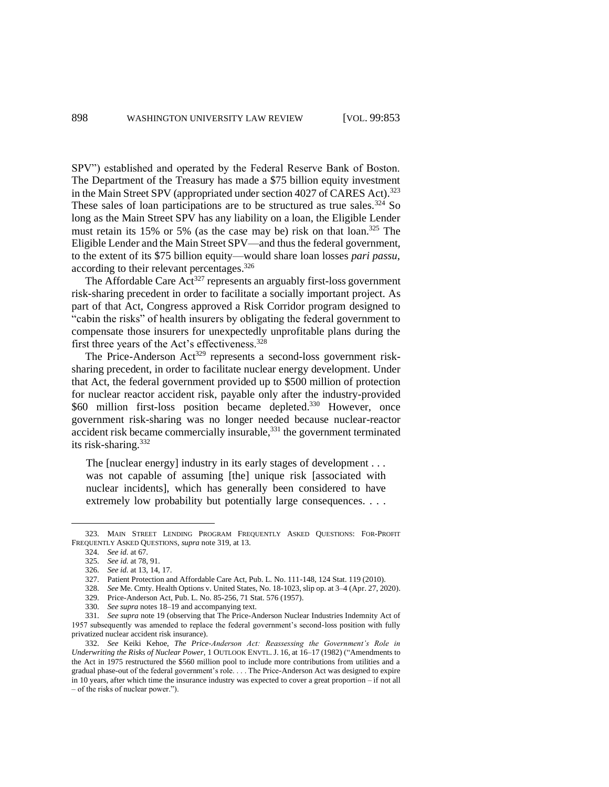SPV") established and operated by the Federal Reserve Bank of Boston. The Department of the Treasury has made a \$75 billion equity investment in the Main Street SPV (appropriated under section 4027 of CARES Act).<sup>323</sup> These sales of loan participations are to be structured as true sales.<sup>324</sup> So long as the Main Street SPV has any liability on a loan, the Eligible Lender must retain its 15% or 5% (as the case may be) risk on that loan.<sup>325</sup> The Eligible Lender and the Main Street SPV—and thus the federal government, to the extent of its \$75 billion equity—would share loan losses *pari passu*, according to their relevant percentages.<sup>326</sup>

The Affordable Care  $Act^{327}$  represents an arguably first-loss government risk-sharing precedent in order to facilitate a socially important project. As part of that Act, Congress approved a Risk Corridor program designed to "cabin the risks" of health insurers by obligating the federal government to compensate those insurers for unexpectedly unprofitable plans during the first three years of the Act's effectiveness.<sup>328</sup>

The Price-Anderson Act<sup>329</sup> represents a second-loss government risksharing precedent, in order to facilitate nuclear energy development. Under that Act, the federal government provided up to \$500 million of protection for nuclear reactor accident risk, payable only after the industry-provided \$60 million first-loss position became depleted.<sup>330</sup> However, once government risk-sharing was no longer needed because nuclear-reactor accident risk became commercially insurable,<sup>331</sup> the government terminated its risk-sharing. 332

<span id="page-45-0"></span>The [nuclear energy] industry in its early stages of development . . . was not capable of assuming [the] unique risk [associated with nuclear incidents], which has generally been considered to have extremely low probability but potentially large consequences. . . .

- 328. *See* Me. Cmty. Health Options v. United States, No. 18-1023, slip op. at 3–4 (Apr. 27, 2020).
- 329. Price-Anderson Act, Pub. L. No. 85-256, 71 Stat. 576 (1957).
- 330. *See supra* notes [18](#page-4-2)[–19](#page-4-3) and accompanying text.

331. *See supra* note [19](#page-4-3) (observing that The Price-Anderson Nuclear Industries Indemnity Act of 1957 subsequently was amended to replace the federal government's second-loss position with fully privatized nuclear accident risk insurance).

<sup>323.</sup> MAIN STREET LENDING PROGRAM FREQUENTLY ASKED QUESTIONS: FOR-PROFIT FREQUENTLY ASKED QUESTIONS, *supra* not[e 319,](#page-44-1) at 13.

<sup>324.</sup> *See id.* at 67.

<sup>325.</sup> *See id.* at 78, 91.

<sup>326.</sup> *See id.* at 13, 14, 17.

<sup>327.</sup> Patient Protection and Affordable Care Act, Pub. L. No. 111-148, 124 Stat. 119 (2010).

<sup>332.</sup> *See* Keiki Kehoe, *The Price-Anderson Act: Reassessing the Government's Role in Underwriting the Risks of Nuclear Power*, 1 OUTLOOK ENVTL.J. 16, at 16–17 (1982) ("Amendments to the Act in 1975 restructured the \$560 million pool to include more contributions from utilities and a gradual phase-out of the federal government's role. . . . The Price-Anderson Act was designed to expire in 10 years, after which time the insurance industry was expected to cover a great proportion – if not all – of the risks of nuclear power.").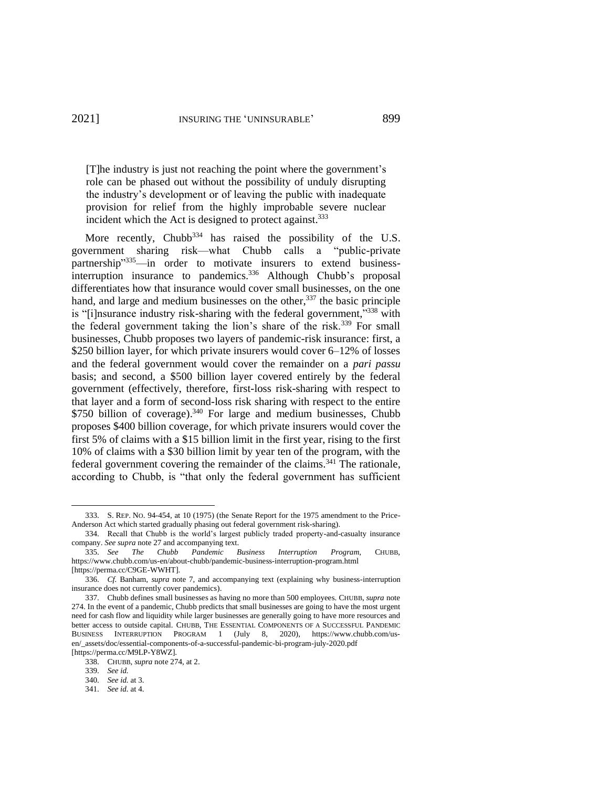[T]he industry is just not reaching the point where the government's role can be phased out without the possibility of unduly disrupting the industry's development or of leaving the public with inadequate provision for relief from the highly improbable severe nuclear incident which the Act is designed to protect against.<sup>333</sup>

<span id="page-46-3"></span><span id="page-46-2"></span><span id="page-46-0"></span>More recently, Chubb $334$  has raised the possibility of the U.S. government sharing risk—what Chubb calls a "public-private partnership"<sup>335</sup>—in order to motivate insurers to extend businessinterruption insurance to pandemics.<sup>336</sup> Although Chubb's proposal differentiates how that insurance would cover small businesses, on the one hand, and large and medium businesses on the other,  $337$  the basic principle is "[i]nsurance industry risk-sharing with the federal government,"<sup>338</sup> with the federal government taking the lion's share of the risk.<sup>339</sup> For small businesses, Chubb proposes two layers of pandemic-risk insurance: first, a \$250 billion layer, for which private insurers would cover 6–12% of losses and the federal government would cover the remainder on a *pari passu* basis; and second, a \$500 billion layer covered entirely by the federal government (effectively, therefore, first-loss risk-sharing with respect to that layer and a form of second-loss risk sharing with respect to the entire \$750 billion of coverage).<sup>340</sup> For large and medium businesses, Chubb proposes \$400 billion coverage, for which private insurers would cover the first 5% of claims with a \$15 billion limit in the first year, rising to the first 10% of claims with a \$30 billion limit by year ten of the program, with the federal government covering the remainder of the claims.<sup>341</sup> The rationale, according to Chubb, is "that only the federal government has sufficient

<span id="page-46-4"></span><span id="page-46-1"></span><sup>333.</sup> S. REP. NO. 94-454, at 10 (1975) (the Senate Report for the 1975 amendment to the Price-Anderson Act which started gradually phasing out federal government risk-sharing).

<sup>334.</sup> Recall that Chubb is the world's largest publicly traded property-and-casualty insurance company. *See supra* note 27 and accompanying text.

<sup>335.</sup> *See The Chubb Pandemic Business Interruption Program*, CHUBB, https://www.chubb.com/us-en/about-chubb/pandemic-business-interruption-program.html [https://perma.cc/C9GE-WWHT].

<sup>336.</sup> *Cf.* Banham, *supra* note [7,](#page-2-0) and accompanying text (explaining why business-interruption insurance does not currently cover pandemics).

<sup>337.</sup> Chubb defines small businesses as having no more than 500 employees. CHUBB, *supra* note [274.](#page-38-2) In the event of a pandemic, Chubb predicts that small businesses are going to have the most urgent need for cash flow and liquidity while larger businesses are generally going to have more resources and better access to outside capital. CHUBB, THE ESSENTIAL COMPONENTS OF A SUCCESSFUL PANDEMIC BUSINESS INTERRUPTION PROGRAM 1 (July 8, 2020), [https://www.chubb.com/us](https://www.chubb.com/us-en/_assets/doc/essential-components-of-a-successful-pandemic-bi-program-july-2020.pdf)[en/\\_assets/doc/essential-components-of-a-successful-pandemic-bi-program-july-2020.pdf](https://www.chubb.com/us-en/_assets/doc/essential-components-of-a-successful-pandemic-bi-program-july-2020.pdf) [https://perma.cc/M9LP-Y8WZ].

<sup>338.</sup> CHUBB, *supra* not[e 274,](#page-38-2) at 2.

<sup>339.</sup> *See id.* 

<sup>340.</sup> *See id.* at 3.

<sup>341.</sup> *See id.* at 4.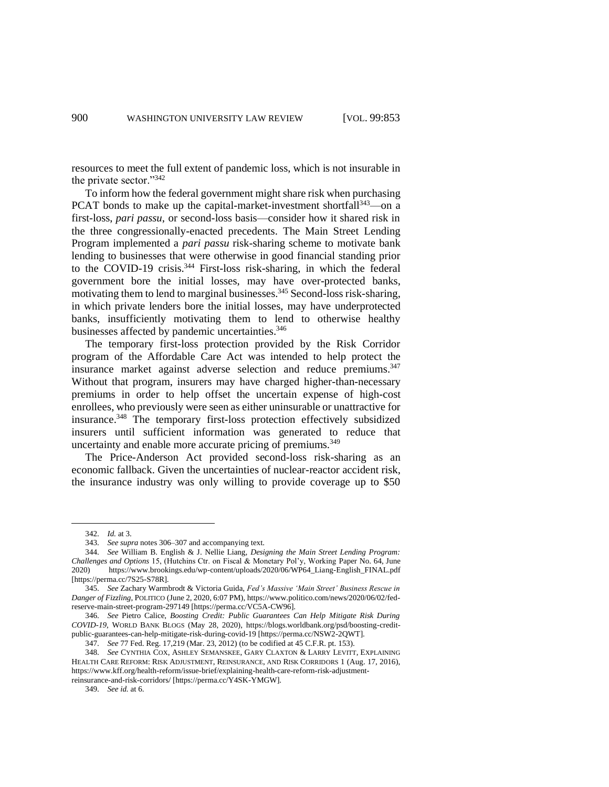<span id="page-47-0"></span>resources to meet the full extent of pandemic loss, which is not insurable in the private sector."<sup>342</sup>

To inform how the federal government might share risk when purchasing PCAT bonds to make up the capital-market-investment shortfall<sup>343</sup>—on a first-loss, *pari passu*, or second-loss basis—consider how it shared risk in the three congressionally-enacted precedents. The Main Street Lending Program implemented a *pari passu* risk-sharing scheme to motivate bank lending to businesses that were otherwise in good financial standing prior to the COVID-19 crisis.<sup>344</sup> First-loss risk-sharing, in which the federal government bore the initial losses, may have over-protected banks, motivating them to lend to marginal businesses.<sup>345</sup> Second-loss risk-sharing, in which private lenders bore the initial losses, may have underprotected banks, insufficiently motivating them to lend to otherwise healthy businesses affected by pandemic uncertainties. 346

The temporary first-loss protection provided by the Risk Corridor program of the Affordable Care Act was intended to help protect the insurance market against adverse selection and reduce premiums.<sup>347</sup> Without that program, insurers may have charged higher-than-necessary premiums in order to help offset the uncertain expense of high-cost enrollees, who previously were seen as either uninsurable or unattractive for insurance. <sup>348</sup> The temporary first-loss protection effectively subsidized insurers until sufficient information was generated to reduce that uncertainty and enable more accurate pricing of premiums.<sup>349</sup>

The Price-Anderson Act provided second-loss risk-sharing as an economic fallback. Given the uncertainties of nuclear-reactor accident risk, the insurance industry was only willing to provide coverage up to \$50

349. *See id.* at 6.

<sup>342.</sup> *Id.* at 3.

<sup>343.</sup> *See supra* note[s 306](#page-42-0)[–307](#page-42-1) and accompanying text.

<sup>344.</sup> *See* William B. English & J. Nellie Liang, *Designing the Main Street Lending Program: Challenges and Options* 15, (Hutchins Ctr. on Fiscal & Monetary Pol'y, Working Paper No. 64, June 2020) https://www.brookings.edu/wp-content/uploads/2020/06/WP64\_Liang-English\_FINAL.pdf [https://perma.cc/7S25-S78R].

<sup>345.</sup> *See* Zachary Warmbrodt & Victoria Guida, *Fed's Massive 'Main Street' Business Rescue in Danger of Fizzling*, POLITICO (June 2, 2020, 6:07 PM), https://www.politico.com/news/2020/06/02/fedreserve-main-street-program-297149 [https://perma.cc/VC5A-CW96].

<sup>346.</sup> *See* Pietro Calice, *Boosting Credit: Public Guarantees Can Help Mitigate Risk During COVID-19*, WORLD BANK BLOGS (May 28, 2020), https://blogs.worldbank.org/psd/boosting-creditpublic-guarantees-can-help-mitigate-risk-during-covid-19 [https://perma.cc/NSW2-2QWT].

<sup>347.</sup> *See* 77 Fed. Reg. 17,219 (Mar. 23, 2012) (to be codified at 45 C.F.R. pt. 153).

<sup>348.</sup> *See* CYNTHIA COX, ASHLEY SEMANSKEE, GARY CLAXTON & LARRY LEVITT, EXPLAINING HEALTH CARE REFORM: RISK ADJUSTMENT, REINSURANCE, AND RISK CORRIDORS 1 (Aug. 17, 2016), https://www.kff.org/health-reform/issue-brief/explaining-health-care-reform-risk-adjustmentreinsurance-and-risk-corridors/ [https://perma.cc/Y4SK-YMGW].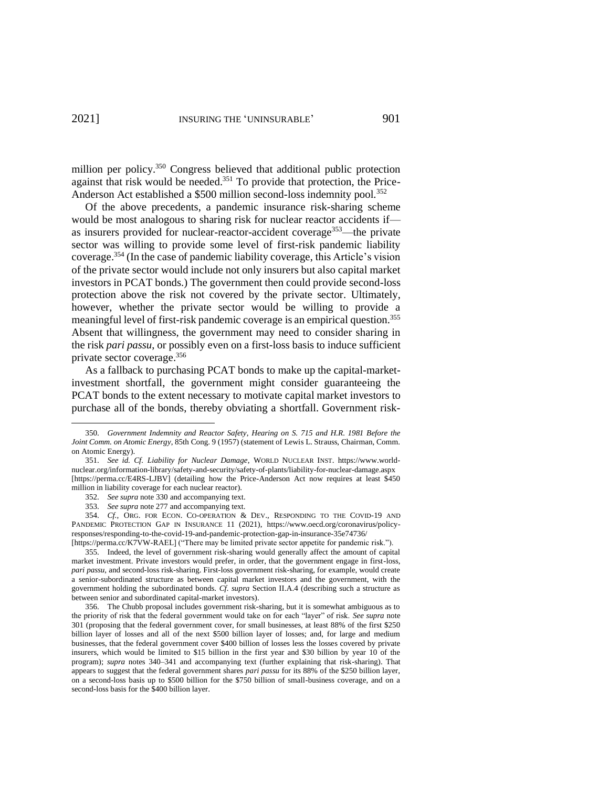million per policy.<sup>350</sup> Congress believed that additional public protection against that risk would be needed.<sup>351</sup> To provide that protection, the Price-Anderson Act established a \$500 million second-loss indemnity pool.<sup>352</sup>

Of the above precedents, a pandemic insurance risk-sharing scheme would be most analogous to sharing risk for nuclear reactor accidents if as insurers provided for nuclear-reactor-accident coverage<sup>353</sup>—the private sector was willing to provide some level of first-risk pandemic liability coverage. <sup>354</sup> (In the case of pandemic liability coverage, this Article's vision of the private sector would include not only insurers but also capital market investors in PCAT bonds.) The government then could provide second-loss protection above the risk not covered by the private sector. Ultimately, however, whether the private sector would be willing to provide a meaningful level of first-risk pandemic coverage is an empirical question.<sup>355</sup> Absent that willingness, the government may need to consider sharing in the risk *pari passu*, or possibly even on a first-loss basis to induce sufficient private sector coverage. 356

As a fallback to purchasing PCAT bonds to make up the capital-marketinvestment shortfall, the government might consider guaranteeing the PCAT bonds to the extent necessary to motivate capital market investors to purchase all of the bonds, thereby obviating a shortfall. Government risk-

[https://perma.cc/K7VW-RAEL] ("There may be limited private sector appetite for pandemic risk.").

355. Indeed, the level of government risk-sharing would generally affect the amount of capital market investment. Private investors would prefer, in order, that the government engage in first-loss, *pari passu*, and second-loss risk-sharing. First-loss government risk-sharing, for example, would create a senior-subordinated structure as between capital market investors and the government, with the government holding the subordinated bonds. *Cf. supra* Section II.A.4 (describing such a structure as between senior and subordinated capital-market investors).

356. The Chubb proposal includes government risk-sharing, but it is somewhat ambiguous as to the priority of risk that the federal government would take on for each "layer" of risk. *See supra* note [301](#page-42-4) (proposing that the federal government cover, for small businesses, at least 88% of the first \$250 billion layer of losses and all of the next \$500 billion layer of losses; and, for large and medium businesses, that the federal government cover \$400 billion of losses less the losses covered by private insurers, which would be limited to \$15 billion in the first year and \$30 billion by year 10 of the program); *supra* notes [340](#page-46-1)[–341](#page-46-4) and accompanying text (further explaining that risk-sharing). That appears to suggest that the federal government shares *pari passu* for its 88% of the \$250 billion layer, on a second-loss basis up to \$500 billion for the \$750 billion of small-business coverage, and on a second-loss basis for the \$400 billion layer.

<sup>350.</sup> *Government Indemnity and Reactor Safety*, *Hearing on S. 715 and H.R. 1981 Before the Joint Comm. on Atomic Energy*, 85th Cong. 9 (1957) (statement of Lewis L. Strauss, Chairman, Comm. on Atomic Energy).

<sup>351.</sup> *See id. Cf. Liability for Nuclear Damage*, WORLD NUCLEAR INST. https://www.worldnuclear.org/information-library/safety-and-security/safety-of-plants/liability-for-nuclear-damage.aspx [https://perma.cc/E4RS-LJBV] (detailing how the Price-Anderson Act now requires at least \$450 million in liability coverage for each nuclear reactor).

<sup>352.</sup> *See supra* note [330](#page-45-0) and accompanying text.

<sup>353.</sup> *See supra* note 277 and accompanying text.

<sup>354.</sup> *Cf.*, ORG. FOR ECON. CO-OPERATION & DEV., RESPONDING TO THE COVID-19 AND PANDEMIC PROTECTION GAP IN INSURANCE 11 (2021), https://www.oecd.org/coronavirus/policyresponses/responding-to-the-covid-19-and-pandemic-protection-gap-in-insurance-35e74736/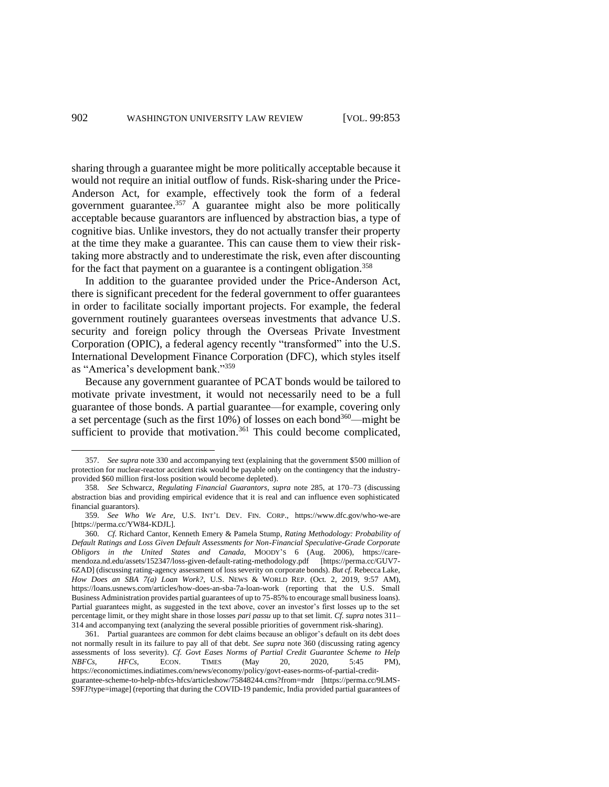sharing through a guarantee might be more politically acceptable because it would not require an initial outflow of funds. Risk-sharing under the Price-Anderson Act, for example, effectively took the form of a federal government guarantee. $357$  A guarantee might also be more politically acceptable because guarantors are influenced by abstraction bias, a type of cognitive bias. Unlike investors, they do not actually transfer their property at the time they make a guarantee. This can cause them to view their risktaking more abstractly and to underestimate the risk, even after discounting for the fact that payment on a guarantee is a contingent obligation.<sup>358</sup>

In addition to the guarantee provided under the Price-Anderson Act, there is significant precedent for the federal government to offer guarantees in order to facilitate socially important projects. For example, the federal government routinely guarantees overseas investments that advance U.S. security and foreign policy through the Overseas Private Investment Corporation (OPIC), a federal agency recently "transformed" into the U.S. International Development Finance Corporation (DFC), which styles itself as "America's development bank."<sup>359</sup>

<span id="page-49-1"></span><span id="page-49-0"></span>Because any government guarantee of PCAT bonds would be tailored to motivate private investment, it would not necessarily need to be a full guarantee of those bonds. A partial guarantee—for example, covering only a set percentage (such as the first  $10\%$ ) of losses on each bond<sup>360</sup>—might be sufficient to provide that motivation.<sup>361</sup> This could become complicated,

<sup>357.</sup> *See supra* not[e 330](#page-45-0) and accompanying text (explaining that the government \$500 million of protection for nuclear-reactor accident risk would be payable only on the contingency that the industryprovided \$60 million first-loss position would become depleted).

<sup>358.</sup> *See* Schwarcz, *Regulating Financial Guarantors*, *supra* note [285,](#page-40-0) at 170–73 (discussing abstraction bias and providing empirical evidence that it is real and can influence even sophisticated financial guarantors).

<sup>359.</sup> *See Who We Are*, U.S. INT'L DEV. FIN. CORP., https://www.dfc.gov/who-we-are [https://perma.cc/YW84-KDJL].

<sup>360.</sup> *Cf.* Richard Cantor, Kenneth Emery & Pamela Stump, *Rating Methodology: Probability of Default Ratings and Loss Given Default Assessments for Non-Financial Speculative-Grade Corporate Obligors in the United States and Canada*, MOODY'S 6 (Aug. 2006), https://caremendoza.nd.edu/assets/152347/loss-given-default-rating-methodology.pdf [https://perma.cc/GUV7- 6ZAD] (discussing rating-agency assessment of loss severity on corporate bonds). *But cf.* Rebecca Lake, *How Does an SBA 7(a) Loan Work?*, U.S. NEWS & WORLD REP. (Oct. 2, 2019, 9:57 AM), https://loans.usnews.com/articles/how-does-an-sba-7a-loan-work (reporting that the U.S. Small Business Administration provides partial guarantees of up to 75-85% to encourage small business loans). Partial guarantees might, as suggested in the text above, cover an investor's first losses up to the set percentage limit, or they might share in those losses *pari passu* up to that set limit. *Cf. supra* note[s 311–](#page-43-3) [314](#page-44-2) and accompanying text (analyzing the several possible priorities of government risk-sharing).

<sup>361.</sup> Partial guarantees are common for debt claims because an obligor's default on its debt does not normally result in its failure to pay all of that debt. *See supra* note [360](#page-49-1) (discussing rating agency assessments of loss severity). *Cf. Govt Eases Norms of Partial Credit Guarantee Scheme to Help NBFCs*, *HFCs*, *ECON*. TIMES (May 20, 2020, 5:45 PM), *NBFCs, HFCs,* ECON. TIMES (May 20, 2020, 5:45 PM), https://economictimes.indiatimes.com/news/economy/policy/govt-eases-norms-of-partial-credit-

guarantee-scheme-to-help-nbfcs-hfcs/articleshow/75848244.cms?from=mdr [https://perma.cc/9LMS-S9FJ?type=image] (reporting that during the COVID-19 pandemic, India provided partial guarantees of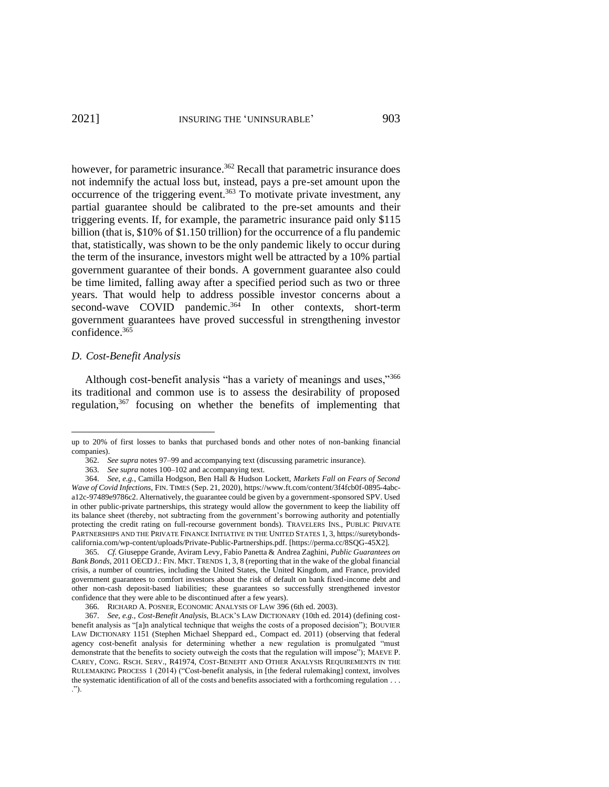however, for parametric insurance.<sup>362</sup> Recall that parametric insurance does not indemnify the actual loss but, instead, pays a pre-set amount upon the occurrence of the triggering event.<sup>363</sup> To motivate private investment, any partial guarantee should be calibrated to the pre-set amounts and their triggering events. If, for example, the parametric insurance paid only \$115 billion (that is, \$10% of \$1.150 trillion) for the occurrence of a flu pandemic that, statistically, was shown to be the only pandemic likely to occur during the term of the insurance, investors might well be attracted by a 10% partial government guarantee of their bonds. A government guarantee also could be time limited, falling away after a specified period such as two or three years. That would help to address possible investor concerns about a second-wave COVID pandemic.<sup>364</sup> In other contexts, short-term government guarantees have proved successful in strengthening investor confidence.<sup>365</sup>

# *D. Cost-Benefit Analysis*

<span id="page-50-0"></span>Although cost-benefit analysis "has a variety of meanings and uses,"<sup>366</sup> its traditional and common use is to assess the desirability of proposed regulation,<sup>367</sup> focusing on whether the benefits of implementing that

up to 20% of first losses to banks that purchased bonds and other notes of non-banking financial companies).

<sup>362.</sup> *See supra* note[s 97](#page-16-3)[–99](#page-16-4) and accompanying text (discussing parametric insurance).

<sup>363.</sup> *See supra* notes 100–102 and accompanying text.

<sup>364.</sup> *See, e.g.*, Camilla Hodgson, Ben Hall & Hudson Lockett, *Markets Fall on Fears of Second Wave of Covid Infections*, FIN. TIMES (Sep. 21, 2020)[, https://www.ft.com/content/3f4fcb0f-0895-4abc](https://www.ft.com/content/3f4fcb0f-0895-4abc-a12c-97489e9786c2)[a12c-97489e9786c2.](https://www.ft.com/content/3f4fcb0f-0895-4abc-a12c-97489e9786c2) Alternatively, the guarantee could be given by a government-sponsored SPV. Used in other public-private partnerships, this strategy would allow the government to keep the liability off its balance sheet (thereby, not subtracting from the government's borrowing authority and potentially protecting the credit rating on full-recourse government bonds). TRAVELERS INS., PUBLIC PRIVATE PARTNERSHIPS AND THE PRIVATE FINANCE INITIATIVE IN THE UNITED STATES 1, 3, https://suretybondscalifornia.com/wp-content/uploads/Private-Public-Partnerships.pdf. [https://perma.cc/8SQG-45X2].

<sup>365.</sup> *Cf.* Giuseppe Grande, Aviram Levy, Fabio Panetta & Andrea Zaghini, *Public Guarantees on Bank Bonds*, 2011 OECD J.: FIN. MKT. TRENDS 1, 3, 8 (reporting that in the wake of the global financial crisis, a number of countries, including the United States, the United Kingdom, and France, provided government guarantees to comfort investors about the risk of default on bank fixed-income debt and other non-cash deposit-based liabilities; these guarantees so successfully strengthened investor confidence that they were able to be discontinued after a few years).

<sup>366.</sup> RICHARD A. POSNER, ECONOMIC ANALYSIS OF LAW 396 (6th ed. 2003).

<sup>367.</sup> *See, e.g.*, *Cost-Benefit Analysis*, BLACK'S LAW DICTIONARY (10th ed. 2014) (defining costbenefit analysis as "[a]n analytical technique that weighs the costs of a proposed decision"); BOUVIER LAW DICTIONARY 1151 (Stephen Michael Sheppard ed., Compact ed. 2011) (observing that federal agency cost-benefit analysis for determining whether a new regulation is promulgated "must demonstrate that the benefits to society outweigh the costs that the regulation will impose"); MAEVE P. CAREY, CONG. RSCH. SERV., R41974, COST-BENEFIT AND OTHER ANALYSIS REQUIREMENTS IN THE RULEMAKING PROCESS 1 (2014) ("Cost-benefit analysis, in [the federal rulemaking] context, involves the systematic identification of all of the costs and benefits associated with a forthcoming regulation . . . .").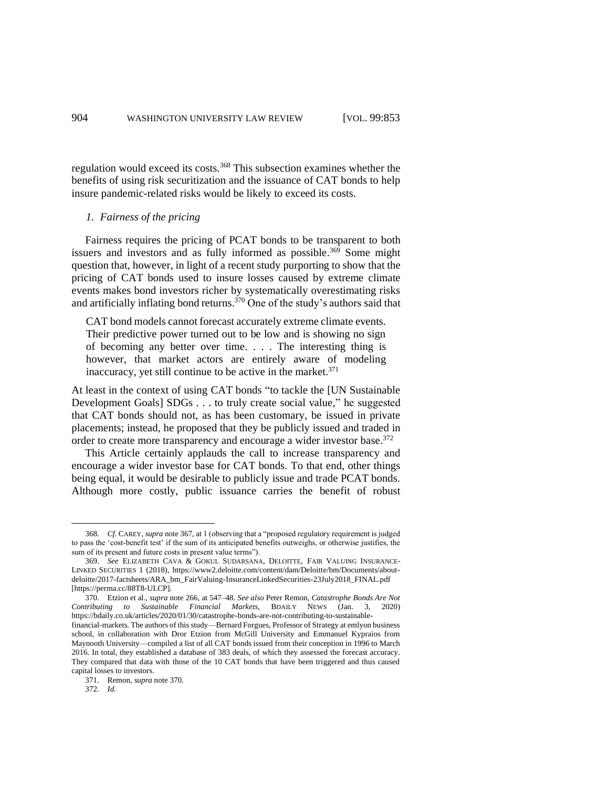regulation would exceed its costs.<sup>368</sup> This subsection examines whether the benefits of using risk securitization and the issuance of CAT bonds to help insure pandemic-related risks would be likely to exceed its costs.

### <span id="page-51-2"></span>*1. Fairness of the pricing*

Fairness requires the pricing of PCAT bonds to be transparent to both issuers and investors and as fully informed as possible. <sup>369</sup> Some might question that, however, in light of a recent study purporting to show that the pricing of CAT bonds used to insure losses caused by extreme climate events makes bond investors richer by systematically overestimating risks and artificially inflating bond returns. <sup>370</sup> One of the study's authors said that

<span id="page-51-1"></span>CAT bond models cannot forecast accurately extreme climate events. Their predictive power turned out to be low and is showing no sign of becoming any better over time. . . . The interesting thing is however, that market actors are entirely aware of modeling inaccuracy, yet still continue to be active in the market. $371$ 

At least in the context of using CAT bonds "to tackle the [UN Sustainable Development Goals] SDGs . . . to truly create social value," he suggested that CAT bonds should not, as has been customary, be issued in private placements; instead, he proposed that they be publicly issued and traded in order to create more transparency and encourage a wider investor base.<sup>372</sup>

<span id="page-51-0"></span>This Article certainly applauds the call to increase transparency and encourage a wider investor base for CAT bonds. To that end, other things being equal, it would be desirable to publicly issue and trade PCAT bonds. Although more costly, public issuance carries the benefit of robust

<sup>368.</sup> *Cf.* CAREY, *supra* not[e 367,](#page-50-0) at 1 (observing that a "proposed regulatory requirement is judged to pass the 'cost-benefit test' if the sum of its anticipated benefits outweighs, or otherwise justifies, the sum of its present and future costs in present value terms").

<sup>369.</sup> *See* ELIZABETH CAVA & GOKUL SUDARSANA, DELOITTE, FAIR VALUING INSURANCE-LINKED SECURITIES 1 (2018), https://www2.deloitte.com/content/dam/Deloitte/bm/Documents/aboutdeloitte/2017-factsheets/ARA\_bm\_FairValuing-InsuranceLinkedSecurities-23July2018\_FINAL.pdf [https://perma.cc/88T8-ULCP].

<sup>370.</sup> Etzion et al., *supra* note [266,](#page-36-1) at 547–48. *See also* Peter Remon, *Catastrophe Bonds Are Not Contributing to Sustainable Financial Markets*, BDAILY NEWS (Jan. 3, 2020) https://bdaily.co.uk/articles/2020/01/30/catastrophe-bonds-are-not-contributing-to-sustainablefinancial-markets. The authors of this study—Bernard Forgues, Professor of Strategy at emlyon business school, in collaboration with Dror Etzion from McGill University and Emmanuel Kypraios from Maynooth University—compiled a list of all CAT bonds issued from their conception in 1996 to March 2016. In total, they established a database of 383 deals, of which they assessed the forecast accuracy. They compared that data with those of the 10 CAT bonds that have been triggered and thus caused capital losses to investors.

<sup>371.</sup> Remon, *supra* note [370.](#page-51-1) 

<sup>372.</sup> *Id.*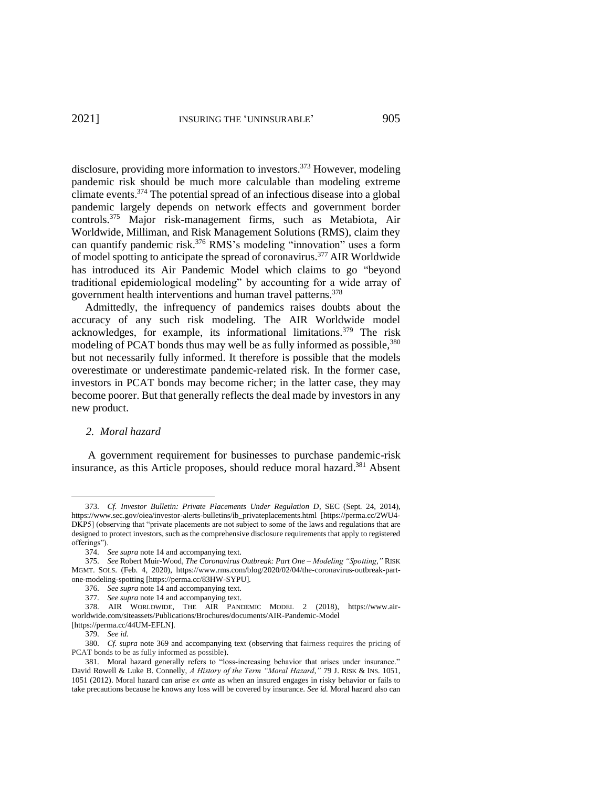disclosure, providing more information to investors.<sup>373</sup> However, modeling pandemic risk should be much more calculable than modeling extreme climate events. <sup>374</sup> The potential spread of an infectious disease into a global pandemic largely depends on network effects and government border controls.<sup>375</sup> Major risk-management firms, such as Metabiota, Air Worldwide, Milliman, and Risk Management Solutions (RMS), claim they can quantify pandemic risk.<sup>376</sup> RMS's modeling "innovation" uses a form of model spotting to anticipate the spread of coronavirus.<sup>377</sup> AIR Worldwide has introduced its Air Pandemic Model which claims to go "beyond traditional epidemiological modeling" by accounting for a wide array of government health interventions and human travel patterns.<sup>378</sup>

Admittedly, the infrequency of pandemics raises doubts about the accuracy of any such risk modeling. The AIR Worldwide model acknowledges, for example, its informational limitations.<sup>379</sup> The risk modeling of PCAT bonds thus may well be as fully informed as possible,<sup>380</sup> but not necessarily fully informed. It therefore is possible that the models overestimate or underestimate pandemic-related risk. In the former case, investors in PCAT bonds may become richer; in the latter case, they may become poorer. But that generally reflects the deal made by investors in any new product.

# <span id="page-52-0"></span>*2. Moral hazard*

A government requirement for businesses to purchase pandemic-risk insurance, as this Article proposes, should reduce moral hazard.<sup>381</sup> Absent

<sup>373.</sup> *Cf. Investor Bulletin: Private Placements Under Regulation D*, SEC (Sept. 24, 2014), [https://www.sec.gov/oiea/investor-alerts-bulletins/ib\\_privateplacements.html](https://www.sec.gov/oiea/investor-alerts-bulletins/ib_privateplacements.html) [https://perma.cc/2WU4- DKP5] (observing that "private placements are not subject to some of the laws and regulations that are designed to protect investors, such as the comprehensive disclosure requirements that apply to registered offerings").

<sup>374.</sup> *See supra* note 14 and accompanying text.

<sup>375.</sup> *See* Robert Muir-Wood, *The Coronavirus Outbreak: Part One – Modeling "Spotting*,*"* RISK MGMT. SOLS. (Feb. 4, 2020), https://www.rms.com/blog/2020/02/04/the-coronavirus-outbreak-partone-modeling-spotting [https://perma.cc/83HW-SYPU].

<sup>376.</sup> *See supra* note [14](#page-4-1) and accompanying text.

<sup>377.</sup> *See supra* note [14](#page-4-1) and accompanying text.

<sup>378.</sup> AIR WORLDWIDE, THE AIR PANDEMIC MODEL 2 (2018), https://www.airworldwide.com/siteassets/Publications/Brochures/documents/AIR-Pandemic-Model [https://perma.cc/44UM-EFLN].

<sup>379.</sup> *See id.*

<sup>380.</sup> *Cf. supra* note [369](#page-51-2) and accompanying text (observing that fairness requires the pricing of PCAT bonds to be as fully informed as possible).

<sup>381.</sup> Moral hazard generally refers to "loss-increasing behavior that arises under insurance." David Rowell & Luke B. Connelly, *A History of the Term "Moral Hazard*,*"* 79 J. RISK & INS. 1051, 1051 (2012). Moral hazard can arise *ex ante* as when an insured engages in risky behavior or fails to take precautions because he knows any loss will be covered by insurance. *See id.* Moral hazard also can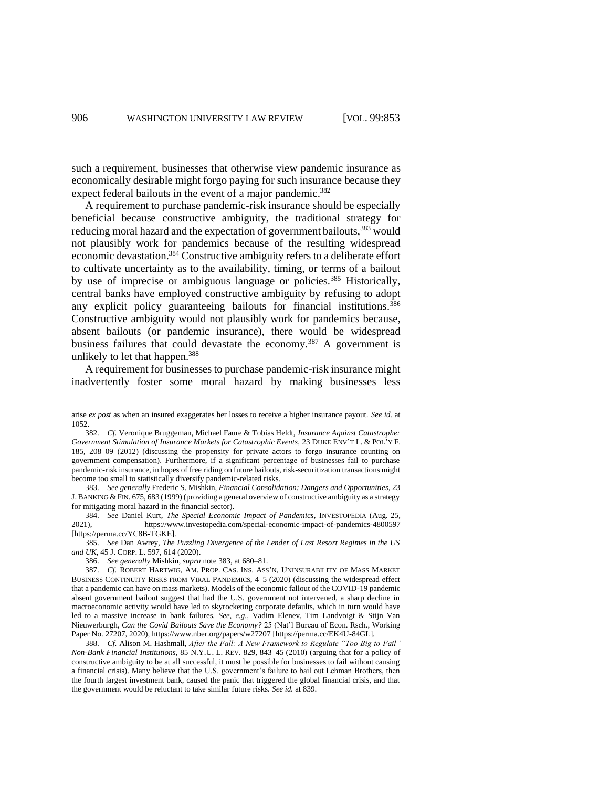such a requirement, businesses that otherwise view pandemic insurance as economically desirable might forgo paying for such insurance because they expect federal bailouts in the event of a major pandemic.<sup>382</sup>

<span id="page-53-1"></span>A requirement to purchase pandemic-risk insurance should be especially beneficial because constructive ambiguity, the traditional strategy for reducing moral hazard and the expectation of government bailouts,<sup>383</sup> would not plausibly work for pandemics because of the resulting widespread economic devastation.<sup>384</sup> Constructive ambiguity refers to a deliberate effort to cultivate uncertainty as to the availability, timing, or terms of a bailout by use of imprecise or ambiguous language or policies.<sup>385</sup> Historically, central banks have employed constructive ambiguity by refusing to adopt any explicit policy guaranteeing bailouts for financial institutions.<sup>386</sup> Constructive ambiguity would not plausibly work for pandemics because, absent bailouts (or pandemic insurance), there would be widespread business failures that could devastate the economy.<sup>387</sup> A government is unlikely to let that happen.<sup>388</sup>

<span id="page-53-0"></span>A requirement for businesses to purchase pandemic-risk insurance might inadvertently foster some moral hazard by making businesses less

arise *ex post* as when an insured exaggerates her losses to receive a higher insurance payout. *See id.* at 1052.

<sup>382.</sup> *Cf.* Veronique Bruggeman, Michael Faure & Tobias Heldt, *Insurance Against Catastrophe: Government Stimulation of Insurance Markets for Catastrophic Events*, 23 DUKE ENV'T L. & POL'Y F. 185, 208–09 (2012) (discussing the propensity for private actors to forgo insurance counting on government compensation). Furthermore, if a significant percentage of businesses fail to purchase pandemic-risk insurance, in hopes of free riding on future bailouts, risk-securitization transactions might become too small to statistically diversify pandemic-related risks.

<sup>383.</sup> *See generally* Frederic S. Mishkin, *Financial Consolidation: Dangers and Opportunities*, 23 J.BANKING & FIN. 675, 683 (1999) (providing a general overview of constructive ambiguity as a strategy for mitigating moral hazard in the financial sector).

<sup>384.</sup> *See* Daniel Kurt, *The Special Economic Impact of Pandemics*, INVESTOPEDIA (Aug. 25, 2021), https://www.investopedia.com/special-economic-impact-of-pandemics-4800597 [https://perma.cc/YC8B-TGKE].

<sup>385.</sup> *See* Dan Awrey, *The Puzzling Divergence of the Lender of Last Resort Regimes in the US and UK*, 45 J. CORP. L. 597, 614 (2020).

<sup>386.</sup> *See generally* Mishkin, *supra* note [383,](#page-53-1) at 680–81.

<sup>387.</sup> *Cf.* ROBERT HARTWIG, AM. PROP. CAS. INS. ASS'N, UNINSURABILITY OF MASS MARKET BUSINESS CONTINUITY RISKS FROM VIRAL PANDEMICS, 4–5 (2020) (discussing the widespread effect that a pandemic can have on mass markets). Models of the economic fallout of the COVID-19 pandemic absent government bailout suggest that had the U.S. government not intervened, a sharp decline in macroeconomic activity would have led to skyrocketing corporate defaults, which in turn would have led to a massive increase in bank failures. *See, e.g.*, Vadim Elenev, Tim Landvoigt & Stijn Van Nieuwerburgh, *Can the Covid Bailouts Save the Economy?* 25 (Nat'l Bureau of Econ. Rsch., Working Paper No. 27207, 2020)[, https://www.nber.org/papers/w27207](https://www.nber.org/papers/w27207) [https://perma.cc/EK4U-84GL].

<sup>388.</sup> *Cf.* Alison M. Hashmall, *After the Fall: A New Framework to Regulate "Too Big to Fail" Non-Bank Financial Institutions*, 85 N.Y.U. L. REV. 829, 843–45 (2010) (arguing that for a policy of constructive ambiguity to be at all successful, it must be possible for businesses to fail without causing a financial crisis). Many believe that the U.S. government's failure to bail out Lehman Brothers, then the fourth largest investment bank, caused the panic that triggered the global financial crisis, and that the government would be reluctant to take similar future risks. *See id.* at 839.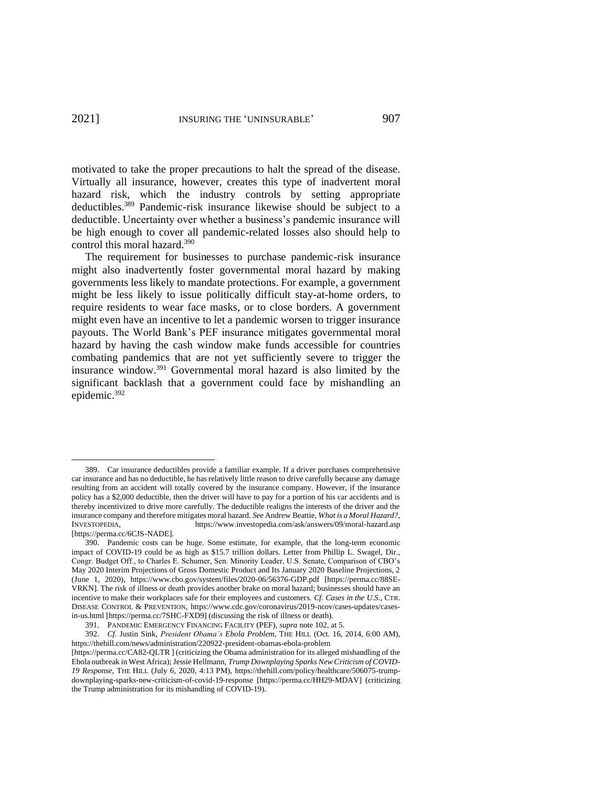motivated to take the proper precautions to halt the spread of the disease. Virtually all insurance, however, creates this type of inadvertent moral hazard risk, which the industry controls by setting appropriate deductibles.<sup>389</sup> Pandemic-risk insurance likewise should be subject to a deductible. Uncertainty over whether a business's pandemic insurance will be high enough to cover all pandemic-related losses also should help to control this moral hazard.<sup>390</sup>

The requirement for businesses to purchase pandemic-risk insurance might also inadvertently foster governmental moral hazard by making governments less likely to mandate protections. For example, a government might be less likely to issue politically difficult stay-at-home orders, to require residents to wear face masks, or to close borders. A government might even have an incentive to let a pandemic worsen to trigger insurance payouts. The World Bank's PEF insurance mitigates governmental moral hazard by having the cash window make funds accessible for countries combating pandemics that are not yet sufficiently severe to trigger the insurance window.<sup>391</sup> Governmental moral hazard is also limited by the significant backlash that a government could face by mishandling an epidemic.<sup>392</sup>

<sup>389.</sup> Car insurance deductibles provide a familiar example. If a driver purchases comprehensive car insurance and has no deductible, he has relatively little reason to drive carefully because any damage resulting from an accident will totally covered by the insurance company. However, if the insurance policy has a \$2,000 deductible, then the driver will have to pay for a portion of his car accidents and is thereby incentivized to drive more carefully. The deductible realigns the interests of the driver and the insurance company and therefore mitigates moral hazard. *See* Andrew Beattie, *What is a Moral Hazard?*, INVESTOPEDIA, https://www.investopedia.com/ask/answers/09/moral-hazard.asp [https://perma.cc/6CJS-NADE].

<sup>390.</sup> Pandemic costs can be huge. Some estimate, for example, that the long-term economic impact of COVID-19 could be as high as \$15.7 trillion dollars. Letter from Phillip L. Swagel, Dir., Congr. Budget Off., to Charles E. Schumer, Sen. Minority Leader, U.S. Senate, Comparison of CBO's May 2020 Interim Projections of Gross Domestic Product and Its January 2020 Baseline Projections, 2 (June 1, 2020), https://www.cbo.gov/system/files/2020-06/56376-GDP.pdf [https://perma.cc/88SE-VRKN]. The risk of illness or death provides another brake on moral hazard; businesses should have an incentive to make their workplaces safe for their employees and customers. *Cf. Cases in the U.S.*, CTR. DISEASE CONTROL & PREVENTION, https://www.cdc.gov/coronavirus/2019-ncov/cases-updates/casesin-us.html [https://perma.cc/7SHC-FXD9] (discussing the risk of illness or death).

<sup>391.</sup> PANDEMIC EMERGENCY FINANCING FACILITY (PEF), *supra* note [102,](#page-16-1) at 5.

<sup>392.</sup> *Cf.* Justin Sink, *President Obama's Ebola Problem*, THE HILL (Oct. 16, 2014, 6:00 AM), <https://thehill.com/news/administration/220922-president-obamas-ebola-problem>

<sup>[</sup>https://perma.cc/CA82-QLTR ] (criticizing the Obama administration for its alleged mishandling of the Ebola outbreak in West Africa); Jessie Hellmann, *Trump Downplaying Sparks New Criticism of COVID-19 Response*, THE HILL (July 6, 2020, 4:13 PM), [https://thehill.com/policy/healthcare/506075-trump](https://thehill.com/policy/healthcare/506075-trump-downplaying-sparks-new-criticism-of-covid-19-response)[downplaying-sparks-new-criticism-of-covid-19-response](https://thehill.com/policy/healthcare/506075-trump-downplaying-sparks-new-criticism-of-covid-19-response) [https://perma.cc/HH29-MDAV] (criticizing the Trump administration for its mishandling of COVID-19).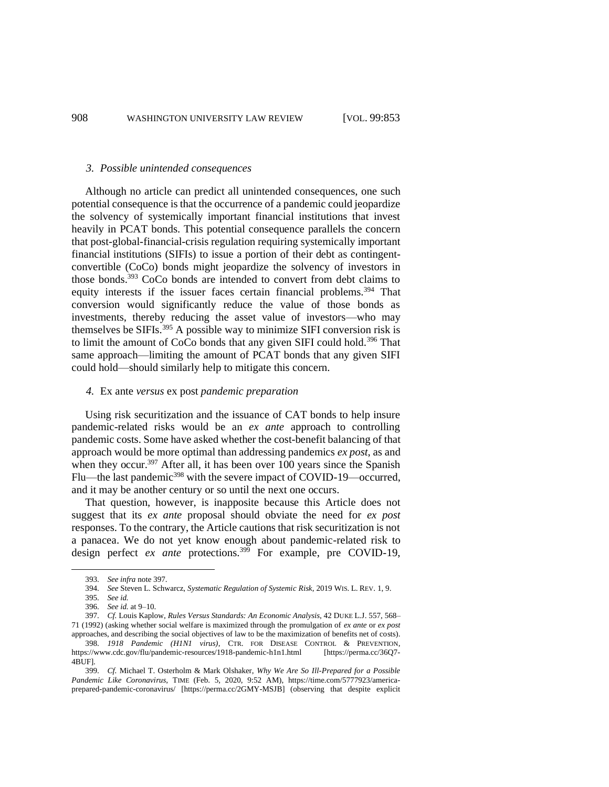#### *3. Possible unintended consequences*

Although no article can predict all unintended consequences, one such potential consequence is that the occurrence of a pandemic could jeopardize the solvency of systemically important financial institutions that invest heavily in PCAT bonds. This potential consequence parallels the concern that post-global-financial-crisis regulation requiring systemically important financial institutions (SIFIs) to issue a portion of their debt as contingentconvertible (CoCo) bonds might jeopardize the solvency of investors in those bonds.<sup>393</sup> CoCo bonds are intended to convert from debt claims to equity interests if the issuer faces certain financial problems.<sup>394</sup> That conversion would significantly reduce the value of those bonds as investments, thereby reducing the asset value of investors—who may themselves be SIFIs.<sup>395</sup> A possible way to minimize SIFI conversion risk is to limit the amount of CoCo bonds that any given SIFI could hold.<sup>396</sup> That same approach—limiting the amount of PCAT bonds that any given SIFI could hold—should similarly help to mitigate this concern.

### *4.* Ex ante *versus* ex post *pandemic preparation*

Using risk securitization and the issuance of CAT bonds to help insure pandemic-related risks would be an *ex ante* approach to controlling pandemic costs. Some have asked whether the cost-benefit balancing of that approach would be more optimal than addressing pandemics *ex post*, as and when they occur.<sup>397</sup> After all, it has been over 100 years since the Spanish Flu—the last pandemic<sup>398</sup> with the severe impact of COVID-19—occurred, and it may be another century or so until the next one occurs.

<span id="page-55-0"></span>That question, however, is inapposite because this Article does not suggest that its *ex ante* proposal should obviate the need for *ex post* responses. To the contrary, the Article cautions that risk securitization is not a panacea. We do not yet know enough about pandemic-related risk to design perfect *ex ante* protections.<sup>399</sup> For example, pre COVID-19,

397. *Cf.* Louis Kaplow, *Rules Versus Standards: An Economic Analysis*, 42 DUKE L.J. 557, 568– 71 (1992) (asking whether social welfare is maximized through the promulgation of *ex ante* or *ex post*  approaches, and describing the social objectives of law to be the maximization of benefits net of costs).

<sup>393.</sup> *See infra* note 397.

<sup>394.</sup> *See* Steven L. Schwarcz, *Systematic Regulation of Systemic Risk*, 2019 WIS. L. REV. 1, 9.

<sup>395.</sup> *See id.*

<sup>396.</sup> *See id.* at 9–10.

<sup>398.</sup> *1918 Pandemic (H1N1 virus)*, CTR. FOR DISEASE CONTROL & PREVENTION, https://www.cdc.gov/flu/pandemic-resources/1918-pandemic-h1n1.html [https://perma.cc/36O7-4BUF].

<sup>399.</sup> *Cf.* Michael T. Osterholm & Mark Olshaker, *Why We Are So Ill-Prepared for a Possible Pandemic Like Coronavirus*, TIME (Feb. 5, 2020, 9:52 AM), [https://time.com/5777923/america](https://time.com/5777923/america-prepared-pandemic-coronavirus/)[prepared-pandemic-coronavirus/](https://time.com/5777923/america-prepared-pandemic-coronavirus/) [https://perma.cc/2GMY-MSJB] (observing that despite explicit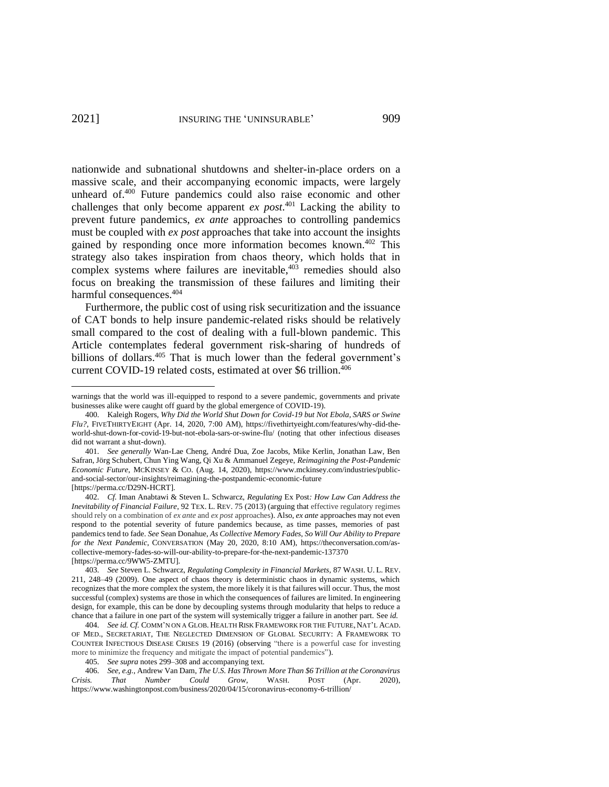nationwide and subnational shutdowns and shelter-in-place orders on a massive scale, and their accompanying economic impacts, were largely unheard of.<sup>400</sup> Future pandemics could also raise economic and other challenges that only become apparent *ex post*. <sup>401</sup> Lacking the ability to prevent future pandemics, *ex ante* approaches to controlling pandemics must be coupled with *ex post* approaches that take into account the insights gained by responding once more information becomes known.<sup>402</sup> This strategy also takes inspiration from chaos theory, which holds that in complex systems where failures are inevitable, $403$  remedies should also focus on breaking the transmission of these failures and limiting their harmful consequences.<sup>404</sup>

<span id="page-56-0"></span>Furthermore, the public cost of using risk securitization and the issuance of CAT bonds to help insure pandemic-related risks should be relatively small compared to the cost of dealing with a full-blown pandemic. This Article contemplates federal government risk-sharing of hundreds of billions of dollars.<sup>405</sup> That is much lower than the federal government's current COVID-19 related costs, estimated at over \$6 trillion. 406

warnings that the world was ill-equipped to respond to a severe pandemic, governments and private businesses alike were caught off guard by the global emergence of COVID-19).

<sup>400.</sup> Kaleigh Rogers, *Why Did the World Shut Down for Covid-19 but Not Ebola, SARS or Swine Flu?*, FIVETHIRTYEIGHT (Apr. 14, 2020, 7:00 AM), https://fivethirtyeight.com/features/why-did-theworld-shut-down-for-covid-19-but-not-ebola-sars-or-swine-flu/ (noting that other infectious diseases did not warrant a shut-down).

<sup>401.</sup> *See generally* Wan-Lae Cheng, André Dua, Zoe Jacobs, Mike Kerlin, Jonathan Law, Ben Safran, Jörg Schubert, Chun Ying Wang, Qi Xu & Ammanuel Zegeye, *Reimagining the Post-Pandemic Economic Future*, MCKINSEY & CO. (Aug. 14, 2020), https://www.mckinsey.com/industries/publicand-social-sector/our-insights/reimagining-the-postpandemic-economic-future [https://perma.cc/D29N-HCRT].

<sup>402.</sup> *Cf.* Iman Anabtawi & Steven L. Schwarcz, *Regulating* Ex Post*: How Law Can Address the Inevitability of Financial Failure*, 92 TEX. L. REV. 75 (2013) (arguing that effective regulatory regimes should rely on a combination of *ex ante* and *ex post* approaches). Also, *ex ante* approaches may not even respond to the potential severity of future pandemics because, as time passes, memories of past pandemics tend to fade. *See* Sean Donahue, *As Collective Memory Fades, So Will Our Ability to Prepare for the Next Pandemic*, CONVERSATION (May 20, 2020, 8:10 AM), https://theconversation.com/ascollective-memory-fades-so-will-our-ability-to-prepare-for-the-next-pandemic-137370 [https://perma.cc/9WW5-ZMTU].

<sup>403.</sup> *See* Steven L. Schwarcz, *Regulating Complexity in Financial Markets*, 87 WASH. U. L. REV. 211, 248–49 (2009). One aspect of chaos theory is deterministic chaos in dynamic systems, which recognizes that the more complex the system, the more likely it is that failures will occur. Thus, the most successful (complex) systems are those in which the consequences of failures are limited. In engineering design, for example, this can be done by decoupling systems through modularity that helps to reduce a chance that a failure in one part of the system will systemically trigger a failure in another part. See *id.*

<sup>404.</sup> *See id. Cf.* COMM'N ON A GLOB. HEALTH RISK FRAMEWORK FOR THE FUTURE,NAT'L ACAD. OF MED., SECRETARIAT, THE NEGLECTED DIMENSION OF GLOBAL SECURITY: A FRAMEWORK TO COUNTER INFECTIOUS DISEASE CRISES 19 (2016) (observing "there is a powerful case for investing more to minimize the frequency and mitigate the impact of potential pandemics").

<sup>405.</sup> *See supra* note[s 299](#page-41-4)[–308](#page-43-4) and accompanying text.

<sup>406.</sup> *See, e.g.*, Andrew Van Dam, *The U.S. Has Thrown More Than \$6 Trillion at the Coronavirus Crisis. That Number Could Grow*, WASH. POST (Apr. 2020), https://www.washingtonpost.com/business/2020/04/15/coronavirus-economy-6-trillion/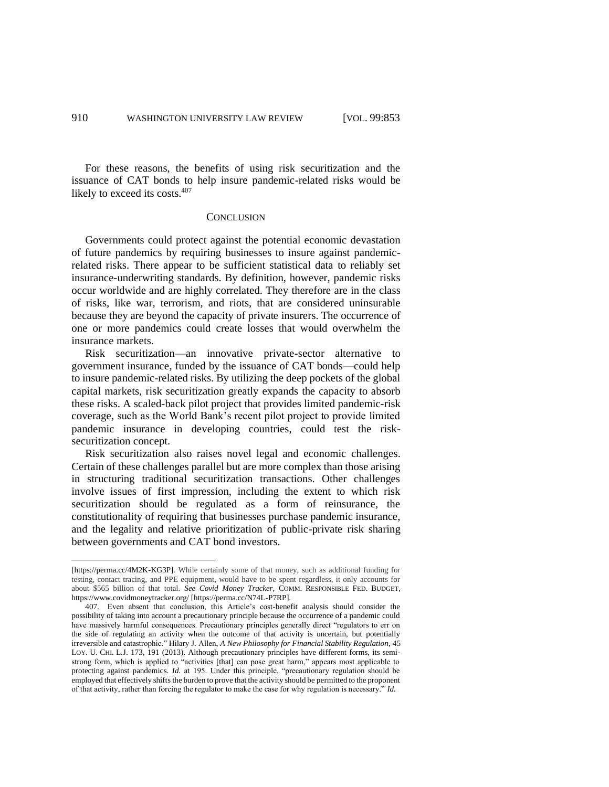For these reasons, the benefits of using risk securitization and the issuance of CAT bonds to help insure pandemic-related risks would be likely to exceed its costs.<sup>407</sup>

#### **CONCLUSION**

Governments could protect against the potential economic devastation of future pandemics by requiring businesses to insure against pandemicrelated risks. There appear to be sufficient statistical data to reliably set insurance-underwriting standards. By definition, however, pandemic risks occur worldwide and are highly correlated. They therefore are in the class of risks, like war, terrorism, and riots, that are considered uninsurable because they are beyond the capacity of private insurers. The occurrence of one or more pandemics could create losses that would overwhelm the insurance markets.

Risk securitization—an innovative private-sector alternative to government insurance, funded by the issuance of CAT bonds—could help to insure pandemic-related risks. By utilizing the deep pockets of the global capital markets, risk securitization greatly expands the capacity to absorb these risks. A scaled-back pilot project that provides limited pandemic-risk coverage, such as the World Bank's recent pilot project to provide limited pandemic insurance in developing countries, could test the risksecuritization concept.

Risk securitization also raises novel legal and economic challenges. Certain of these challenges parallel but are more complex than those arising in structuring traditional securitization transactions. Other challenges involve issues of first impression, including the extent to which risk securitization should be regulated as a form of reinsurance, the constitutionality of requiring that businesses purchase pandemic insurance, and the legality and relative prioritization of public-private risk sharing between governments and CAT bond investors.

<sup>[</sup>https://perma.cc/4M2K-KG3P]. While certainly some of that money, such as additional funding for testing, contact tracing, and PPE equipment, would have to be spent regardless, it only accounts for about \$565 billion of that total. *See Covid Money Tracker*, COMM. RESPONSIBLE FED. BUDGET, https://www.covidmoneytracker.org/ [https://perma.cc/N74L-P7RP].

<sup>407.</sup> Even absent that conclusion, this Article's cost-benefit analysis should consider the possibility of taking into account a precautionary principle because the occurrence of a pandemic could have massively harmful consequences. Precautionary principles generally direct "regulators to err on the side of regulating an activity when the outcome of that activity is uncertain, but potentially irreversible and catastrophic." Hilary J. Allen, *A New Philosophy for Financial Stability Regulation*, 45 LOY. U. CHI. L.J. 173, 191 (2013). Although precautionary principles have different forms, its semistrong form, which is applied to "activities [that] can pose great harm," appears most applicable to protecting against pandemics. *Id.* at 195. Under this principle, "precautionary regulation should be employed that effectively shifts the burden to prove that the activity should be permitted to the proponent of that activity, rather than forcing the regulator to make the case for why regulation is necessary." *Id.*